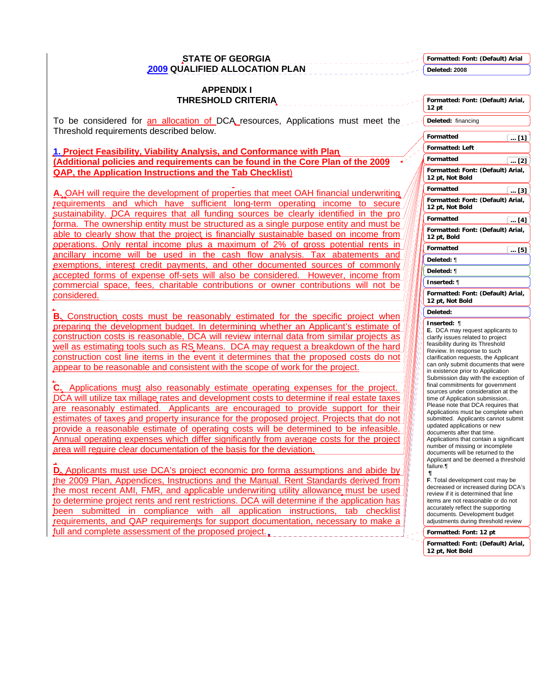**STATE OF GEORGIA 2009 QUALIFIED ALLOCATION PLAN** 

**APPENDIX I** 

**Formatted: Font: (Default) Arial Deleted: 2008**

| <b>THRESHOLD CRITERIA</b>                                                                                                                                                      | Formatted: Font: (Default) Arial,<br>$12$ pt                              |
|--------------------------------------------------------------------------------------------------------------------------------------------------------------------------------|---------------------------------------------------------------------------|
| To be considered for an allocation of DCA resources, Applications must meet the                                                                                                | Deleted: financing                                                        |
| Threshold requirements described below.                                                                                                                                        | Formatted<br>$\left(\ldots [1]\right)$                                    |
| 1. Project Feasibility, Viability Analysis, and Conformance with Plan,                                                                                                         | <b>Formatted: Left</b>                                                    |
| (Additional policies and requirements can be found in the Core Plan of the 2009                                                                                                | Formatted<br>$\left( \dots [2] \right)$                                   |
| <b>QAP, the Application Instructions and the Tab Checklist)</b>                                                                                                                | Formatted: Font: (Default) Arial,<br>12 pt, Not Bold                      |
| A. OAH will require the development of properties that meet OAH financial underwriting                                                                                         | Formatted<br>$\ldots$ [3]                                                 |
| requirements and which have sufficient long-term operating income to secure                                                                                                    | Formatted: Font: (Default) Arial,<br>12 pt, Not Bold                      |
| sustainability. DCA requires that all funding sources be clearly identified in the pro-                                                                                        | <b>Formatted</b><br>$\left(\ldots [4]\right)$                             |
| forma. The ownership entity must be structured as a single purpose entity and must be<br>able to clearly show that the project is financially sustainable based on income from | Formatted: Font: (Default) Arial,<br>12 pt, Bold                          |
| operations. Only rental income plus a maximum of 2% of gross potential rents in                                                                                                | Formatted<br>$[$ [5] $]$                                                  |
| ancillary income will be used in the cash flow analysis. Tax abatements and<br>exemptions, interest credit payments, and other documented sources of commonly                  | Deleted: ¶                                                                |
| accepted forms of expense off-sets will also be considered. However, income from                                                                                               | Deleted: ¶                                                                |
| commercial space, fees, charitable contributions or owner contributions will not be                                                                                            | Inserted: ¶                                                               |
| considered.                                                                                                                                                                    | Formatted: Font: (Default) Arial,<br>12 pt, Not Bold                      |
| B. Construction costs must be reasonably estimated for the specific project when                                                                                               | Deleted:                                                                  |
| preparing the development budget. In determining whether an Applicant's estimate of                                                                                            | Inserted: ¶<br>E. DCA may request applicants to                           |
| construction costs is reasonable, DCA will review internal data from similar projects as                                                                                       | clarify issues related to project                                         |
| well as estimating tools such as RS Means. DCA may request a breakdown of the hard                                                                                             | feasibility during its Threshold<br>Review. In response to such           |
| construction cost line items in the event it determines that the proposed costs do not                                                                                         | clarification requests, the Applicant                                     |
| appear to be reasonable and consistent with the scope of work for the project.                                                                                                 | can only submit documents that were<br>in existence prior to Application  |
| C. Applications must also reasonably estimate operating expenses for the project.                                                                                              | Submission day with the exception of<br>final commitments for government  |
| DCA will utilize tax millage rates and development costs to determine if real estate taxes                                                                                     | sources under consideration at the<br>time of Application submission      |
| are reasonably estimated. Applicants are encouraged to provide support for their                                                                                               | Please note that DCA requires that                                        |
| estimates of taxes and property insurance for the proposed project. Projects that do not                                                                                       | Applications must be complete when<br>submitted. Applicants cannot submit |
| provide a reasonable estimate of operating costs will be determined to be infeasible.                                                                                          | updated applications or new                                               |
| Annual operating expenses which differ significantly from average costs for the project                                                                                        | documents after that time.<br>Applications that contain a significant     |
| area will require clear documentation of the basis for the deviation.                                                                                                          | number of missing or incomplete<br>documents will be returned to the      |
|                                                                                                                                                                                | Applicant and be deemed a threshold<br>failure.¶                          |
| D. Applicants must use DCA's project economic pro forma assumptions and abide by                                                                                               |                                                                           |
| the 2009 Plan, Appendices, Instructions and the Manual. Rent Standards derived from                                                                                            | F. Total development cost may be<br>decreased or increased during DCA's   |
| the most recent AMI, FMR, and applicable underwriting utility allowance must be used                                                                                           | review if it is determined that line                                      |
| to determine project rents and rent restrictions. DCA will determine if the application has<br>been submitted in compliance with all application instructions, tab checklist   | items are not reasonable or do not<br>accurately reflect the supporting   |
| requirements, and QAP requirements for support documentation, necessary to make a                                                                                              | documents. Development budget<br>adjustments during threshold review      |
| full and complete assessment of the proposed project.                                                                                                                          | Formatted: Font: 12 pt                                                    |
|                                                                                                                                                                                | Formatted: Font: (Default) Arial,<br>12 pt, Not Bold                      |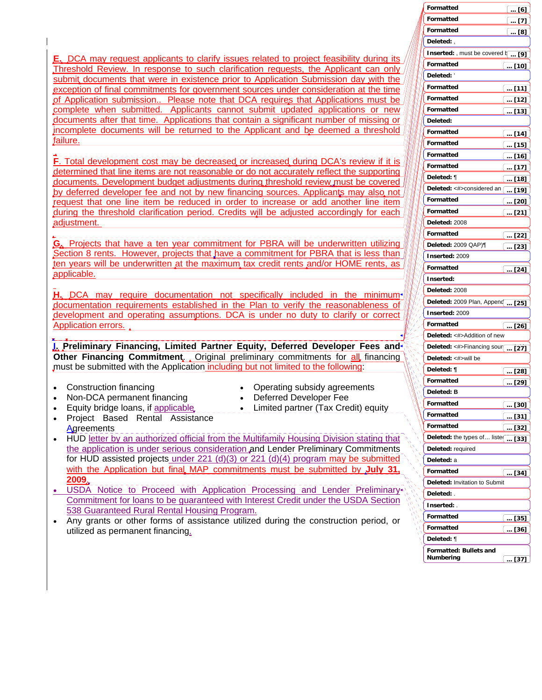| <b>E.</b> DCA may request applicants to clarify issues related to project feasibility during its |
|--------------------------------------------------------------------------------------------------|
| Threshold Review. In response to such clarification requests, the Applicant can only             |
| submit documents that were in existence prior to Application Submission day with the             |
| exception of final commitments for government sources under consideration at the time            |
| of Application submission Please note that DCA requires that Applications must be                |
| complete when submitted. Applicants cannot submit updated applications or new                    |
| documents after that time. Applications that contain a significant number of missing or          |
| incomplete documents will be returned to the Applicant and be deemed a threshold                 |
| failure.                                                                                         |

**F**. Total development cost may be decreased or increased during DCA's review if it is determined that line items are not reasonable or do not accurately reflect the supporting documents. Development budget adjustments during threshold review must be covered by deferred developer fee and not by new financing sources. Applicants may also not request that one line item be reduced in order to increase or add another line item during the threshold clarification period. Credits will be adjusted accordingly for each adjustment.

**G.** Projects that have a ten year commitment for PBRA will be underwritten utilizing Section 8 rents. However, projects that have a commitment for PBRA that is less than ten years will be underwritten at the maximum tax credit rents and/or HOME rents, as applicable.

**H.** DCA may require documentation not specifically included in the minimum documentation requirements established in the Plan to verify the reasonableness of development and operating assumptions. DCA is under no duty to clarify or correct Application errors.

**I. Preliminary Financing, Limited Partner Equity, Deferred Developer Fees and Other Financing Commitment.** Original preliminary commitments for all financing must be submitted with the Application including but not limited to the following:

- Construction financing
- Non-DCA permanent financing
- Equity bridge loans, if applicable
- Project Based Rental Assistance **Agreements**
- Operating subsidy agreements
- Deferred Developer Fee

• Limited partner (Tax Credit) equity

- HUD letter by an authorized official from the Multifamily Housing Division stating that the application is under serious consideration and Lender Preliminary Commitments for HUD assisted projects under 221 (d)(3) or 221 (d)(4) program may be submitted with the Application but final MAP commitments must be submitted by **July 31 2009**.
- USDA Notice to Proceed with Application Processing and Lender Preliminary Commitment for loans to be guaranteed with Interest Credit under the USDA Section 538 Guaranteed Rural Rental Housing Program.
- Any grants or other forms of assistance utilized during the construction period, or utilized as permanent financing.

|   | Formatted                          | $\left[\;\ldots\;[\bar{6}]\right.$ |
|---|------------------------------------|------------------------------------|
|   | Formatted                          | [7]                                |
|   | Formatted                          | <u> [8]</u>                        |
|   | Deleted:,                          |                                    |
|   | Inserted: , must be covered h  [9] |                                    |
|   | Formatted                          | <u>[  [10]</u>                     |
|   | Deleted: '                         |                                    |
|   | Formatted                          | $\boxed{}$ [11]                    |
|   | Formatted                          | $\left(\,\,$ [12]                  |
|   | Formatted                          | $$ [13]                            |
|   | Deleted:                           |                                    |
|   | Formatted                          | [14]                               |
|   | Formatted                          | <u>   [15]</u>                     |
|   | Formatted                          | <u>[16] … </u>                     |
|   | Formatted                          | <u>[17] … </u>                     |
|   | Deleted: ¶                         | l … [18]                           |
|   | Deleted: <#>considered an [ [19]   |                                    |
|   | Formatted                          | <u>[  [20]</u>                     |
|   | Formatted                          | $\left[\dots [21]\right]$          |
|   | Deleted: 2008                      |                                    |
|   | Formatted                          | <u>[  [22]</u>                     |
|   | Deleted: 2009 QAP)¶                | <u>[  [23]</u>                     |
|   | Inserted: 2009                     |                                    |
|   | Formatted                          | [24]                               |
|   | Inserted:                          |                                    |
|   | Deleted: 2008                      |                                    |
|   | Deleted: 2009 Plan, Append  [25]   |                                    |
|   | Inserted: 2009                     |                                    |
|   | Formatted                          | 〔… [26]                            |
|   | Deleted: <#>Addition of new        |                                    |
|   | Deleted: <#>Financing sour[ [27]   |                                    |
|   | Deleted: <#>will be                |                                    |
|   | Deleted: ¶                         | $\lfloor  [28] \rfloor$            |
|   | Formatted                          | ່ … [29]                           |
|   | Deleted: B                         |                                    |
| ١ | Formatted                          | <u> [30]</u>                       |
|   | Formatted                          | (… [31]                            |
|   | Formatted                          | ( <u>. [32]</u>                    |
|   | Deleted: the types of liste(       | $[33]$                             |
|   | Deleted: required                  |                                    |
|   | Deleted: a                         |                                    |
|   | Formatted                          | $\left[\ldots\right[34\right]$     |
|   | Deleted: Invitation to Submit      |                                    |
|   | Deleted: .                         |                                    |
|   | Inserted: .                        |                                    |
|   | Formatted                          | <u>   [35]</u>                     |
|   | Formatted                          | 〔… [36]                            |
|   | Deleted: ¶                         |                                    |
|   | <b>Formatted: Bullets and</b>      |                                    |
|   | Numbering                          | [37]                               |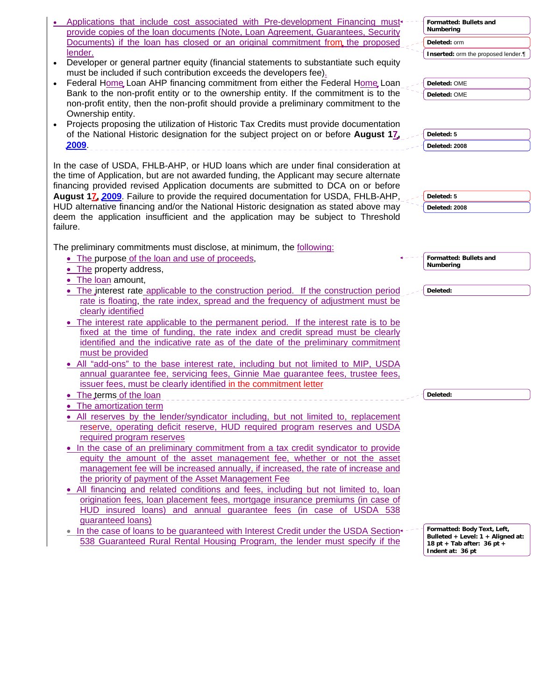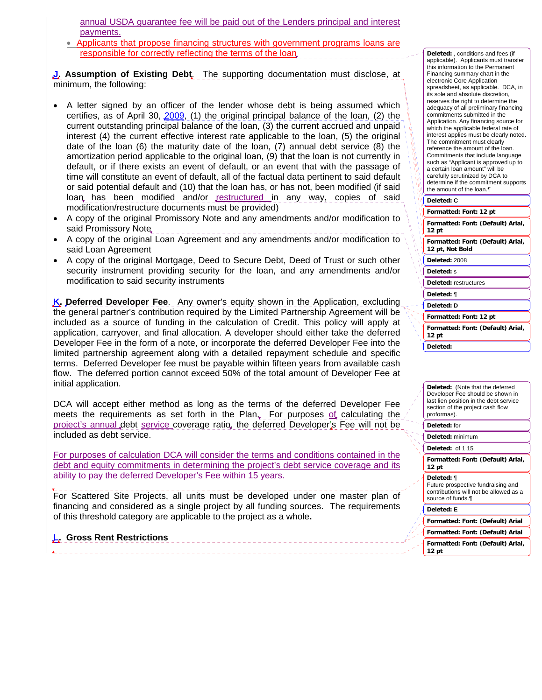annual USDA guarantee fee will be paid out of the Lenders principal and interest payments.

• Applicants that propose financing structures with government programs loans are responsible for correctly reflecting the terms of the loan

**J. Assumption of Existing Debt**. The supporting documentation must disclose, at minimum, the following:

- A letter signed by an officer of the lender whose debt is being assumed which certifies, as of April 30, 2009, (1) the original principal balance of the loan, (2) the current outstanding principal balance of the loan, (3) the current accrued and unpaid interest (4) the current effective interest rate applicable to the loan, (5) the original date of the loan (6) the maturity date of the loan, (7) annual debt service (8) the amortization period applicable to the original loan, (9) that the loan is not currently in default, or if there exists an event of default, or an event that with the passage of time will constitute an event of default, all of the factual data pertinent to said default or said potential default and (10) that the loan has, or has not, been modified (if said loan, has been modified and/or restructured in any way, copies of said modification/restructure documents must be provided)
- A copy of the original Promissory Note and any amendments and/or modification to said Promissory Note
- A copy of the original Loan Agreement and any amendments and/or modification to said Loan Agreement
- A copy of the original Mortgage, Deed to Secure Debt, Deed of Trust or such other security instrument providing security for the loan, and any amendments and/or modification to said security instruments

**K. Deferred Developer Fee**. Any owner's equity shown in the Application, excluding the general partner's contribution required by the Limited Partnership Agreement will be included as a source of funding in the calculation of Credit. This policy will apply at application, carryover, and final allocation. A developer should either take the deferred Developer Fee in the form of a note, or incorporate the deferred Developer Fee into the limited partnership agreement along with a detailed repayment schedule and specific terms. Deferred Developer fee must be payable within fifteen years from available cash flow. The deferred portion cannot exceed 50% of the total amount of Developer Fee at initial application.

DCA will accept either method as long as the terms of the deferred Developer Fee meets the requirements as set forth in the Plan. For purposes of calculating the project's annual debt service coverage ratio, the deferred Developer's Fee will not be included as debt service.

For purposes of calculation DCA will consider the terms and conditions contained in the debt and equity commitments in determining the project's debt service coverage and its ability to pay the deferred Developer's Fee within 15 years.

For Scattered Site Projects, all units must be developed under one master plan of financing and considered as a single project by all funding sources. The requirements of this threshold category are applicable to the project as a whole**.** 

# **L. Gross Rent Restrictions**

**Formatted: Font: 12 pt Formatted: Font: (Default) Arial, 12 pt Deleted:** , conditions and fees (if applicable). Applicants must transfer this information to the Permanent Financing summary chart in the electronic Core Application spreadsheet, as applicable. DCA, in its sole and absolute discretion, reserves the right to determine the adequacy of all preliminary financing commitments submitted in the Application. Any financing source for which the applicable federal rate of interest applies must be clearly noted. The commitment must clearly reference the amount of the loan. Commitments that include language such as "Applicant is approved up to a certain loan amount" will be carefully scrutinized by DCA to determine if the commitment supports the amount of the loan.¶ **Deleted: C**

**Formatted: Font: (Default) Arial, 12 pt, Not Bold**

**Deleted:** 2008

**Deleted:** s

**Deleted:** restructures

**Deleted:** ¶

**Deleted: D**

**Formatted: Font: 12 pt**

**Formatted: Font: (Default) Arial, 12 pt**

**Deleted:** 

**Deleted:** (Note that the deferred Developer Fee should be shown in last lien position in the debt service section of the project cash flow proformas).

**Deleted:** for

**Deleted:** minimum

**Deleted:** of 1.15

**Formatted: Font: (Default) Arial, 12 pt**

### **Deleted:** ¶

Future prospective fundraising and contributions will not be allowed as a source of funds.¶

**Deleted: E**

**Formatted: Font: (Default) Arial**

**Formatted: Font: (Default) Arial**

**Formatted: Font: (Default) Arial, 12 pt**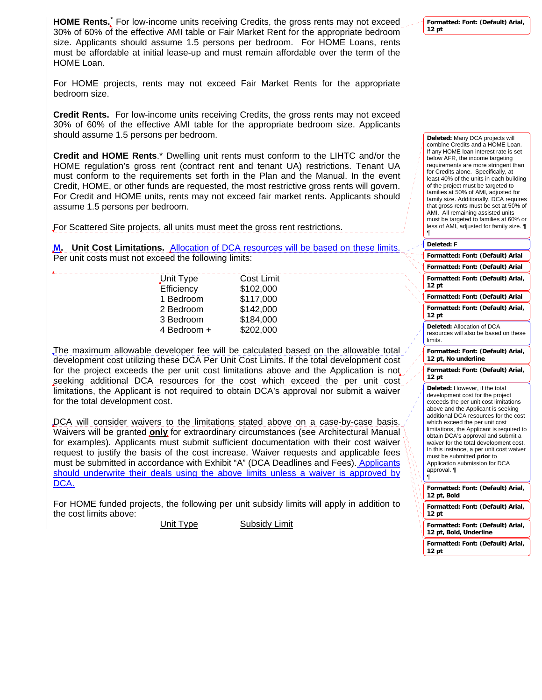**HOME Rents.[\\*](#page-4-0)** For low-income units receiving Credits, the gross rents may not exceed 30% of 60% of the effective AMI table or Fair Market Rent for the appropriate bedroom size. Applicants should assume 1.5 persons per bedroom. For HOME Loans, rents must be affordable at initial lease-up and must remain affordable over the term of the HOME Loan.

For HOME projects, rents may not exceed Fair Market Rents for the appropriate bedroom size.

**Credit Rents.** For low-income units receiving Credits, the gross rents may not exceed 30% of 60% of the effective AMI table for the appropriate bedroom size. Applicants should assume 1.5 persons per bedroom.

**Credit and HOME Rents**.\* Dwelling unit rents must conform to the LIHTC and/or the HOME regulation's gross rent (contract rent and tenant UA) restrictions. Tenant UA must conform to the requirements set forth in the Plan and the Manual. In the event Credit, HOME, or other funds are requested, the most restrictive gross rents will govern. For Credit and HOME units, rents may not exceed fair market rents. Applicants should assume 1.5 persons per bedroom.

For Scattered Site projects, all units must meet the gross rent restrictions.

**M.** Unit Cost Limitations. Allocation of DCA resources will be based on these limits. Per unit costs must not exceed the following limits:

| Unit Type   | <b>Cost Limit</b> |
|-------------|-------------------|
| Efficiency  | \$102,000         |
| 1 Bedroom   | \$117,000         |
| 2 Bedroom   | \$142,000         |
| 3 Bedroom   | \$184,000         |
| 4 Bedroom + | \$202,000         |
|             |                   |

The maximum allowable developer fee will be calculated based on the allowable total development cost utilizing these DCA Per Unit Cost Limits. If the total development cost for the project exceeds the per unit cost limitations above and the Application is not seeking additional DCA resources for the cost which exceed the per unit cost limitations, the Applicant is not required to obtain DCA's approval nor submit a waiver for the total development cost.

DCA will consider waivers to the limitations stated above on a case-by-case basis. Waivers will be granted **only** for extraordinary circumstances (see Architectural Manual for examples). Applicants must submit sufficient documentation with their cost waiver request to justify the basis of the cost increase. Waiver requests and applicable fees must be submitted in accordance with Exhibit "A" (DCA Deadlines and Fees). Applicants should underwrite their deals using the above limits unless a waiver is approved by DCA.

<span id="page-4-0"></span>For HOME funded projects, the following per unit subsidy limits will apply in addition to the cost limits above:

Unit Type Subsidy Limit

**Formatted: Font: (Default) Arial, 12 pt**

**Deleted:** Many DCA projects will combine Credits and a HOME Loan. If any HOME loan interest rate is set below AFR, the income targeting requirements are more stringent than for Credits alone. Specifically, at least 40% of the units in each building of the project must be targeted to families at 50% of AMI, adjusted for family size. Additionally, DCA requires that gross rents must be set at 50% of AMI. All remaining assisted units must be targeted to families at 60% or less of AMI, adjusted for family size. ¶ ¶

### **Deleted: F**

| Formatted: Font: (Default) Arial                                                                                                                                                                                                                                                                                                                                                                                                                                                        |
|-----------------------------------------------------------------------------------------------------------------------------------------------------------------------------------------------------------------------------------------------------------------------------------------------------------------------------------------------------------------------------------------------------------------------------------------------------------------------------------------|
| Formatted: Font: (Default) Arial                                                                                                                                                                                                                                                                                                                                                                                                                                                        |
| Formatted: Font: (Default) Arial,<br>12 <sub>pt</sub>                                                                                                                                                                                                                                                                                                                                                                                                                                   |
| Formatted: Font: (Default) Arial                                                                                                                                                                                                                                                                                                                                                                                                                                                        |
| Formatted: Font: (Default) Arial,<br>12 <sub>pt</sub>                                                                                                                                                                                                                                                                                                                                                                                                                                   |
| Deleted: Allocation of DCA<br>resources will also be based on these<br>limits.                                                                                                                                                                                                                                                                                                                                                                                                          |
| Formatted: Font: (Default) Arial,<br>12 pt, No underline                                                                                                                                                                                                                                                                                                                                                                                                                                |
| Formatted: Font: (Default) Arial,<br>12 <sub>pt</sub>                                                                                                                                                                                                                                                                                                                                                                                                                                   |
| Deleted: However, if the total<br>development cost for the project<br>exceeds the per unit cost limitations<br>above and the Applicant is seeking<br>additional DCA resources for the cost<br>which exceed the per unit cost<br>limitations, the Applicant is required to<br>obtain DCA's approval and submit a<br>waiver for the total development cost.<br>In this instance, a per unit cost waiver<br>must be submitted prior to<br>Application submission for DCA<br>approval.<br>¶ |
| Formatted: Font: (Default) Arial,<br>12 pt, Bold                                                                                                                                                                                                                                                                                                                                                                                                                                        |
| Formatted: Font: (Default) Arial,<br>12 <sub>pt</sub>                                                                                                                                                                                                                                                                                                                                                                                                                                   |
| Formatted: Font: (Default) Arial,<br>12 pt, Bold, Underline                                                                                                                                                                                                                                                                                                                                                                                                                             |
| Eormattod: Eont: (Dofault) Arial                                                                                                                                                                                                                                                                                                                                                                                                                                                        |

**Formatted: Font: (Default) Arial, 12 pt**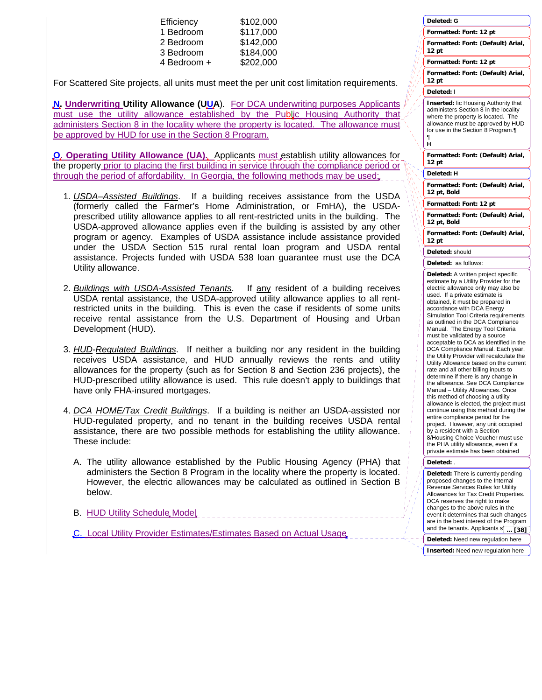| Efficiency  | \$102,000 |
|-------------|-----------|
| 1 Bedroom   | \$117,000 |
| 2 Bedroom   | \$142,000 |
| 3 Bedroom   | \$184,000 |
| 4 Bedroom + | \$202,000 |

For Scattered Site projects, all units must meet the per unit cost limitation requirements.

**N. Underwriting Utility Allowance (UUA**)*.* For DCA underwriting purposes Applicants must use the utility allowance established by the Public Housing Authority that administers Section 8 in the locality where the property is located. The allowance must be approved by HUD for use in the Section 8 Program.

**O. Operating Utility Allowance (UA).** Applicants must establish utility allowances for the property prior to placing the first building in service through the compliance period or through the period of affordability. In Georgia, the following methods may be used:

- 1. *USDA–Assisted Buildings*. If a building receives assistance from the USDA (formerly called the Farmer's Home Administration, or FmHA), the USDAprescribed utility allowance applies to all rent-restricted units in the building. The USDA-approved allowance applies even if the building is assisted by any other program or agency. Examples of USDA assistance include assistance provided under the USDA Section 515 rural rental loan program and USDA rental assistance. Projects funded with USDA 538 loan guarantee must use the DCA Utility allowance.
- 2. *Buildings with USDA-Assisted Tenants*. If any resident of a building receives USDA rental assistance, the USDA-approved utility allowance applies to all rentrestricted units in the building. This is even the case if residents of some units receive rental assistance from the U.S. Department of Housing and Urban Development (HUD).
- 3. *HUD-Regulated Buildings*. If neither a building nor any resident in the building receives USDA assistance, and HUD annually reviews the rents and utility allowances for the property (such as for Section 8 and Section 236 projects), the HUD-prescribed utility allowance is used. This rule doesn't apply to buildings that have only FHA-insured mortgages.
- 4. *DCA HOME/Tax Credit Buildings*. If a building is neither an USDA-assisted nor HUD-regulated property, and no tenant in the building receives USDA rental assistance, there are two possible methods for establishing the utility allowance. These include:
	- A. The utility allowance established by the Public Housing Agency (PHA) that administers the Section 8 Program in the locality where the property is located. However, the electric allowances may be calculated as outlined in Section B below.
	- B. HUD Utility Schedule Model
	- C. Local Utility Provider Estimates/Estimates Based on Actual Usage

| Formatted: Font: 12 pt                                                                                                                                                                                                                                                                                                                                                                                                                                                                                                                                                                                                                                                                                                                                                                                                                                                                                                                                                                                                                                           |
|------------------------------------------------------------------------------------------------------------------------------------------------------------------------------------------------------------------------------------------------------------------------------------------------------------------------------------------------------------------------------------------------------------------------------------------------------------------------------------------------------------------------------------------------------------------------------------------------------------------------------------------------------------------------------------------------------------------------------------------------------------------------------------------------------------------------------------------------------------------------------------------------------------------------------------------------------------------------------------------------------------------------------------------------------------------|
| Formatted: Font: (Default) Arial,<br>12 pt                                                                                                                                                                                                                                                                                                                                                                                                                                                                                                                                                                                                                                                                                                                                                                                                                                                                                                                                                                                                                       |
| Formatted: Font: 12 pt                                                                                                                                                                                                                                                                                                                                                                                                                                                                                                                                                                                                                                                                                                                                                                                                                                                                                                                                                                                                                                           |
| Formatted: Font: (Default) Arial,<br>12 pt                                                                                                                                                                                                                                                                                                                                                                                                                                                                                                                                                                                                                                                                                                                                                                                                                                                                                                                                                                                                                       |
| Deleted: I                                                                                                                                                                                                                                                                                                                                                                                                                                                                                                                                                                                                                                                                                                                                                                                                                                                                                                                                                                                                                                                       |
| <b>Inserted: lic Housing Authority that</b><br>administers Section 8 in the locality<br>where the property is located. The<br>allowance must be approved by HUD<br>for use in the Section 8 Program.<br>¶<br>н                                                                                                                                                                                                                                                                                                                                                                                                                                                                                                                                                                                                                                                                                                                                                                                                                                                   |
| Formatted: Font: (Default) Arial,<br>12 pt                                                                                                                                                                                                                                                                                                                                                                                                                                                                                                                                                                                                                                                                                                                                                                                                                                                                                                                                                                                                                       |
| Deleted: H                                                                                                                                                                                                                                                                                                                                                                                                                                                                                                                                                                                                                                                                                                                                                                                                                                                                                                                                                                                                                                                       |
| Formatted: Font: (Default) Arial,<br>12 pt, Bold                                                                                                                                                                                                                                                                                                                                                                                                                                                                                                                                                                                                                                                                                                                                                                                                                                                                                                                                                                                                                 |
| Formatted: Font: 12 pt                                                                                                                                                                                                                                                                                                                                                                                                                                                                                                                                                                                                                                                                                                                                                                                                                                                                                                                                                                                                                                           |
| Formatted: Font: (Default) Arial,<br>12 pt, Bold                                                                                                                                                                                                                                                                                                                                                                                                                                                                                                                                                                                                                                                                                                                                                                                                                                                                                                                                                                                                                 |
| Formatted: Font: (Default) Arial,<br>12 pt                                                                                                                                                                                                                                                                                                                                                                                                                                                                                                                                                                                                                                                                                                                                                                                                                                                                                                                                                                                                                       |
| Deleted: should                                                                                                                                                                                                                                                                                                                                                                                                                                                                                                                                                                                                                                                                                                                                                                                                                                                                                                                                                                                                                                                  |
| Deleted: as follows:                                                                                                                                                                                                                                                                                                                                                                                                                                                                                                                                                                                                                                                                                                                                                                                                                                                                                                                                                                                                                                             |
| Deleted: A written project specific<br>estimate by a Utility Provider for the<br>electric allowance only may also be<br>used. If a private estimate is<br>obtained, it must be prepared in<br>accordance with DCA Energy<br>Simulation Tool Criteria requirements<br>as outlined in the DCA Compliance<br>Manual. The Energy Tool Criteria<br>must be validated by a source<br>acceptable to DCA as identified in the<br>DCA Compliance Manual. Each year,<br>the Utility Provider will recalculate the<br>Utility Allowance based on the current<br>rate and all other billing inputs to<br>determine if there is any change in<br>the allowance. See DCA Compliance<br>Manual - Utility Allowances. Once<br>this method of choosing a utility<br>allowance is elected, the project must<br>continue using this method during the<br>entire compliance period for the<br>project. However, any unit occupied<br>by a resident with a Section<br>8/Housing Choice Voucher must use<br>the PHA utility allowance, even if a<br>private estimate has been obtained |
| Deleted:                                                                                                                                                                                                                                                                                                                                                                                                                                                                                                                                                                                                                                                                                                                                                                                                                                                                                                                                                                                                                                                         |
| Deleted: There is currently pending<br>proposed changes to the Internal<br>Revenue Services Rules for Utility<br>Allowances for Tax Credit Properties.<br>DCA reserves the right to make<br>changes to the above rules in the<br>event it determines that such changes                                                                                                                                                                                                                                                                                                                                                                                                                                                                                                                                                                                                                                                                                                                                                                                           |

**Deleted: G**

**Deleted:** Need new regulation here **Inserted:** Need new regulation here

are in the best interest of the Program and the tenants. Applicants  $s\bar{b}$ 

**... [38]**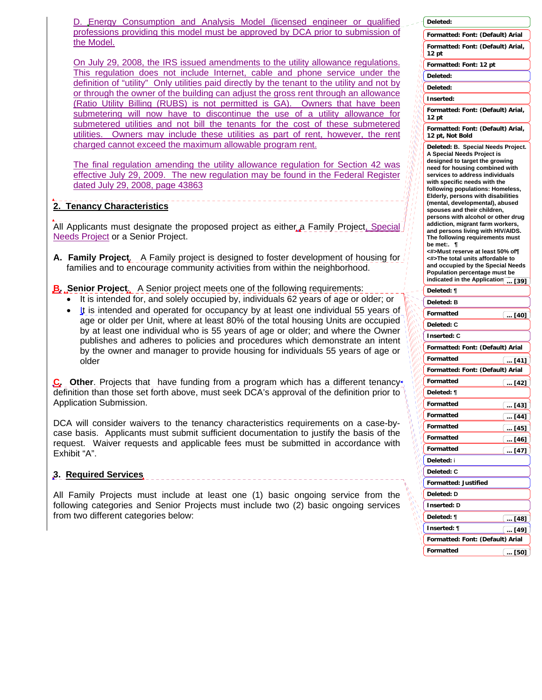D. Energy Consumption and Analysis Model (licensed engineer or qualified professions providing this model must be approved by DCA prior to submission of the Model.

On July 29, 2008, the IRS issued amendments to the utility allowance regulations. This regulation does not include Internet, cable and phone service under the definition of "utility" Only utilities paid directly by the tenant to the utility and not by or through the owner of the building can adjust the gross rent through an allowance (Ratio Utility Billing (RUBS) is not permitted is GA). Owners that have been submetering will now have to discontinue the use of a utility allowance for submetered utilities and not bill the tenants for the cost of these submetered utilities. Owners may include these utilities as part of rent, however, the rent charged cannot exceed the maximum allowable program rent.

The final regulation amending the utility allowance regulation for Section 42 was effective July 29, 2009. The new regulation may be found in the Federal Register dated July 29, 2008, page 43863

# **2. Tenancy Characteristics**

All Applicants must designate the proposed project as either a Family Project, Special Needs Project or a Senior Project.

**A. Family Project**. A Family project is designed to foster development of housing for families and to encourage community activities from within the neighborhood.

# **B. Senior Project**. A Senior project meets one of the following requirements:

- It is intended for, and solely occupied by, individuals 62 years of age or older; or
- It is intended and operated for occupancy by at least one individual 55 years of age or older per Unit, where at least 80% of the total housing Units are occupied by at least one individual who is 55 years of age or older; and where the Owner publishes and adheres to policies and procedures which demonstrate an intent by the owner and manager to provide housing for individuals 55 years of age or older

**C.** Other. Projects that have funding from a program which has a different tenancy definition than those set forth above, must seek DCA's approval of the definition prior to Application Submission.

DCA will consider waivers to the tenancy characteristics requirements on a case-bycase basis. Applicants must submit sufficient documentation to justify the basis of the request. Waiver requests and applicable fees must be submitted in accordance with Exhibit "A".

# **3. Required Services**

All Family Projects must include at least one (1) basic ongoing service from the following categories and Senior Projects must include two (2) basic ongoing services from two different categories below:

|                        | Deleted:                                                                                                                                                                                                                                    |                              |
|------------------------|---------------------------------------------------------------------------------------------------------------------------------------------------------------------------------------------------------------------------------------------|------------------------------|
|                        | Formatted: Font: (Default) Arial                                                                                                                                                                                                            |                              |
|                        | Formatted: Font: (Default) Arial,<br>12 pt                                                                                                                                                                                                  |                              |
|                        | Formatted: Font: 12 pt                                                                                                                                                                                                                      |                              |
|                        | Deleted:                                                                                                                                                                                                                                    |                              |
|                        | Deleted:                                                                                                                                                                                                                                    |                              |
|                        | Inserted:                                                                                                                                                                                                                                   |                              |
|                        | Formatted: Font: (Default) Arial,<br>12 pt                                                                                                                                                                                                  |                              |
|                        | Formatted: Font: (Default) Arial,<br>12 pt, Not Bold                                                                                                                                                                                        |                              |
|                        | Deleted: B. Special Needs Project.<br>A Special Needs Project is<br>designed to target the growing<br>need for housing combined with<br>services to address individuals<br>with specific needs with the<br>following populations: Homeless, |                              |
|                        | Elderly, persons with disabilities                                                                                                                                                                                                          |                              |
|                        | (mental, developmental), abused<br>spouses and their children,                                                                                                                                                                              |                              |
|                        | persons with alcohol or other drug<br>addiction, migrant farm workers,                                                                                                                                                                      |                              |
|                        | and persons living with HIV/AIDS.<br>The following requirements must                                                                                                                                                                        |                              |
|                        | be met:.<br>¶                                                                                                                                                                                                                               |                              |
|                        | <#>Must reserve at least 50% of¶<br><#>The total units affordable to                                                                                                                                                                        |                              |
|                        | and occupied by the Special Needs<br>Population percentage must be                                                                                                                                                                          |                              |
|                        | indicated in the Application                                                                                                                                                                                                                | [39]                         |
|                        | Deleted: ¶                                                                                                                                                                                                                                  |                              |
|                        | Deleted: B                                                                                                                                                                                                                                  |                              |
|                        | Formatted                                                                                                                                                                                                                                   | ↓… [40]                      |
|                        | Deleted: C                                                                                                                                                                                                                                  |                              |
|                        | Inserted: C                                                                                                                                                                                                                                 |                              |
|                        | Formatted: Font: (Default) Arial                                                                                                                                                                                                            |                              |
|                        | Formatted                                                                                                                                                                                                                                   | $\lfloor  [41] \rfloor$      |
|                        | Formatted: Font: (Default) Arial                                                                                                                                                                                                            |                              |
|                        | Formatted<br>Deleted: ¶                                                                                                                                                                                                                     | … [42]                       |
|                        | Formatted                                                                                                                                                                                                                                   |                              |
|                        | Formatted                                                                                                                                                                                                                                   | [43] … ]                     |
| V<br>$\eta$<br>h,<br>ļ | Formatted                                                                                                                                                                                                                                   | <u> [44]</u><br><u> [45]</u> |
| Ņ<br>ψ                 | Formatted                                                                                                                                                                                                                                   | [46]                         |
| h,<br>ø<br>o,          | Formatted                                                                                                                                                                                                                                   | [47]<br>$\cdots$             |
|                        | Deleted: i                                                                                                                                                                                                                                  |                              |
|                        | Deleted: C                                                                                                                                                                                                                                  |                              |
|                        | Formatted: Justified                                                                                                                                                                                                                        |                              |
| I                      | Deleted: D                                                                                                                                                                                                                                  |                              |
|                        | Inserted: D                                                                                                                                                                                                                                 |                              |
|                        | Deleted: ¶                                                                                                                                                                                                                                  | [48]                         |
|                        | Inserted: ¶                                                                                                                                                                                                                                 | [49]<br>                     |
|                        | Formatted: Font: (Default) Arial                                                                                                                                                                                                            |                              |
|                        | Formatted                                                                                                                                                                                                                                   | l … [50]                     |
|                        |                                                                                                                                                                                                                                             |                              |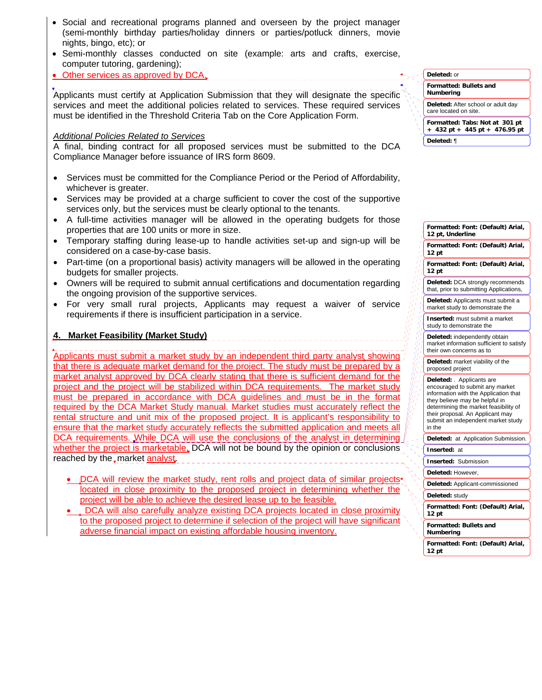- Social and recreational programs planned and overseen by the project manager (semi-monthly birthday parties/holiday dinners or parties/potluck dinners, movie nights, bingo, etc); or
- Semi-monthly classes conducted on site (example: arts and crafts, exercise, computer tutoring, gardening);
- Other services as approved by DCA

Applicants must certify at Application Submission that they will designate the specific services and meet the additional policies related to services. These required services must be identified in the Threshold Criteria Tab on the Core Application Form.

### *Additional Policies Related to Services*

A final, binding contract for all proposed services must be submitted to the DCA Compliance Manager before issuance of IRS form 8609.

- Services must be committed for the Compliance Period or the Period of Affordability, whichever is greater.
- Services may be provided at a charge sufficient to cover the cost of the supportive services only, but the services must be clearly optional to the tenants.
- A full-time activities manager will be allowed in the operating budgets for those properties that are 100 units or more in size.
- Temporary staffing during lease-up to handle activities set-up and sign-up will be considered on a case-by-case basis.
- Part-time (on a proportional basis) activity managers will be allowed in the operating budgets for smaller projects.
- Owners will be required to submit annual certifications and documentation regarding the ongoing provision of the supportive services.
- For very small rural projects, Applicants may request a waiver of service requirements if there is insufficient participation in a service.

## **4. Market Feasibility (Market Study)**

Applicants must submit a market study by an independent third party analyst showing that there is adequate market demand for the project. The study must be prepared by a market analyst approved by DCA clearly stating that there is sufficient demand for the project and the project will be stabilized within DCA requirements. The market study must be prepared in accordance with DCA guidelines and must be in the format required by the DCA Market Study manual. Market studies must accurately reflect the rental structure and unit mix of the proposed project. It is applicant's responsibility to ensure that the market study accurately reflects the submitted application and meets all DCA requirements. While DCA will use the conclusions of the analyst in determining whether the project is marketable, DCA will not be bound by the opinion or conclusions reached by the market analyst.

- DCA will review the market study, rent rolls and project data of similar projects<sup>+</sup>. located in close proximity to the proposed project in determining whether the project will be able to achieve the desired lease up to be feasible.
- DCA will also carefully analyze existing DCA projects located in close proximity to the proposed project to determine if selection of the project will have significant adverse financial impact on existing affordable housing inventory.

**Formatted: Bullets and Numbering Formatted: Tabs: Not at 301 pt + 432 pt + 445 pt + 476.95 pt Deleted:** or **Deleted:** After school or adult day care located on site. **Deleted:** ¶

| Formatted: Font: (Default) Arial,<br>12 pt, Underline                                                                                                                                                                                                                |
|----------------------------------------------------------------------------------------------------------------------------------------------------------------------------------------------------------------------------------------------------------------------|
| Formatted: Font: (Default) Arial,<br>12 <sub>pt</sub>                                                                                                                                                                                                                |
| Formatted: Font: (Default) Arial,<br>12 <sub>pt</sub>                                                                                                                                                                                                                |
| Deleted: DCA strongly recommends<br>that, prior to submitting Applications,                                                                                                                                                                                          |
| Deleted: Applicants must submit a<br>market study to demonstrate the                                                                                                                                                                                                 |
| <b>Inserted:</b> must submit a market<br>study to demonstrate the                                                                                                                                                                                                    |
| Deleted: independently obtain<br>market information sufficient to satisfy<br>their own concerns as to                                                                                                                                                                |
| Deleted: market viability of the<br>proposed project                                                                                                                                                                                                                 |
| Deleted: . Applicants are<br>encouraged to submit any market<br>information with the Application that<br>they believe may be helpful in<br>determining the market feasibility of<br>their proposal. An Applicant may<br>submit an independent market study<br>in the |
| at Application Submission.<br>Deleted:                                                                                                                                                                                                                               |
| Inserted:<br>at                                                                                                                                                                                                                                                      |
| Submission<br>Inserted:                                                                                                                                                                                                                                              |
| Deleted: However,                                                                                                                                                                                                                                                    |
| Deleted: Applicant-commissioned                                                                                                                                                                                                                                      |
| Deleted: study                                                                                                                                                                                                                                                       |
| Formatted: Font: (Default) Arial,<br>12 pt                                                                                                                                                                                                                           |
| Formatted: Bullets and<br>Numbering                                                                                                                                                                                                                                  |
| Formatted: Font: (Default) Arial,<br>12 pt                                                                                                                                                                                                                           |
|                                                                                                                                                                                                                                                                      |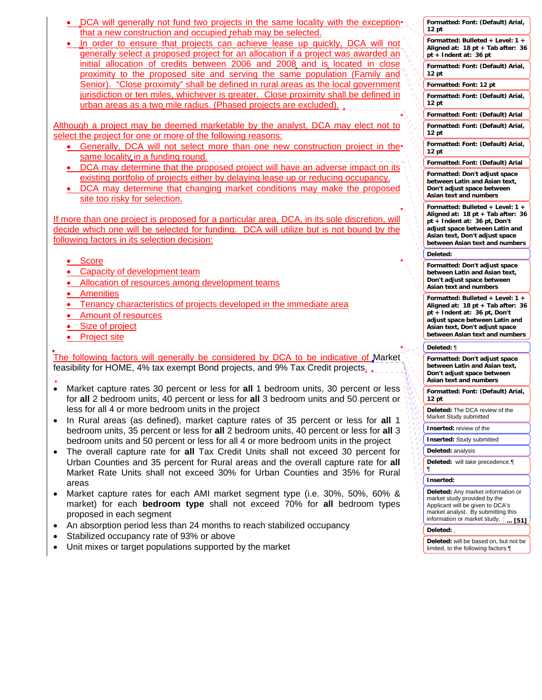- DCA will generally not fund two projects in the same locality with the exception  $\cdot$ that a new construction and occupied rehab may be selected.
- In order to ensure that projects can achieve lease up quickly, DCA will not generally select a proposed project for an allocation if a project was awarded an initial allocation of credits between 2006 and 2008 and is located in close proximity to the proposed site and serving the same population (Family and Senior). "Close proximity" shall be defined in rural areas as the local government jurisdiction or ten miles, whichever is greater. Close proximity shall be defined in urban areas as a two mile radius. (Phased projects are excluded).

Although a project may be deemed marketable by the analyst, DCA may elect not to select the project for one or more of the following reasons:

- Generally, DCA will not select more than one new construction project in the same locality in a funding round.
- DCA may determine that the proposed project will have an adverse impact on its existing portfolio of projects either by delaying lease up or reducing occupancy.
- DCA may determine that changing market conditions may make the proposed site too risky for selection.

If more than one project is proposed for a particular area, DCA, in its sole discretion, will decide which one will be selected for funding. DCA will utilize but is not bound by the following factors in its selection decision:

- Score
- Capacity of development team
- Allocation of resources among development teams
- Amenities
- Tenancy characteristics of projects developed in the immediate area
- Amount of resources
- Size of project
- Project site

The following factors will generally be considered by DCA to be indicative of Market feasibility for HOME, 4% tax exempt Bond projects, and 9% Tax Credit projects.

- J • Market capture rates 30 percent or less for all 1 bedroom units, 30 percent or less for **all** 2 bedroom units, 40 percent or less for **all** 3 bedroom units and 50 percent or less for all 4 or more bedroom units in the project
- In Rural areas (as defined), market capture rates of 35 percent or less for **all** 1 bedroom units, 35 percent or less for **all** 2 bedroom units, 40 percent or less for **all** 3 bedroom units and 50 percent or less for all 4 or more bedroom units in the project
- The overall capture rate for **all** Tax Credit Units shall not exceed 30 percent for Urban Counties and 35 percent for Rural areas and the overall capture rate for **all** Market Rate Units shall not exceed 30% for Urban Counties and 35% for Rural areas
- Market capture rates for each AMI market segment type (i.e. 30%, 50%, 60% & market) for each **bedroom type** shall not exceed 70% for **all** bedroom types proposed in each segment
- An absorption period less than 24 months to reach stabilized occupancy
- Stabilized occupancy rate of 93% or above
- Unit mixes or target populations supported by the market

|                                  | Formatted: Font: (Default) Arial,<br>12 <sub>pt</sub>                                                                                                                                                          |
|----------------------------------|----------------------------------------------------------------------------------------------------------------------------------------------------------------------------------------------------------------|
|                                  | Formatted: Bulleted + Level: 1                                                                                                                                                                                 |
|                                  | Aligned at: 18 pt + Tab after: 36<br>pt + Indent at: 36 pt                                                                                                                                                     |
|                                  | Formatted: Font: (Default) Arial,<br>12 pt                                                                                                                                                                     |
|                                  | Formatted: Font: 12 pt                                                                                                                                                                                         |
|                                  | Formatted: Font: (Default) Arial,<br>12 pt                                                                                                                                                                     |
|                                  | Formatted: Font: (Default) Arial                                                                                                                                                                               |
|                                  | Formatted: Font: (Default) Arial,<br>12 pt                                                                                                                                                                     |
|                                  | Formatted: Font: (Default) Arial,<br>12 pt                                                                                                                                                                     |
|                                  | Formatted: Font: (Default) Arial                                                                                                                                                                               |
|                                  | Formatted: Don't adjust space<br>between Latin and Asian text,<br>Don't adjust space between<br>Asian text and numbers                                                                                         |
|                                  | Formatted: Bulleted + Level: 1 +<br>Aligned at: 18 pt + Tab after: 36<br>pt + Indent at: 36 pt, Don't<br>adjust space between Latin and<br>Asian text, Don't adjust space<br>between Asian text and numbers    |
|                                  | Deleted:                                                                                                                                                                                                       |
|                                  | Formatted: Don't adjust space                                                                                                                                                                                  |
|                                  | between Latin and Asian text,<br>Don't adjust space between<br>Asian text and numbers                                                                                                                          |
|                                  | Formatted: Bulleted + Level: 1 +<br>Aligned at: 18 pt + Tab after:<br>36<br>pt + Indent at: 36 pt, Don't<br>adjust space between Latin and<br>Asian text, Don't adjust space<br>between Asian text and numbers |
|                                  | Deleted: ¶                                                                                                                                                                                                     |
|                                  | Formatted: Don't adjust space<br>between Latin and Asian text,<br>Don't adjust space between<br>Asian text and numbers                                                                                         |
|                                  | Formatted: Font: (Default) Arial,<br>12 pt                                                                                                                                                                     |
|                                  | Deleted: The DCA<br>revi<br>Market Study submitted                                                                                                                                                             |
| 4                                | <b>Inserted:</b> review of the                                                                                                                                                                                 |
| ٧                                | <b>Inserted: Study submitted</b>                                                                                                                                                                               |
| I)<br>V<br>I)                    | Deleted: analysis                                                                                                                                                                                              |
| V<br>ø<br>I)<br>ø<br>ψ<br>ų      | Deleted: will take precedence.<br>ſ                                                                                                                                                                            |
| V<br>ŋ,<br>V                     | Inserted:                                                                                                                                                                                                      |
| ŋ,<br>ψ<br>ψ<br>ø<br>ø<br>ψ<br>١ | Deleted: Any market information or<br>market study provided by the<br>Applicant will be given to DCA's<br>market analyst. By submitting this<br>information or market study,<br>… [51]                         |
|                                  | Deleted:                                                                                                                                                                                                       |
|                                  | Deleted: will be based on, but not be<br>limited, to the following factors:                                                                                                                                    |
|                                  |                                                                                                                                                                                                                |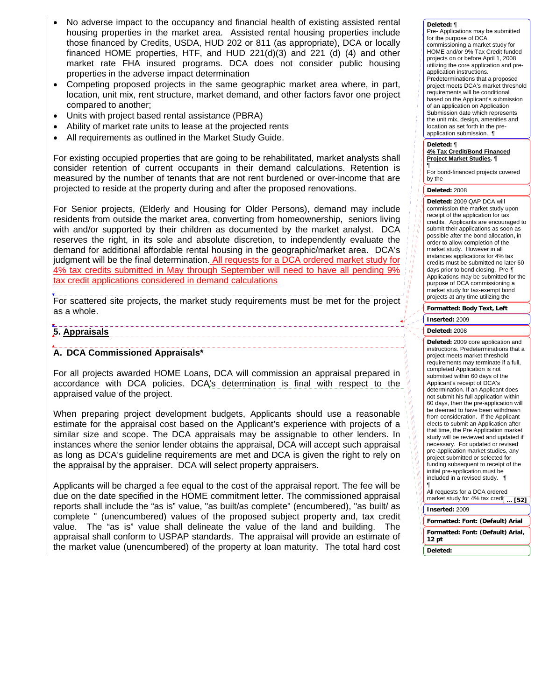- No adverse impact to the occupancy and financial health of existing assisted rental housing properties in the market area. Assisted rental housing properties include those financed by Credits, USDA, HUD 202 or 811 (as appropriate), DCA or locally financed HOME properties, HTF, and HUD 221(d)(3) and 221 (d) (4) and other market rate FHA insured programs. DCA does not consider public housing properties in the adverse impact determination
- Competing proposed projects in the same geographic market area where, in part, location, unit mix, rent structure, market demand, and other factors favor one project compared to another;
- Units with project based rental assistance (PBRA)
- Ability of market rate units to lease at the projected rents
- All requirements as outlined in the Market Study Guide.

For existing occupied properties that are going to be rehabilitated, market analysts shall consider retention of current occupants in their demand calculations. Retention is measured by the number of tenants that are not rent burdened or over-income that are projected to reside at the property during and after the proposed renovations.

For Senior projects, (Elderly and Housing for Older Persons), demand may include residents from outside the market area, converting from homeownership, seniors living with and/or supported by their children as documented by the market analyst. DCA reserves the right, in its sole and absolute discretion, to independently evaluate the demand for additional affordable rental housing in the geographic/market area. DCA's judgment will be the final determination. All requests for a DCA ordered market study for 4% tax credits submitted in May through September will need to have all pending 9% tax credit applications considered in demand calculations

For scattered site projects, the market study requirements must be met for the project as a whole.

### **5. Appraisals**

### **A. DCA Commissioned Appraisals\***

For all projects awarded HOME Loans, DCA will commission an appraisal prepared in accordance with DCA policies. DCA's determination is final with respect to the appraised value of the project.

When preparing project development budgets, Applicants should use a reasonable estimate for the appraisal cost based on the Applicant's experience with projects of a similar size and scope. The DCA appraisals may be assignable to other lenders. In instances where the senior lender obtains the appraisal, DCA will accept such appraisal as long as DCA's guideline requirements are met and DCA is given the right to rely on the appraisal by the appraiser. DCA will select property appraisers.

Applicants will be charged a fee equal to the cost of the appraisal report. The fee will be due on the date specified in the HOME commitment letter. The commissioned appraisal reports shall include the "as is" value, "as built/as complete" (encumbered), "as built/ as complete " (unencumbered) values of the proposed subject property and, tax credit value. The "as is" value shall delineate the value of the land and building. The appraisal shall conform to USPAP standards. The appraisal will provide an estimate of the market value (unencumbered) of the property at loan maturity. The total hard cost

### **Deleted:** ¶

Pre- Applications may be submitted for the purpose of DCA commissioning a market study for HOME and/or 9% Tax Credit funded projects on or before April 1, 2008 utilizing the core application and preapplication instructions. Predeterminations that a proposed project meets DCA's market threshold requirements will be conditional based on the Applicant's submission of an application on Application Submission date which represents the unit mix, design, amenities and location as set forth in the preapplication submission. ¶

#### **Deleted:** ¶ **4% Tax Credit/Bond Financed Project Market Studies.** ¶

¶ For bond-financed projects covered by the

### **Deleted:** 2008

**Deleted:** 2009 QAP DCA will commission the market study upon receipt of the application for tax credits. Applicants are encouraged to submit their applications as soon as possible after the bond allocation**,** in order to allow completion of the market study. However in all instances applications for 4% tax credits must be submitted no later 60 days prior to bond closing. Pre-¶ Applications may be submitted for the purpose of DCA commissioning a market study for tax-exempt bond projects at any time utilizing the

**Formatted: Body Text, Left**

# **Inserted:** 2009

### **Deleted:** 2008

**Deleted:** 2009 core application and instructions. Predeterminations that a project meets market threshold requirements may terminate if a full, completed Application is not submitted within 60 days of the Applicant's receipt of DCA's determination. If an Applicant does not submit his full application within 60 days, then the pre-application will be deemed to have been withdrawn from consideration. If the Applicant elects to submit an Application after that time, the Pre Application market study will be reviewed and updated if necessary. For updated or revised pre-application market studies, any project submitted or selected for funding subsequent to receipt of the initial pre-application must be included in a revised study. ¶

All requests for a DCA ordered market study for  $4\%$  tax credi **Inserted:** 2009 **... [52]**

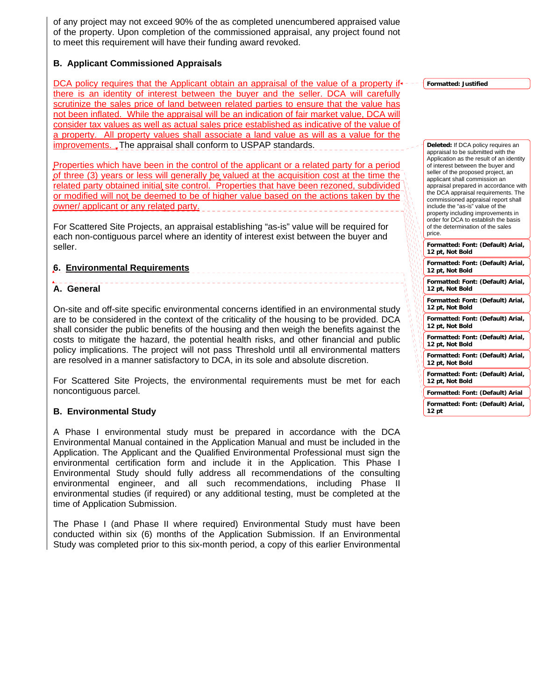of any project may not exceed 90% of the as completed unencumbered appraised value of the property. Upon completion of the commissioned appraisal, any project found not to meet this requirement will have their funding award revoked.

## **B. Applicant Commissioned Appraisals**

DCA policy requires that the Applicant obtain an appraisal of the value of a property if there is an identity of interest between the buyer and the seller. DCA will carefully scrutinize the sales price of land between related parties to ensure that the value has not been inflated. While the appraisal will be an indication of fair market value, DCA will consider tax values as well as actual sales price established as indicative of the value of a property. All property values shall associate a land value as will as a value for the improvements. The appraisal shall conform to USPAP standards.

Properties which have been in the control of the applicant or a related party for a period of three (3) years or less will generally be valued at the acquisition cost at the time the related party obtained initial site control. Properties that have been rezoned, subdivided or modified will not be deemed to be of higher value based on the actions taken by the owner/ applicant or any related party.

For Scattered Site Projects, an appraisal establishing "as-is" value will be required for each non-contiguous parcel where an identity of interest exist between the buyer and seller.

## **6. Environmental Requirements**

## **A. General**

On-site and off-site specific environmental concerns identified in an environmental study are to be considered in the context of the criticality of the housing to be provided. DCA shall consider the public benefits of the housing and then weigh the benefits against the costs to mitigate the hazard, the potential health risks, and other financial and public policy implications. The project will not pass Threshold until all environmental matters are resolved in a manner satisfactory to DCA, in its sole and absolute discretion.

For Scattered Site Projects, the environmental requirements must be met for each noncontiguous parcel.

### **B. Environmental Study**

A Phase I environmental study must be prepared in accordance with the DCA Environmental Manual contained in the Application Manual and must be included in the Application. The Applicant and the Qualified Environmental Professional must sign the environmental certification form and include it in the Application. This Phase I Environmental Study should fully address all recommendations of the consulting environmental engineer, and all such recommendations, including Phase II environmental studies (if required) or any additional testing, must be completed at the time of Application Submission.

The Phase I (and Phase II where required) Environmental Study must have been conducted within six (6) months of the Application Submission. If an Environmental Study was completed prior to this six-month period, a copy of this earlier Environmental **Formatted: Justified**

**Deleted:** If DCA policy requires an

**Formatted: Font: (Default) Arial, 12 pt, Not Bold Formatted: Font: (Default) Arial, 12 pt, Not Bold Formatted: Font: (Default) Arial, 12 pt, Not Bold Formatted: Font: (Default) Arial, 12 pt, Not Bold Formatted: Font: (Default) Arial, 12 pt, Not Bold Formatted: Font: (Default) Arial, 12 pt, Not Bold Formatted: Font: (Default) Arial, 12 pt, Not Bold Formatted: Font: (Default) Arial, 12 pt, Not Bold Formatted: Font: (Default) Arial Formatted: Font: (Default) Arial, 12 pt** appraisal to be submitted with the Application as the result of an identity of interest between the buyer and seller of the proposed project, an applicant shall commission an appraisal prepared in accordance with the DCA appraisal requirements. The commissioned appraisal report shall include the "as-is" value of the property including improvements in order for DCA to establish the basis of the determination of the sales price.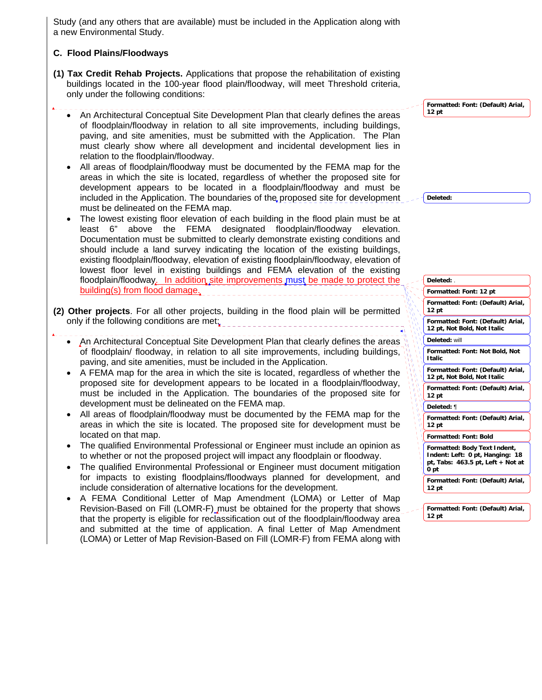Study (and any others that are available) must be included in the Application along with a new Environmental Study.

## **C. Flood Plains/Floodways**

- **(1) Tax Credit Rehab Projects.** Applications that propose the rehabilitation of existing buildings located in the 100-year flood plain/floodway, will meet Threshold criteria, only under the following conditions:
	- An Architectural Conceptual Site Development Plan that clearly defines the areas of floodplain/floodway in relation to all site improvements, including buildings, paving, and site amenities, must be submitted with the Application. The Plan must clearly show where all development and incidental development lies in relation to the floodplain/floodway.
	- All areas of floodplain/floodway must be documented by the FEMA map for the areas in which the site is located, regardless of whether the proposed site for development appears to be located in a floodplain/floodway and must be included in the Application. The boundaries of the proposed site for development must be delineated on the FEMA map.
	- The lowest existing floor elevation of each building in the flood plain must be at least 6" above the FEMA designated floodplain/floodway elevation. Documentation must be submitted to clearly demonstrate existing conditions and should include a land survey indicating the location of the existing buildings, existing floodplain/floodway, elevation of existing floodplain/floodway, elevation of lowest floor level in existing buildings and FEMA elevation of the existing floodplain/floodway. In addition site improvements must be made to protect the building(s) from flood damage.
- **(2) Other projects**. For all other projects, building in the flood plain will be permitted only if the following conditions are met:
	- An Architectural Conceptual Site Development Plan that clearly defines the areas of floodplain/ floodway, in relation to all site improvements, including buildings, paving, and site amenities, must be included in the Application.
	- A FEMA map for the area in which the site is located, regardless of whether the proposed site for development appears to be located in a floodplain/floodway, must be included in the Application. The boundaries of the proposed site for development must be delineated on the FEMA map.
	- All areas of floodplain/floodway must be documented by the FEMA map for the areas in which the site is located. The proposed site for development must be located on that map.
	- The qualified Environmental Professional or Engineer must include an opinion as to whether or not the proposed project will impact any floodplain or floodway.
	- The qualified Environmental Professional or Engineer must document mitigation for impacts to existing floodplains/floodways planned for development, and include consideration of alternative locations for the development.
	- A FEMA Conditional Letter of Map Amendment (LOMA) or Letter of Map Revision-Based on Fill (LOMR-F) must be obtained for the property that shows that the property is eligible for reclassification out of the floodplain/floodway area and submitted at the time of application. A final Letter of Map Amendment (LOMA) or Letter of Map Revision-Based on Fill (LOMR-F) from FEMA along with

**Formatted: Font: (Default) Arial, 12 pt**

**Deleted:** 

| Deleted: .                                                                                                                |
|---------------------------------------------------------------------------------------------------------------------------|
| Formatted: Font: 12 pt                                                                                                    |
| Formatted: Font: (Default) Arial,<br>12 pt                                                                                |
| Formatted: Font: (Default) Arial,<br>12 pt, Not Bold, Not Italic                                                          |
| Deleted: will                                                                                                             |
| Formatted: Font: Not Bold, Not<br><b>Italic</b>                                                                           |
| Formatted: Font: (Default) Arial,<br>12 pt, Not Bold, Not Italic                                                          |
| Formatted: Font: (Default) Arial,<br>12 pt                                                                                |
| Deleted: ¶                                                                                                                |
| Formatted: Font: (Default) Arial,<br>12 pt                                                                                |
| <b>Formatted: Font: Bold</b>                                                                                              |
| Formatted: Body Text Indent,<br>Indent: Left: 0 pt, Hanging: 18<br>pt, Tabs: $463.5$ pt, Left + Not at<br>0 <sub>pt</sub> |
| Formatted: Font: (Default) Arial,<br>12 pt                                                                                |
|                                                                                                                           |
| Formatted: Font: (Default) Arial,<br>12 pt                                                                                |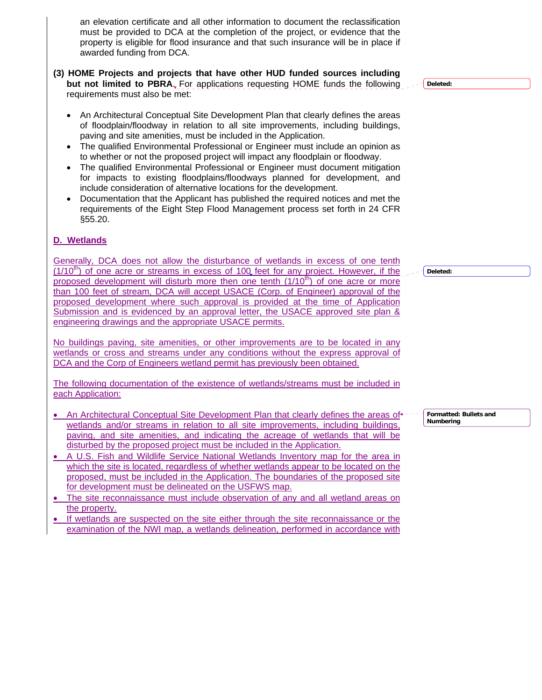an elevation certificate and all other information to document the reclassification must be provided to DCA at the completion of the project, or evidence that the property is eligible for flood insurance and that such insurance will be in place if awarded funding from DCA.

- **(3) HOME Projects and projects that have other HUD funded sources including but not limited to PBRA**. For applications requesting HOME funds the following requirements must also be met:
	- An Architectural Conceptual Site Development Plan that clearly defines the areas of floodplain/floodway in relation to all site improvements, including buildings, paving and site amenities, must be included in the Application.
	- The qualified Environmental Professional or Engineer must include an opinion as to whether or not the proposed project will impact any floodplain or floodway.
	- The qualified Environmental Professional or Engineer must document mitigation for impacts to existing floodplains/floodways planned for development, and include consideration of alternative locations for the development.
	- Documentation that the Applicant has published the required notices and met the requirements of the Eight Step Flood Management process set forth in 24 CFR §55.20.

## **D. Wetlands**

Generally, DCA does not allow the disturbance of wetlands in excess of one tenth  $(1/10<sup>th</sup>)$  of one acre or streams in excess of 100 feet for any project. However, if the proposed development will disturb more then one tenth  $(1/10<sup>th</sup>)$  of one acre or more than 100 feet of stream, DCA will accept USACE (Corp. of Engineer) approval of the proposed development where such approval is provided at the time of Application Submission and is evidenced by an approval letter, the USACE approved site plan & engineering drawings and the appropriate USACE permits.

No buildings paving, site amenities, or other improvements are to be located in any wetlands or cross and streams under any conditions without the express approval of DCA and the Corp of Engineers wetland permit has previously been obtained.

The following documentation of the existence of wetlands/streams must be included in each Application:

- An Architectural Conceptual Site Development Plan that clearly defines the areas of wetlands and/or streams in relation to all site improvements, including buildings, paving, and site amenities, and indicating the acreage of wetlands that will be disturbed by the proposed project must be included in the Application.
- A U.S. Fish and Wildlife Service National Wetlands Inventory map for the area in which the site is located, regardless of whether wetlands appear to be located on the proposed, must be included in the Application. The boundaries of the proposed site for development must be delineated on the USFWS map.
- The site reconnaissance must include observation of any and all wetland areas on the property.
- If wetlands are suspected on the site either through the site reconnaissance or the examination of the NWI map, a wetlands delineation, performed in accordance with

**Deleted:** 

**Deleted:** 

**Formatted: Bullets and Numbering**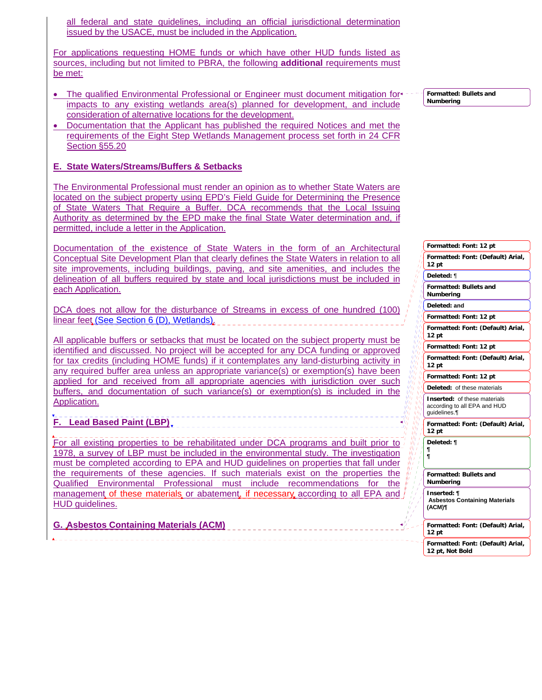all federal and state guidelines, including an official jurisdictional determination issued by the USACE, must be included in the Application.

For applications requesting HOME funds or which have other HUD funds listed as sources, including but not limited to PBRA, the following **additional** requirements must be met:

- The qualified Environmental Professional or Engineer must document mitigation for impacts to any existing wetlands area(s) planned for development, and include consideration of alternative locations for the development.
- Documentation that the Applicant has published the required Notices and met the requirements of the Eight Step Wetlands Management process set forth in 24 CFR Section §55.20

## **E. State Waters/Streams/Buffers & Setbacks**

The Environmental Professional must render an opinion as to whether State Waters are located on the subject property using EPD's Field Guide for Determining the Presence of State Waters That Require a Buffer. DCA recommends that the Local Issuing Authority as determined by the EPD make the final State Water determination and, if permitted, include a letter in the Application.

Documentation of the existence of State Waters in the form of an Architectural Conceptual Site Development Plan that clearly defines the State Waters in relation to all site improvements, including buildings, paving, and site amenities, and includes the delineation of all buffers required by state and local jurisdictions must be included in each Application.

DCA does not allow for the disturbance of Streams in excess of one hundred (100) linear feet (See Section 6 (D), Wetlands).

All applicable buffers or setbacks that must be located on the subject property must be identified and discussed. No project will be accepted for any DCA funding or approved for tax credits (including HOME funds) if it contemplates any land-disturbing activity in any required buffer area unless an appropriate variance(s) or exemption(s) have been applied for and received from all appropriate agencies with jurisdiction over such buffers, and documentation of such variance(s) or exemption(s) is included in the Application.

**F. Lead Based Paint (LBP)** 

For all existing properties to be rehabilitated under DCA programs and built prior to 1978, a survey of LBP must be included in the environmental study. The investigation must be completed according to EPA and HUD guidelines on properties that fall under the requirements of these agencies. If such materials exist on the properties the Qualified Environmental Professional must include recommendations for the management of these materials or abatement, if necessary according to all EPA and HUD guidelines.

**G. Asbestos Containing Materials (ACM)**

**Formatted: Bullets and Numbering**

**Formatted: Font: 12 pt Formatted: Font: (Default) Arial, 12 pt Formatted: Bullets and Numbering Formatted: Font: 12 pt Formatted: Font: (Default) Arial, 12 pt Formatted: Font: 12 pt Formatted: Font: (Default) Arial, 12 pt Formatted: Font: 12 pt Formatted: Font: (Default) Arial, 12 pt Formatted: Bullets and Numbering Formatted: Font: (Default) Arial, 12 pt Formatted: Font: (Default) Arial, 12 pt, Not Bold Deleted:** ¶ **Deleted: and Deleted:** of these materials **Inserted:** of these materials according to all EPA and HUD guidelines.¶ **Deleted: ¶ ¶ ¶ Inserted: ¶ Asbestos Containing Materials (ACM)¶**

Ī.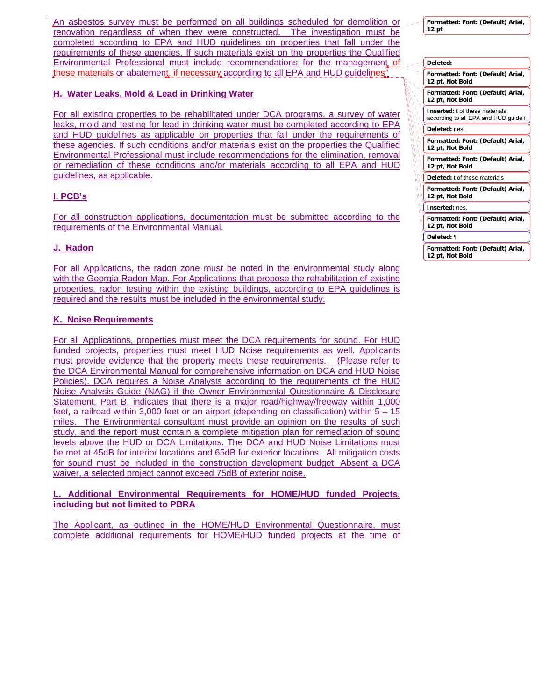An asbestos survey must be performed on all buildings scheduled for demolition or renovation regardless of when they were constructed. The investigation must be completed according to EPA and HUD guidelines on properties that fall under the requirements of these agencies. If such materials exist on the properties the Qualified Environmental Professional must include recommendations for the management of these materials or abatement, if necessary according to all EPA and HUD guidelines*"*

## **H. Water Leaks, Mold & Lead in Drinking Water**

For all existing properties to be rehabilitated under DCA programs, a survey of water leaks, mold and testing for lead in drinking water must be completed according to EPA and HUD guidelines as applicable on properties that fall under the requirements of these agencies. If such conditions and/or materials exist on the properties the Qualified Environmental Professional must include recommendations for the elimination, removal or remediation of these conditions and/or materials according to all EPA and HUD guidelines, as applicable.

# **I. PCB's**

For all construction applications, documentation must be submitted according to the requirements of the Environmental Manual.

# **J. Radon**

For all Applications, the radon zone must be noted in the environmental study along with the Georgia Radon Map. For Applications that propose the rehabilitation of existing properties, radon testing within the existing buildings, according to EPA guidelines is required and the results must be included in the environmental study.

## **K. Noise Requirements**

For all Applications, properties must meet the DCA requirements for sound. For HUD funded projects, properties must meet HUD Noise requirements as well. Applicants must provide evidence that the property meets these requirements. (Please refer to the DCA Environmental Manual for comprehensive information on DCA and HUD Noise Policies). DCA requires a Noise Analysis according to the requirements of the HUD Noise Analysis Guide (NAG) if the Owner Environmental Questionnaire & Disclosure Statement, Part B, indicates that there is a major road/highway/freeway within 1,000 feet, a railroad within 3,000 feet or an airport (depending on classification) within 5 – 15 miles. The Environmental consultant must provide an opinion on the results of such study, and the report must contain a complete mitigation plan for remediation of sound levels above the HUD or DCA Limitations. The DCA and HUD Noise Limitations must be met at 45dB for interior locations and 65dB for exterior locations. All mitigation costs for sound must be included in the construction development budget. Absent a DCA waiver, a selected project cannot exceed 75dB of exterior noise.

**L. Additional Environmental Requirements for HOME/HUD funded Projects, including but not limited to PBRA**

The Applicant, as outlined in the HOME/HUD Environmental Questionnaire, must complete additional requirements for HOME/HUD funded projects at the time of

**Formatted: Font: (Default) Arial, 12 pt**

| Deleted: |                                                                               |
|----------|-------------------------------------------------------------------------------|
|          | Formatted: Font: (Default) Arial,<br>12 pt, Not Bold                          |
|          | Formatted: Font: (Default) Arial,<br>12 pt, Not Bold                          |
|          | <b>Inserted:</b> t of these materials<br>according to all EPA and HUD guideli |
|          | Deleted: nes.                                                                 |
|          | Formatted: Font: (Default) Arial,<br>12 pt, Not Bold                          |
|          | Formatted: Font: (Default) Arial,<br>12 pt, Not Bold                          |
|          | Deleted: t of these materials                                                 |
|          | Formatted: Font: (Default) Arial,<br>12 pt, Not Bold                          |
|          | Inserted: nes.                                                                |
|          | Formatted: Font: (Default) Arial,<br>12 pt, Not Bold                          |
|          | Deleted: ¶                                                                    |
|          | Formatted: Font: (Default) Arial,<br>12 pt, Not Bold                          |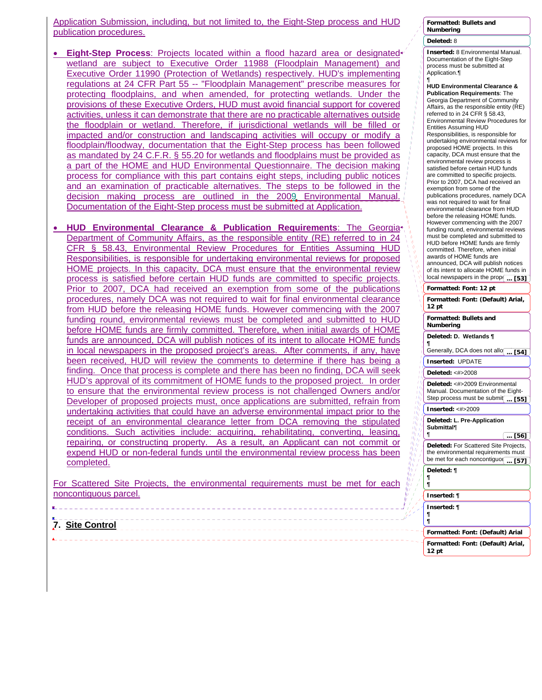Application Submission, including, but not limited to, the Eight-Step process and HUD publication procedures.

- **Eight-Step Process**: Projects located within a flood hazard area or designated wetland are subject to Executive Order 11988 (Floodplain Management) and Executive Order 11990 (Protection of Wetlands) respectively. HUD's implementing regulations at 24 CFR Part 55 -- "Floodplain Management" prescribe measures for protecting floodplains, and when amended, for protecting wetlands. Under the provisions of these Executive Orders, HUD must avoid financial support for covered activities, unless it can demonstrate that there are no practicable alternatives outside the floodplain or wetland. Therefore, if jurisdictional wetlands will be filled or impacted and/or construction and landscaping activities will occupy or modify a floodplain/floodway, documentation that the Eight-Step process has been followed as mandated by 24 C.F.R. § 55.20 for wetlands and floodplains must be provided as a part of the HOME and HUD Environmental Questionnaire. The decision making process for compliance with this part contains eight steps, including public notices and an examination of practicable alternatives. The steps to be followed in the decision making process are outlined in the 2009. Environmental Manual. Documentation of the Eight-Step process must be submitted at Application.
- **HUD Environmental Clearance & Publication Requirements**: The Georgia Department of Community Affairs, as the responsible entity (RE) referred to in 24 CFR § 58.43, Environmental Review Procedures for Entities Assuming HUD Responsibilities, is responsible for undertaking environmental reviews for proposed HOME projects. In this capacity, DCA must ensure that the environmental review process is satisfied before certain HUD funds are committed to specific projects. Prior to 2007, DCA had received an exemption from some of the publications procedures, namely DCA was not required to wait for final environmental clearance from HUD before the releasing HOME funds. However commencing with the 2007 funding round, environmental reviews must be completed and submitted to HUD before HOME funds are firmly committed. Therefore, when initial awards of HOME funds are announced, DCA will publish notices of its intent to allocate HOME funds in local newspapers in the proposed project's areas. After comments, if any, have been received, HUD will review the comments to determine if there has being a finding. Once that process is complete and there has been no finding, DCA will seek HUD's approval of its commitment of HOME funds to the proposed project. In order to ensure that the environmental review process is not challenged Owners and/or Developer of proposed projects must, once applications are submitted, refrain from undertaking activities that could have an adverse environmental impact prior to the receipt of an environmental clearance letter from DCA removing the stipulated conditions. Such activities include: acquiring, rehabilitating, converting, leasing, repairing, or constructing property. As a result, an Applicant can not commit or expend HUD or non-federal funds until the environmental review process has been completed. (唐朝) 1999年

|                       |  | For Scattered Site Projects, the environmental requirements must be met for each |  |  |  |
|-----------------------|--|----------------------------------------------------------------------------------|--|--|--|
| noncontiguous parcel. |  |                                                                                  |  |  |  |

**7. Site Control Formatted: Font: (Default) Arial, 12 pt Formatted: Font: (Default) Arial Inserted: ¶ ¶ ¶**

### **Formatted: Bullets and Numbering Deleted:** 8

¶

¶

**Deleted: ¶ ¶ ¶ Inserted: ¶**

**Inserted:** 8 Environmental Manual. Documentation of the Eight-Step process must be submitted at Application.¶

**Formatted: Font: 12 pt Formatted: Font: (Default) Arial, 12 pt Formatted: Bullets and Numbering HUD Environmental Clearance & Publication Requirements**: The Georgia Department of Community Affairs, as the responsible entity (RE) referred to in 24 CFR § 58.43, Environmental Review Procedures for Entities Assuming HUD Responsibilities, is responsible for undertaking environmental reviews for proposed HOME projects. In this capacity, DCA must ensure that the environmental review process is satisfied before certain HUD funds are committed to specific projects. Prior to 2007, DCA had received an exemption from some of the publications procedures, namely DCA was not required to wait for final environmental clearance from HUD before the releasing HOME funds. However commencing with the 2007 funding round, environmental reviews must be completed and submitted to HUD before HOME funds are firmly committed. Therefore, when initial awards of HOME funds are announced, DCA will publish notices of its intent to allocate HOME funds in local newspapers in the prop $\boxed{... [53]}$ **Deleted: D. Wetlands ¶ ¶**<br>Generally, DCA does not allo<del>(</del> ... **[54] Inserted:** UPDATE **Deleted:** <#>2008 **Deleted:** <#>2009 Environmental Manual. Documentation of the Eight-Step process must be submit ... [55] **Inserted:** <#>2009 **Deleted: L. Pre-Application Submittal**¶

**Deleted:** For Scattered Site Projects, the environmental requirements must be met for each noncontiguou

**... [56]**

**... [57]**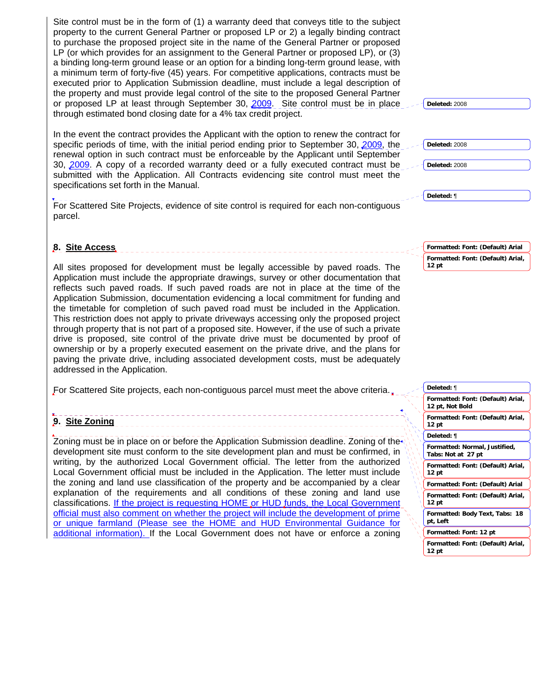Site control must be in the form of (1) a warranty deed that conveys title to the subject property to the current General Partner or proposed LP or 2) a legally binding contract to purchase the proposed project site in the name of the General Partner or proposed LP (or which provides for an assignment to the General Partner or proposed LP), or (3) a binding long-term ground lease or an option for a binding long-term ground lease, with a minimum term of forty-five (45) years. For competitive applications, contracts must be executed prior to Application Submission deadline, must include a legal description of the property and must provide legal control of the site to the proposed General Partner or proposed LP at least through September 30, 2009. Site control must be in place through estimated bond closing date for a 4% tax credit project.

In the event the contract provides the Applicant with the option to renew the contract for specific periods of time, with the initial period ending prior to September 30, 2009, the renewal option in such contract must be enforceable by the Applicant until September 30, 2009. A copy of a recorded warranty deed or a fully executed contract must be submitted with the Application. All Contracts evidencing site control must meet the specifications set forth in the Manual.

For Scattered Site Projects, evidence of site control is required for each non-contiguous parcel.

### **8. Site Access**

All sites proposed for development must be legally accessible by paved roads. The Application must include the appropriate drawings, survey or other documentation that reflects such paved roads. If such paved roads are not in place at the time of the Application Submission, documentation evidencing a local commitment for funding and the timetable for completion of such paved road must be included in the Application. This restriction does not apply to private driveways accessing only the proposed project through property that is not part of a proposed site. However, if the use of such a private drive is proposed, site control of the private drive must be documented by proof of ownership or by a properly executed easement on the private drive, and the plans for paving the private drive, including associated development costs, must be adequately addressed in the Application.

For Scattered Site projects, each non-contiguous parcel must meet the above criteria.

# **9. Site Zoning**

Zoning must be in place on or before the Application Submission deadline. Zoning of the development site must conform to the site development plan and must be confirmed, in writing, by the authorized Local Government official. The letter from the authorized Local Government official must be included in the Application. The letter must include the zoning and land use classification of the property and be accompanied by a clear explanation of the requirements and all conditions of these zoning and land use classifications. If the project is requesting HOME or HUD funds, the Local Government official must also comment on whether the project will include the development of prime or unique farmland (Please see the HOME and HUD Environmental Guidance for additional information). If the Local Government does not have or enforce a zoning

**Formatted: Font: (Default) Arial, 12 pt, Not Bold Formatted: Font: (Default) Arial, 12 pt Formatted: Normal, Justified, Tabs: Not at 27 pt Formatted: Font: (Default) Arial, 12 pt Formatted: Font: (Default) Arial Formatted: Font: (Default) Arial, 12 pt Formatted: Body Text, Tabs: 18 pt, Left Formatted: Font: 12 pt Formatted: Font: (Default) Arial, 12 pt Deleted:** ¶ **Deleted: ¶**

**Formatted: Font: (Default) Arial Formatted: Font: (Default) Arial, 12 pt**

**Deleted:** 2008

**Deleted:** 2008 **Deleted:** 2008

**Deleted:** ¶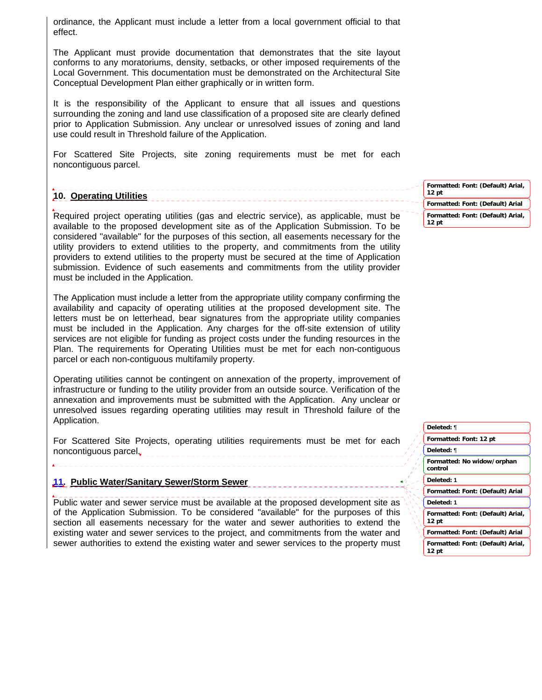ordinance, the Applicant must include a letter from a local government official to that effect.

The Applicant must provide documentation that demonstrates that the site layout conforms to any moratoriums, density, setbacks, or other imposed requirements of the Local Government. This documentation must be demonstrated on the Architectural Site Conceptual Development Plan either graphically or in written form.

It is the responsibility of the Applicant to ensure that all issues and questions surrounding the zoning and land use classification of a proposed site are clearly defined prior to Application Submission. Any unclear or unresolved issues of zoning and land use could result in Threshold failure of the Application.

For Scattered Site Projects, site zoning requirements must be met for each noncontiguous parcel.

# **10. Operating Utilities**

Required project operating utilities (gas and electric service), as applicable, must be available to the proposed development site as of the Application Submission. To be considered "available" for the purposes of this section, all easements necessary for the utility providers to extend utilities to the property, and commitments from the utility providers to extend utilities to the property must be secured at the time of Application submission. Evidence of such easements and commitments from the utility provider must be included in the Application.

The Application must include a letter from the appropriate utility company confirming the availability and capacity of operating utilities at the proposed development site. The letters must be on letterhead, bear signatures from the appropriate utility companies must be included in the Application. Any charges for the off-site extension of utility services are not eligible for funding as project costs under the funding resources in the Plan. The requirements for Operating Utilities must be met for each non-contiguous parcel or each non-contiguous multifamily property.

Operating utilities cannot be contingent on annexation of the property, improvement of infrastructure or funding to the utility provider from an outside source. Verification of the annexation and improvements must be submitted with the Application. Any unclear or unresolved issues regarding operating utilities may result in Threshold failure of the Application.

For Scattered Site Projects, operating utilities requirements must be met for each noncontiguous parcel, este expressive extensive extensive extensive extensive extensive extensive extensive extending to the extensive extending of the extensive extending of the extending of the extending of the extending

# **11. Public Water/Sanitary Sewer/Storm Sewer**

Public water and sewer service must be available at the proposed development site as of the Application Submission. To be considered "available" for the purposes of this section all easements necessary for the water and sewer authorities to extend the existing water and sewer services to the project, and commitments from the water and sewer authorities to extend the existing water and sewer services to the property must

**Formatted: Font: (Default) Arial, 12 pt Formatted: Font: (Default) Arial Formatted: Font: (Default) Arial, 12 pt**

| Deleted: ¶                                 |  |
|--------------------------------------------|--|
| Formatted: Font: 12 pt                     |  |
| Deleted: ¶                                 |  |
| Formatted: No widow/orphan<br>control      |  |
| Deleted: 1                                 |  |
| Formatted: Font: (Default) Arial           |  |
| Deleted: 1                                 |  |
| Formatted: Font: (Default) Arial,<br>12 pt |  |
| Formatted: Font: (Default) Arial           |  |
| Formatted: Font: (Default) Arial,<br>12 pt |  |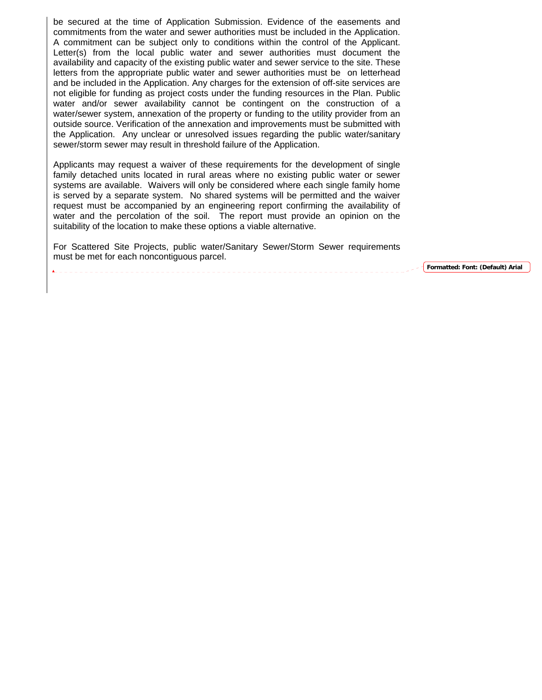be secured at the time of Application Submission. Evidence of the easements and commitments from the water and sewer authorities must be included in the Application. A commitment can be subject only to conditions within the control of the Applicant. Letter(s) from the local public water and sewer authorities must document the availability and capacity of the existing public water and sewer service to the site. These letters from the appropriate public water and sewer authorities must be on letterhead and be included in the Application. Any charges for the extension of off-site services are not eligible for funding as project costs under the funding resources in the Plan. Public water and/or sewer availability cannot be contingent on the construction of a water/sewer system, annexation of the property or funding to the utility provider from an outside source. Verification of the annexation and improvements must be submitted with the Application.Any unclear or unresolved issues regarding the public water/sanitary sewer/storm sewer may result in threshold failure of the Application.

Applicants may request a waiver of these requirements for the development of single family detached units located in rural areas where no existing public water or sewer systems are available. Waivers will only be considered where each single family home is served by a separate system. No shared systems will be permitted and the waiver request must be accompanied by an engineering report confirming the availability of water and the percolation of the soil. The report must provide an opinion on the suitability of the location to make these options a viable alternative.

For Scattered Site Projects, public water/Sanitary Sewer/Storm Sewer requirements must be met for each noncontiguous parcel.

\_\_\_\_\_\_\_\_\_\_\_\_\_\_\_\_\_\_\_\_\_

**Formatted: Font: (Default) Arial**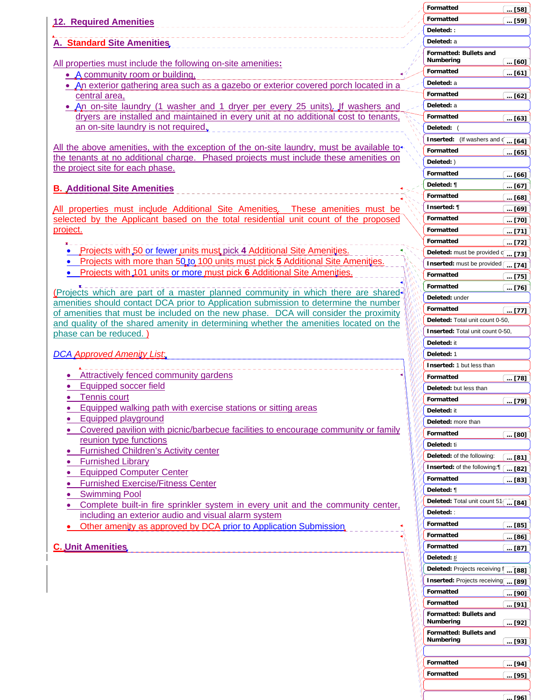|                                                                                                                                                                               | <b>Formatted</b><br>[58]                        |
|-------------------------------------------------------------------------------------------------------------------------------------------------------------------------------|-------------------------------------------------|
| <b>12. Required Amenities</b>                                                                                                                                                 | <b>Formatted</b><br>[59]                        |
|                                                                                                                                                                               | Deleted: :                                      |
| A. Standard Site Amenities                                                                                                                                                    | Deleted: a                                      |
|                                                                                                                                                                               | <b>Formatted: Bullets and</b>                   |
| All properties must include the following on-site amenities:                                                                                                                  | Numbering<br>[60]                               |
| • A community room or building,                                                                                                                                               | <b>Formatted</b><br>[61]                        |
| • An exterior gathering area such as a gazebo or exterior covered porch located in a                                                                                          | Deleted: a                                      |
| central area,                                                                                                                                                                 | <b>Formatted</b><br>[62]                        |
| • An on-site laundry (1 washer and 1 dryer per every 25 units). If washers and                                                                                                | Deleted: a                                      |
| dryers are installed and maintained in every unit at no additional cost to tenants,                                                                                           | Formatted<br>[63]                               |
| an on-site laundry is not required.                                                                                                                                           | Deleted: (                                      |
|                                                                                                                                                                               | Inserted: (If washers and of<br>[64]            |
| All the above amenities, with the exception of the on-site laundry, must be available to-                                                                                     | Formatted<br>$\ldots$ [65]                      |
| the tenants at no additional charge. Phased projects must include these amenities on<br>the project site for each phase.                                                      | Deleted: )                                      |
|                                                                                                                                                                               | <b>Formatted</b><br>[66]                        |
| <b>B. Additional Site Amenities</b>                                                                                                                                           | Deleted: ¶<br>[67]                              |
|                                                                                                                                                                               | Formatted<br>[68]                               |
| All properties must include Additional Site Amenities. These amenities must be                                                                                                | Inserted: ¶<br>[69]                             |
| selected by the Applicant based on the total residential unit count of the proposed                                                                                           | <b>Formatted</b><br>$\ldots$ [70]               |
| project.                                                                                                                                                                      | Formatted<br>$\left[\dots [71]\right]$          |
|                                                                                                                                                                               | <b>Formatted</b><br>$\overline{ [72]}$          |
| • Projects with 50 or fewer units must pick 4 Additional Site Amenities.                                                                                                      | Deleted: must be provided of<br>[73]            |
| • Projects with more than 50 to 100 units must pick 5 Additional Site Amenities.                                                                                              | Inserted: must be provided<br>[74]              |
| • Projects with 101 units or more must pick 6 Additional Site Amenities.                                                                                                      | Formatted<br>[75]                               |
|                                                                                                                                                                               | Formatted<br>$$ [76]                            |
| (Projects which are part of a master planned community in which there are shared-                                                                                             | Deleted: under                                  |
| amenities should contact DCA prior to Application submission to determine the number                                                                                          | <b>Formatted</b><br>[77]                        |
| of amenities that must be included on the new phase. DCA will consider the proximity<br>and quality of the shared amenity in determining whether the amenities located on the | Deleted: Total unit count 0-50,                 |
| phase can be reduced.)                                                                                                                                                        | Inserted: Total unit count 0-50,                |
|                                                                                                                                                                               | Deleted: it                                     |
| <b>DCA Approved Amenity List.</b>                                                                                                                                             | Deleted: 1                                      |
|                                                                                                                                                                               | Inserted: 1 but less than                       |
| Attractively fenced community gardens                                                                                                                                         | Formatted<br>[78]                               |
| Equipped soccer field                                                                                                                                                         | Deleted: but less than                          |
| <b>Tennis court</b>                                                                                                                                                           | Formatted<br>$\ldots$ [79] $\,$                 |
| Equipped walking path with exercise stations or sitting areas                                                                                                                 | Deleted: it                                     |
| <b>Equipped playground</b>                                                                                                                                                    | Deleted: more than                              |
| Covered pavilion with picnic/barbecue facilities to encourage community or family                                                                                             | <b>Formatted</b><br>[80]                        |
| reunion type functions                                                                                                                                                        | Deleted: ti                                     |
| <b>Furnished Children's Activity center</b>                                                                                                                                   | Deleted: of the following:<br>… [81]            |
| <b>Furnished Library</b>                                                                                                                                                      | Inserted: of the following:<br>[82]             |
| <b>Equipped Computer Center</b><br>٠                                                                                                                                          | Formatted<br>[83]                               |
| <b>Furnished Exercise/Fitness Center</b>                                                                                                                                      | Deleted: ¶                                      |
| <b>Swimming Pool</b>                                                                                                                                                          | Deleted: Total unit count $51$ [ [84]           |
| Complete built-in fire sprinkler system in every unit and the community center,<br>including an exterior audio and visual alarm system                                        | Deleted: :                                      |
| Other amenity as approved by DCA prior to Application Submission.                                                                                                             | Formatted<br>$\ldots$ [85]                      |
|                                                                                                                                                                               | Formatted<br>[86]                               |
| <b>C. Unit Amenities</b>                                                                                                                                                      | Formatted<br>$\ldots$ [87]                      |
|                                                                                                                                                                               | Deleted: ti                                     |
|                                                                                                                                                                               | Deleted: Projects receiving f<br>$[88]$ .       |
|                                                                                                                                                                               | <b>Inserted: Projects receiving</b><br>[89]     |
|                                                                                                                                                                               | Formatted<br>[90]                               |
|                                                                                                                                                                               | Formatted<br>$$ [91]                            |
|                                                                                                                                                                               | Formatted: Bullets and                          |
|                                                                                                                                                                               | Numbering<br>$\left[ \ \ldots \ [92] \ \right]$ |
|                                                                                                                                                                               | Formatted: Bullets and                          |
|                                                                                                                                                                               | Numbering<br>[93]                               |
|                                                                                                                                                                               |                                                 |
|                                                                                                                                                                               | Formatted<br>[94]                               |
|                                                                                                                                                                               | Formatted<br>$$ [95]                            |
|                                                                                                                                                                               |                                                 |
|                                                                                                                                                                               | 1961                                            |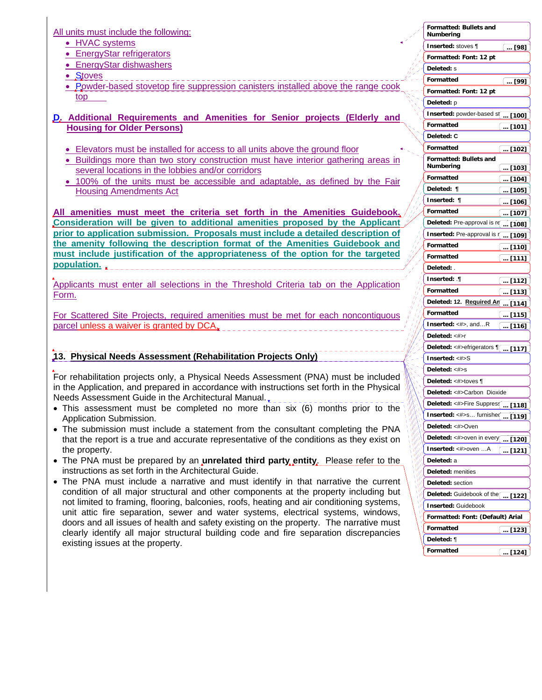All units must include the following:

- HVAC systems
- EnergyStar refrigerators
- EnergyStar dishwashers
- Stoves
- Powder-based stovetop fire suppression canisters installed above the range cook top
- **D. Additional Requirements and Amenities for Senior projects (Elderly and Housing for Older Persons)**
	- Elevators must be installed for access to all units above the ground floor
	- Buildings more than two story construction must have interior gathering areas in several locations in the lobbies and/or corridors
	- 100% of the units must be accessible and adaptable, as defined by the Fair Housing Amendments Act

**All amenities must meet the criteria set forth in the Amenities Guidebook. Consideration will be given to additional amenities proposed by the Applicant prior to application submission. Proposals must include a detailed description of the amenity following the description format of the Amenities Guidebook and must include justification of the appropriateness of the option for the targeted population.** 

Applicants must enter all selections in the Threshold Criteria tab on the Application Form.

For Scattered Site Projects, required amenities must be met for each noncontiguous parcel unless a waiver is granted by DCA.

# **13. Physical Needs Assessment (Rehabilitation Projects Only)**

For rehabilitation projects only, a Physical Needs Assessment (PNA) must be included in the Application, and prepared in accordance with instructions set forth in the Physical Needs Assessment Guide in the Architectural Manual.

- This assessment must be completed no more than six (6) months prior to the Application Submission.
- The submission must include a statement from the consultant completing the PNA that the report is a true and accurate representative of the conditions as they exist on the property.
- The PNA must be prepared by an **unrelated third party entity**. Please refer to the instructions as set forth in the Architectural Guide.
- The PNA must include a narrative and must identify in that narrative the current condition of all major structural and other components at the property including but not limited to framing, flooring, balconies, roofs, heating and air conditioning systems, unit attic fire separation, sewer and water systems, electrical systems, windows, doors and all issues of health and safety existing on the property. The narrative must clearly identify all major structural building code and fire separation discrepancies existing issues at the property.

|                      | Formatted: Bullets and<br>Numbering                           |
|----------------------|---------------------------------------------------------------|
|                      | Inserted: stoves ¶<br>l … [98]                                |
|                      | Formatted: Font: 12 pt                                        |
|                      | Deleted: s                                                    |
|                      | Formatted<br>l … [99]                                         |
|                      | Formatted: Font: 12 pt                                        |
|                      | <b>Deleted:</b> p                                             |
|                      | Inserted: powder-based s( [100]                               |
|                      | Formatted<br>… [101]                                          |
|                      | Deleted: C                                                    |
|                      | Formatted<br>… [102]                                          |
|                      | Formatted: Bullets and                                        |
|                      | Numbering<br>$$ [103]                                         |
|                      | Formatted<br>$$ [104]                                         |
|                      | Deleted: ¶<br>[105]<br>$\cdots$                               |
|                      | Inserted:<br>¶<br>[106]<br>                                   |
|                      | Formatted<br>[107]<br>$\ldots$                                |
|                      | Deleted: Pre-approval is re<br>[108]                          |
|                      | Inserted: Pre-approval is n<br>[109]<br>$\cdots$<br>Formatted |
|                      | [110]<br>$\ddots$<br>Formatted                                |
|                      | [111]<br><br>Deleted: .                                       |
|                      | Inserted: ¶                                                   |
|                      | <u> [112]</u><br>Formatted                                    |
|                      | [113]<br><br>Deleted: 12. Required An                         |
|                      | [114]<br>Formatted                                            |
|                      | l  [115]<br><b>Inserted:</b> $\lt\#$ , andR                   |
|                      | է … [116]<br>Deleted: <#>r                                    |
|                      | Deleted: <#>efrigerators 1[ [117]                             |
|                      | Inserted: <#>S                                                |
|                      | Deleted: <#>s                                                 |
|                      | Deleted: <#>toves ¶                                           |
|                      | Deleted: <#>Carbon Dioxide                                    |
|                      | Deleted: <#>Fire Suppres{  [118]                              |
|                      | Inserted: <#>s furnishe(<br>[119]<br>$\cdots$                 |
| ļ                    | Deleted: <#>Oven                                              |
| ή<br>ø               | Deleted: <#>oven in every  [120]                              |
| h <sub>i</sub><br>aa | <b>Inserted:</b> <#>oven A<br>[121]                           |
| a,<br>$\eta_{\rm q}$ | <b>Deleted:</b> a                                             |
|                      | Deleted: menities                                             |
|                      | Deleted: section                                              |
|                      | Deleted: Guidebook of the [ [122]                             |
|                      | <b>Inserted: Guidebook</b>                                    |
|                      | Formatted: Font: (Default) Arial                              |
| ١                    | Formatted<br><u> [123]</u>                                    |
|                      | Deleted: ¶                                                    |
|                      | Formatted<br>է … [124]                                        |
|                      |                                                               |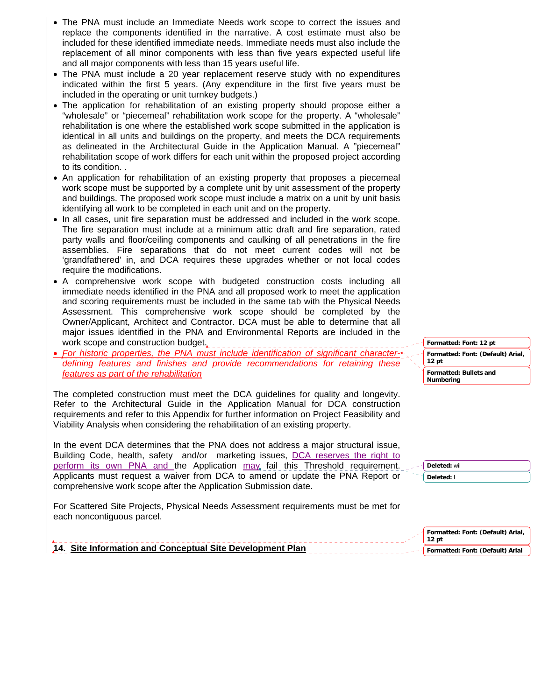- The PNA must include an Immediate Needs work scope to correct the issues and replace the components identified in the narrative. A cost estimate must also be included for these identified immediate needs. Immediate needs must also include the replacement of all minor components with less than five years expected useful life and all major components with less than 15 years useful life.
- The PNA must include a 20 year replacement reserve study with no expenditures indicated within the first 5 years. (Any expenditure in the first five years must be included in the operating or unit turnkey budgets.)
- The application for rehabilitation of an existing property should propose either a "wholesale" or "piecemeal" rehabilitation work scope for the property. A "wholesale" rehabilitation is one where the established work scope submitted in the application is identical in all units and buildings on the property, and meets the DCA requirements as delineated in the Architectural Guide in the Application Manual. A "piecemeal" rehabilitation scope of work differs for each unit within the proposed project according to its condition. .
- An application for rehabilitation of an existing property that proposes a piecemeal work scope must be supported by a complete unit by unit assessment of the property and buildings. The proposed work scope must include a matrix on a unit by unit basis identifying all work to be completed in each unit and on the property.
- In all cases, unit fire separation must be addressed and included in the work scope. The fire separation must include at a minimum attic draft and fire separation, rated party walls and floor/ceiling components and caulking of all penetrations in the fire assemblies. Fire separations that do not meet current codes will not be 'grandfathered' in, and DCA requires these upgrades whether or not local codes require the modifications.
- A comprehensive work scope with budgeted construction costs including all immediate needs identified in the PNA and all proposed work to meet the application and scoring requirements must be included in the same tab with the Physical Needs Assessment. This comprehensive work scope should be completed by the Owner/Applicant, Architect and Contractor. DCA must be able to determine that all major issues identified in the PNA and Environmental Reports are included in the work scope and construction budget.
- *For historic properties, the PNA must include identification of significant characterdefining features and finishes and provide recommendations for retaining these features as part of the rehabilitation*

The completed construction must meet the DCA guidelines for quality and longevity. Refer to the Architectural Guide in the Application Manual for DCA construction requirements and refer to this Appendix for further information on Project Feasibility and Viability Analysis when considering the rehabilitation of an existing property.

In the event DCA determines that the PNA does not address a major structural issue, Building Code, health, safety and/or marketing issues, DCA reserves the right to perform its own PNA and the Application may fail this Threshold requirement. Applicants must request a waiver from DCA to amend or update the PNA Report or comprehensive work scope after the Application Submission date.

For Scattered Site Projects, Physical Needs Assessment requirements must be met for each noncontiguous parcel.

**14. Site Information and Conceptual Site Development Plan** 

**Formatted: Font: 12 pt Formatted: Font: (Default) Arial, 12 pt Formatted: Bullets and Numbering**

| Deleted: wil      |  |
|-------------------|--|
| <b>Deleted:</b> I |  |

| ↑ Formatted: Font: (Default) Arial,<br>$12$ pt |
|------------------------------------------------|
| Formatted: Font: (Default) Arial               |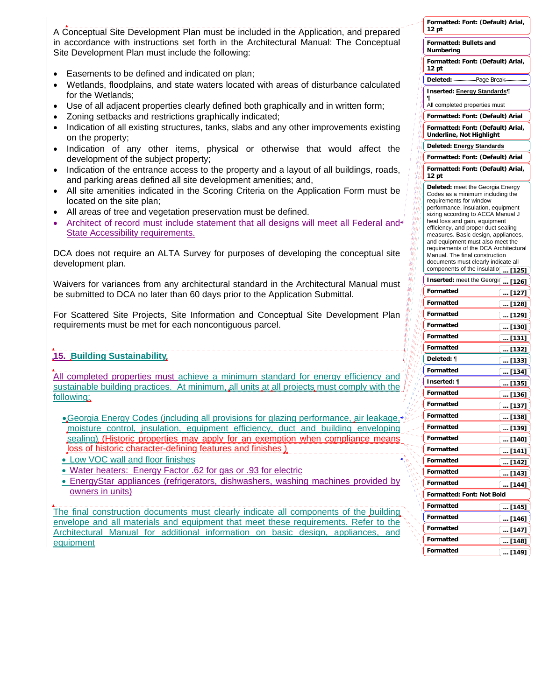A Conceptual Site Development Plan must be included in the Application, and prepared in accordance with instructions set forth in the Architectural Manual: The Conceptual Site Development Plan must include the following:

- Easements to be defined and indicated on plan;
- Wetlands, floodplains, and state waters located with areas of disturbance calculated for the Wetlands;
- Use of all adjacent properties clearly defined both graphically and in written form;
- Zoning setbacks and restrictions graphically indicated;
- Indication of all existing structures, tanks, slabs and any other improvements existing on the property;
- Indication of any other items, physical or otherwise that would affect the development of the subject property;
- Indication of the entrance access to the property and a layout of all buildings, roads, and parking areas defined all site development amenities; and,
- All site amenities indicated in the Scoring Criteria on the Application Form must be located on the site plan;
- All areas of tree and vegetation preservation must be defined.
- Architect of record must include statement that all designs will meet all Federal and State Accessibility requirements.

DCA does not require an ALTA Survey for purposes of developing the conceptual site development plan.

Waivers for variances from any architectural standard in the Architectural Manual must be submitted to DCA no later than 60 days prior to the Application Submittal.

For Scattered Site Projects, Site Information and Conceptual Site Development Plan requirements must be met for each noncontiguous parcel.

**15. Building Sustainability**

All completed properties must achieve a minimum standard for energy efficiency and sustainable building practices. At minimum, all units at all projects must comply with the following:

- Georgia Energy Codes (including all provisions for glazing performance, air leakage, moisture control, insulation, equipment efficiency, duct and building enveloping sealing) (Historic properties may apply for an exemption when compliance means loss of historic character-defining features and finishes )
- Low VOC wall and floor finishes
- Water heaters: Energy Factor .62 for gas or .93 for electric
- EnergyStar appliances (refrigerators, dishwashers, washing machines provided by owners in units)

The final construction documents must clearly indicate all components of the building envelope and all materials and equipment that meet these requirements. Refer to the Architectural Manual for additional information on basic design, appliances, and equipment

|               | Formatted: Font: (Default) Arial,<br>12 pt                                                      |                                |
|---------------|-------------------------------------------------------------------------------------------------|--------------------------------|
|               | Formatted: Bullets and<br>Numbering                                                             |                                |
|               | Formatted: Font: (Default) Arial,<br>12 pt                                                      |                                |
|               | Deleted: ---                                                                                    | ------------Page Break--       |
|               | <b>Inserted: Energy Standards¶</b>                                                              |                                |
| ı4            | ¶<br>All completed properties must                                                              |                                |
| 直<br>ı۱       | Formatted: Font: (Default) Arial                                                                |                                |
| 41<br>4<br>ıł | Formatted: Font: (Default) Arial,<br>Underline, Not Highlight                                   |                                |
| ph Ig<br>44   | Deleted: Energy Standards                                                                       |                                |
| 41            | Formatted: Font: (Default) Arial                                                                |                                |
|               | Formatted: Font: (Default) Arial,<br>12 pt                                                      |                                |
|               | Deleted: meet the Georgia Energy<br>Codes as a minimum including the<br>requirements for window |                                |
|               | performance, insulation, equipment                                                              |                                |
|               | sizing according to ACCA Manual J<br>heat loss and gain, equipment                              |                                |
|               | efficiency, and proper duct sealing                                                             |                                |
|               | measures. Basic design, appliances,<br>and equipment must also meet the                         |                                |
|               | requirements of the DCA Architectural                                                           |                                |
|               | Manual. The final construction<br>documents must clearly indicate all                           |                                |
|               | components of the insulatio                                                                     | [125]                          |
|               | <b>Inserted:</b> meet the Georgia                                                               | [126]                          |
|               | Formatted                                                                                       | [127]                          |
| I             | Formatted                                                                                       | … [128]                        |
|               | Formatted                                                                                       | $$ [129]                       |
|               | Formatted                                                                                       | [130]                          |
|               | Formatted                                                                                       | $[131]$                        |
|               | Formatted                                                                                       | [132]                          |
|               | Deleted: ¶                                                                                      | [133]                          |
|               | Formatted                                                                                       | [134]<br>                      |
|               | Inserted: ¶                                                                                     | [135]                          |
|               | Formatted                                                                                       | [136]                          |
|               | Formatted<br>Formatted                                                                          | <u>[  [137]</u>                |
|               | Formatted                                                                                       | $\left(\dots\right[138\right]$ |
|               | Formatted                                                                                       | [139]<br>[140]                 |
|               | Formatted                                                                                       | [141]                          |
|               | Formatted                                                                                       | [142]                          |
|               | Formatted                                                                                       | [143]                          |
|               | Formatted                                                                                       | … [144]                        |
|               | Formatted: Font: Not Bold                                                                       |                                |
|               | Formatted                                                                                       | [145] … ]                      |
|               | Formatted                                                                                       | $[146]$                        |
|               | Formatted                                                                                       | $[147]$                        |
|               | Formatted                                                                                       | [148]                          |
|               | Formatted                                                                                       | $[149]$<br>$\cdots$            |
|               |                                                                                                 |                                |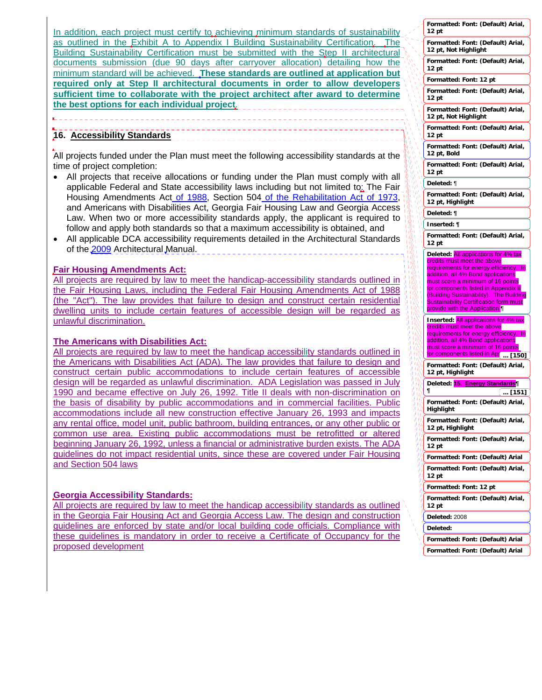In addition, each project must certify to achieving minimum standards of sustainability as outlined in the Exhibit A to Appendix I Building Sustainability Certification. The Building Sustainability Certification must be submitted with the Step II architectural documents submission (due 90 days after carryover allocation) detailing how the minimum standard will be achieved. **These standards are outlined at application but required only at Step II architectural documents in order to allow developers sufficient time to collaborate with the project architect after award to determine the best options for each individual project**.

## **16. Accessibility Standards**

All projects funded under the Plan must meet the following accessibility standards at the time of project completion:

- All projects that receive allocations or funding under the Plan must comply with all applicable Federal and State accessibility laws including but not limited to: The Fair Housing Amendments Act of 1988, Section 504 of the Rehabilitation Act of 1973, and Americans with Disabilities Act, Georgia Fair Housing Law and Georgia Access Law. When two or more accessibility standards apply, the applicant is required to follow and apply both standards so that a maximum accessibility is obtained, and
- All applicable DCA accessibility requirements detailed in the Architectural Standards of the 2009 Architectural Manual.

### **Fair Housing Amendments Act:**

All projects are required by law to meet the handicap-accessibility standards outlined in the Fair Housing Laws, including the Federal Fair Housing Amendments Act of 1988 (the "Act"). The law provides that failure to design and construct certain residential dwelling units to include certain features of accessible design will be regarded as unlawful discrimination.

### **The Americans with Disabilities Act:**

All projects are required by law to meet the handicap accessibility standards outlined in the Americans with Disabilities Act (ADA). The law provides that failure to design and construct certain public accommodations to include certain features of accessible design will be regarded as unlawful discrimination. ADA Legislation was passed in July 1990 and became effective on July 26, 1992. Title II deals with non-discrimination on the basis of disability by public accommodations and in commercial facilities. Public accommodations include all new construction effective January 26, 1993 and impacts any rental office, model unit, public bathroom, building entrances, or any other public or common use area. Existing public accommodations must be retrofitted or altered beginning January 26, 1992, unless a financial or administrative burden exists. The ADA guidelines do not impact residential units, since these are covered under Fair Housing and Section 504 laws

### **Georgia Accessibility Standards:**

All projects are required by law to meet the handicap accessibility standards as outlined in the Georgia Fair Housing Act and Georgia Access Law. The design and construction guidelines are enforced by state and/or local building code officials. Compliance with these guidelines is mandatory in order to receive a Certificate of Occupancy for the proposed development

|                  | Formatted: Font: (Default) Arial,<br>12 pt                                                   |
|------------------|----------------------------------------------------------------------------------------------|
|                  | Formatted: Font: (Default) Arial,<br>12 pt, Not Highlight                                    |
|                  | Formatted: Font: (Default) Arial,<br>12 pt                                                   |
|                  | Formatted: Font: 12 pt                                                                       |
|                  | Formatted: Font: (Default) Arial,<br>12 pt                                                   |
|                  | Formatted: Font: (Default) Arial,<br>12 pt, Not Highlight                                    |
|                  | Formatted: Font: (Default) Arial,<br>$12$ pt                                                 |
|                  | Formatted: Font: (Default) Arial,<br>12 pt, Bold                                             |
|                  | Formatted: Font: (Default) Arial,<br>12 pt                                                   |
|                  | Deleted: ¶                                                                                   |
|                  | Formatted: Font: (Default) Arial,<br>12 pt, Highlight                                        |
|                  | Deleted: ¶                                                                                   |
|                  | Inserted: ¶                                                                                  |
|                  | Formatted: Font: (Default) Arial,<br>12 pt                                                   |
|                  | Deleted: All applications for 4% tax                                                         |
|                  | credits must meet the above<br>requirements for energy efficiency.<br>In                     |
|                  | addition, all 4% Bond applications                                                           |
|                  | must score a minimum of 16 points                                                            |
|                  | for components listed in Appendix II                                                         |
|                  | (Building Sustainability). The Building                                                      |
|                  | <b>Sustainability Certification form must</b><br>provide with the Application.               |
|                  | <b>Inserted: All applications for 4% tax</b>                                                 |
|                  | credits must meet the above                                                                  |
|                  | requirements for energy efficiency.<br>In<br>addition, all 4% Bond applications              |
|                  | must score a minimum of 16 points                                                            |
|                  | for components listed in Ap(  [150]<br>Formatted: Font: (Default) Arial,<br>12 pt, Highlight |
|                  | Deleted: 15. Energy Standards¶                                                               |
|                  | ¶<br>… [151]                                                                                 |
|                  | Formatted: Font: (Default) Arial,<br>Highlight                                               |
| N                | Formatted: Font: (Default) Arial,<br>12 pt, Highlight                                        |
| I<br>φ<br>f      | Formatted: Font: (Default) Arial,<br>12 pt                                                   |
| Ø                | Formatted: Font: (Default) Arial                                                             |
| í<br>ŷ           | Formatted: Font: (Default) Arial,<br>12 pt                                                   |
|                  | Formatted: Font: 12 pt                                                                       |
| Ń<br>ψ<br>ø<br>ø | Formatted: Font: (Default) Arial,<br>12 pt                                                   |
| ψ<br>I           | Deleted: 2008                                                                                |
|                  | Deleted:                                                                                     |
|                  | Formatted: Font: (Default) Arial                                                             |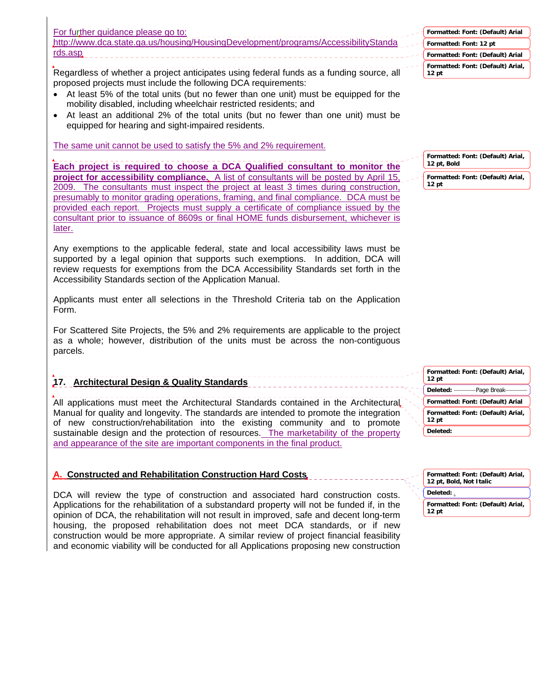| For further guidance please go to:                                                 |         |
|------------------------------------------------------------------------------------|---------|
| http://www.dca.state.ga.us/housing/HousingDevelopment/programs/AccessibilityStanda | - El Fi |
| rds.asp.                                                                           |         |
|                                                                                    |         |

Regardless of whether a project anticipates using federal funds as a funding source, all proposed projects must include the following DCA requirements:

- At least 5% of the total units (but no fewer than one unit) must be equipped for the mobility disabled, including wheelchair restricted residents; and
- At least an additional 2% of the total units (but no fewer than one unit) must be equipped for hearing and sight-impaired residents.

The same unit cannot be used to satisfy the 5% and 2% requirement.

**Each project is required to choose a DCA Qualified consultant to monitor the project for accessibility compliance.** A list of consultants will be posted by April 15, 2009. The consultants must inspect the project at least 3 times during construction, presumably to monitor grading operations, framing, and final compliance. DCA must be provided each report. Projects must supply a certificate of compliance issued by the consultant prior to issuance of 8609s or final HOME funds disbursement, whichever is later.

Any exemptions to the applicable federal, state and local accessibility laws must be supported by a legal opinion that supports such exemptions. In addition, DCA will review requests for exemptions from the DCA Accessibility Standards set forth in the Accessibility Standards section of the Application Manual.

Applicants must enter all selections in the Threshold Criteria tab on the Application Form.

For Scattered Site Projects, the 5% and 2% requirements are applicable to the project as a whole; however, distribution of the units must be across the non-contiguous parcels.

# **17. Architectural Design & Quality Standards**

All applications must meet the Architectural Standards contained in the Architectural Manual for quality and longevity. The standards are intended to promote the integration of new construction/rehabilitation into the existing community and to promote sustainable design and the protection of resources. The marketability of the property and appearance of the site are important components in the final product.

# **A. Constructed and Rehabilitation Construction Hard Costs**

DCA will review the type of construction and associated hard construction costs. Applications for the rehabilitation of a substandard property will not be funded if, in the opinion of DCA, the rehabilitation will not result in improved, safe and decent long-term housing, the proposed rehabilitation does not meet DCA standards, or if new construction would be more appropriate. A similar review of project financial feasibility and economic viability will be conducted for all Applications proposing new construction

| Formatted: Font: (Default) Arial                      |
|-------------------------------------------------------|
| Formatted: Font: 12 pt                                |
| Formatted: Font: (Default) Arial                      |
| Formatted: Font: (Default) Arial,<br>12 <sub>pt</sub> |

**Formatted: Font: (Default) Arial, 12 pt, Bold**

**Formatted: Font: (Default) Arial, 12 pt**

| Formatted: Font: (Default) Arial,<br>12 <sub>pt</sub> |
|-------------------------------------------------------|
|                                                       |
| Formatted: Font: (Default) Arial                      |
| Formatted: Font: (Default) Arial,<br>$12$ pt          |
| Deleted:                                              |

**Formatted: Font: (Default) Arial, 12 pt, Bold, Not Italic Formatted: Font: (Default) Arial, 12 pt Deleted:** .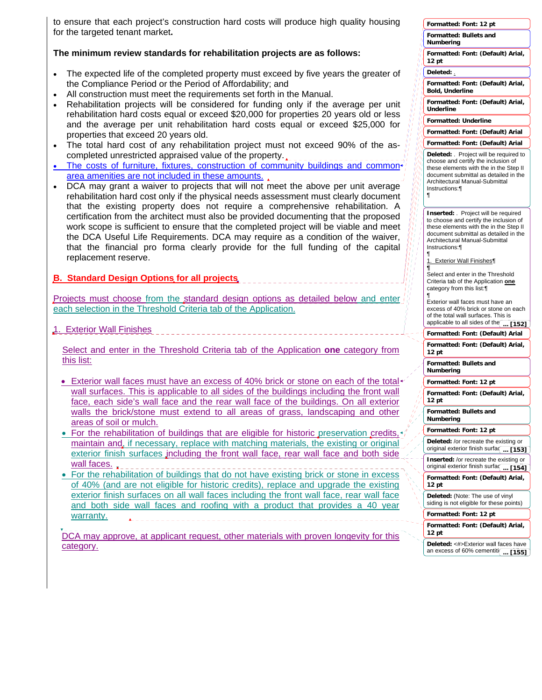to ensure that each project's construction hard costs will produce high quality housing for the targeted tenant market**.** 

### **The minimum review standards for rehabilitation projects are as follows:**

- The expected life of the completed property must exceed by five years the greater of the Compliance Period or the Period of Affordability; and
- All construction must meet the requirements set forth in the Manual.
- Rehabilitation projects will be considered for funding only if the average per unit rehabilitation hard costs equal or exceed \$20,000 for properties 20 years old or less and the average per unit rehabilitation hard costs equal or exceed \$25,000 for properties that exceed 20 years old.
- The total hard cost of any rehabilitation project must not exceed 90% of the ascompleted unrestricted appraised value of the property.
- The costs of furniture, fixtures, construction of community buildings and commonarea amenities are not included in these amounts.
- DCA may grant a waiver to projects that will not meet the above per unit average rehabilitation hard cost only if the physical needs assessment must clearly document that the existing property does not require a comprehensive rehabilitation. A certification from the architect must also be provided documenting that the proposed work scope is sufficient to ensure that the completed project will be viable and meet the DCA Useful Life Requirements. DCA may require as a condition of the waiver, that the financial pro forma clearly provide for the full funding of the capital replacement reserve.
- **B. Standard Design Options for all projects**

Projects must choose from the standard design options as detailed below and enter each selection in the Threshold Criteria tab of the Application.

1. Exterior Wall Finishes

Select and enter in the Threshold Criteria tab of the Application **one** category from this list:

- Exterior wall faces must have an excess of 40% brick or stone on each of the total wall surfaces. This is applicable to all sides of the buildings including the front wall face, each side's wall face and the rear wall face of the buildings. On all exterior walls the brick/stone must extend to all areas of grass, landscaping and other areas of soil or mulch.
- For the rehabilitation of buildings that are eligible for historic preservation credits, maintain and, if necessary, replace with matching materials, the existing or original exterior finish surfaces including the front wall face, rear wall face and both side wall faces.
- For the rehabilitation of buildings that do not have existing brick or stone in excess of 40% (and are not eligible for historic credits), replace and upgrade the existing exterior finish surfaces on all wall faces including the front wall face, rear wall face and both side wall faces and roofing with a product that provides a 40 year warranty.

DCA may approve, at applicant request, other materials with proven longevity for this category.

|        | Formatted: Font: 12 pt                                                                                                                                                                                                    |
|--------|---------------------------------------------------------------------------------------------------------------------------------------------------------------------------------------------------------------------------|
|        | <b>Formatted: Bullets and</b><br>Numbering                                                                                                                                                                                |
|        | Formatted: Font: (Default) Arial,<br>12 pt                                                                                                                                                                                |
|        | Deleted: .                                                                                                                                                                                                                |
|        | Formatted: Font: (Default) Arial,<br><b>Bold, Underline</b>                                                                                                                                                               |
|        | Formatted: Font: (Default) Arial,<br>Underline                                                                                                                                                                            |
|        | <b>Formatted: Underline</b>                                                                                                                                                                                               |
|        | Formatted: Font: (Default) Arial                                                                                                                                                                                          |
|        | Formatted: Font: (Default) Arial                                                                                                                                                                                          |
| 47     | Deleted: Project will be required to<br>choose and certify the inclusion of<br>these elements with the in the Step II<br>document submittal as detailed in the<br>Architectural Manual-Submittal<br>Instructions:¶<br>¶   |
| ı<br>Ï | <b>Inserted:</b> Project will be required<br>to choose and certify the inclusion of<br>these elements with the in the Step II<br>document submittal as detailed in the<br>Architectural Manual-Submittal<br>Instructions: |
|        | ¶<br><b>Exterior Wall Finishes</b><br>1.                                                                                                                                                                                  |
|        | ¶<br>Select and enter in the Threshold<br>Criteria tab of the Application one<br>category from this list:<br>¶                                                                                                            |
|        | Exterior wall faces must have an<br>excess of 40% brick or stone on each                                                                                                                                                  |
|        | of the total wall surfaces. This is                                                                                                                                                                                       |
|        | applicable to all sides of the<br>[152]                                                                                                                                                                                   |
|        | Formatted: Font: (Default) Arial<br>Formatted: Font: (Default) Arial,<br>12 pt                                                                                                                                            |
|        | Formatted: Bullets and<br>Numbering                                                                                                                                                                                       |
|        | Formatted: Font: 12 pt                                                                                                                                                                                                    |
|        | Formatted: Font: (Default) Arial,<br>12 pt                                                                                                                                                                                |
|        | Formatted: Bullets and<br>Numbering                                                                                                                                                                                       |
|        | Formatted: Font: 12 pt                                                                                                                                                                                                    |
|        | Deleted: /or recreate the existing or<br>original exterior finish surfaq<br>$$ [153]                                                                                                                                      |
|        | Inserted: /or recreate the existing or<br>original exterior finish surfaq<br>$$ [154]                                                                                                                                     |
|        | Formatted: Font: (Default) Arial,<br>12 pt                                                                                                                                                                                |
|        | Deleted: (Note: The use of vinyl<br>siding is not eligible for these points)                                                                                                                                              |
|        | Formatted: Font: 12 pt                                                                                                                                                                                                    |
|        | Formatted: Font: (Default) Arial,<br>12 pt                                                                                                                                                                                |
|        | Deleted: <#>Exterior wall faces have                                                                                                                                                                                      |
|        | an excess of 60% cementiti(<br>[155]                                                                                                                                                                                      |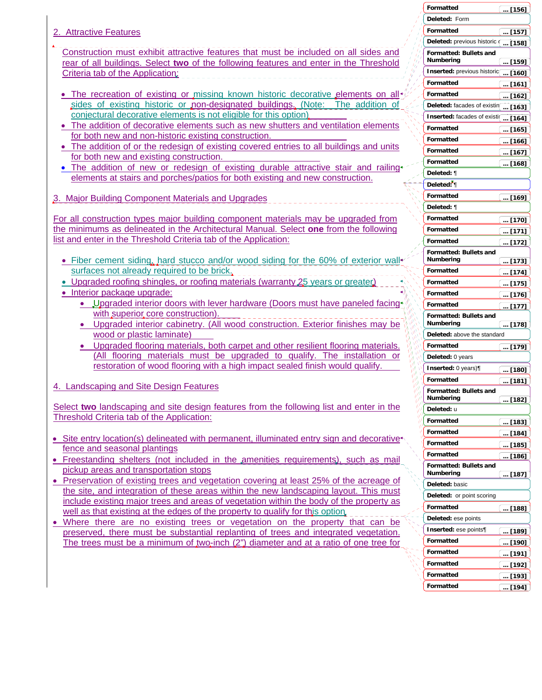- 2. Attractive Features
- Construction must exhibit attractive features that must be included on all sides and rear of all buildings. Select **two** of the following features and enter in the Threshold Criteria tab of the Application:
- The recreation of existing or missing known historic decorative elements on all sides of existing historic or non-designated buildings. (Note: The addition of conjectural decorative elements is not eligible for this option)
- The addition of decorative elements such as new shutters and ventilation elements for both new and non-historic existing construction.
- The addition of or the redesign of existing covered entries to all buildings and units for both new and existing construction.
- The addition of new or redesign of existing durable attractive stair and railing elements at stairs and porches/patios for both existing and new construction.
- 3. Major Building Component Materials and Upgrades

For all construction types major building component materials may be upgraded from the minimums as delineated in the Architectural Manual. Select **one** from the following list and enter in the Threshold Criteria tab of the Application:

- Fiber cement siding, hard stucco and/or wood siding for the 60% of exterior wall surfaces not already required to be brick.
- Upgraded roofing shingles, or roofing materials (warranty 25 years or greater)
- Interior package upgrade:
	- Upgraded interior doors with lever hardware (Doors must have paneled facing with superior core construction).
	- Upgraded interior cabinetry. (All wood construction. Exterior finishes may be wood or plastic laminate)
	- Upgraded flooring materials, both carpet and other resilient flooring materials. (All flooring materials must be upgraded to qualify. The installation or restoration of wood flooring with a high impact sealed finish would qualify.
- 4. Landscaping and Site Design Features

Select **two** landscaping and site design features from the following list and enter in the Threshold Criteria tab of the Application:

- Site entry location(s) delineated with permanent, illuminated entry sign and decorative fence and seasonal plantings
- Freestanding shelters (not included in the amenities requirements), such as mail pickup areas and transportation stops
- Preservation of existing trees and vegetation covering at least 25% of the acreage of the site, and integration of these areas within the new landscaping layout. This must include existing major trees and areas of vegetation within the body of the property as well as that existing at the edges of the property to qualify for this option.
- Where there are no existing trees or vegetation on the property that can be preserved, there must be substantial replanting of trees and integrated vegetation. The trees must be a minimum of two-inch (2") diameter and at a ratio of one tree for

|         | Formatted                                  |          | $$ [156]      |
|---------|--------------------------------------------|----------|---------------|
|         | Deleted: Form                              |          |               |
|         | Formatted                                  |          | $$ [157]      |
|         | Deleted: previous historic (               |          | $[158]$       |
|         | Formatted: Bullets and                     |          |               |
|         | Numbering                                  | $\cdot$  | [159]         |
|         | Inserted: previous historic                |          | [160]         |
|         | Formatted                                  |          | [161]         |
|         | Formatted                                  |          | [162]         |
|         | Deleted: facades of existin                |          | [163]         |
|         | Inserted: facades of existi(               | $\cdots$ | [164]         |
|         | Formatted                                  |          | <u> [165]</u> |
|         | Formatted                                  |          | … [166]       |
|         | Formatted                                  |          | $$ [167]      |
|         | Formatted                                  | $\cdots$ | [168]         |
|         | Deleted: ¶                                 |          |               |
|         | Deleted: 1                                 |          |               |
|         | Formatted                                  |          |               |
|         | Deleted: ¶                                 |          | … [169]       |
|         | <b>Formatted</b>                           |          |               |
|         | Formatted                                  |          | [170]         |
|         | Formatted                                  |          | <u> [171]</u> |
|         |                                            |          | $[172]$       |
|         | <b>Formatted: Bullets and</b><br>Numbering |          | [173]         |
|         | Formatted                                  |          | $[174]$       |
|         | Formatted                                  |          | [175]         |
|         | Formatted                                  |          | [176]         |
|         | Formatted                                  |          | [177]         |
|         | <b>Formatted: Bullets and</b>              |          |               |
|         | Numbering                                  |          | [178]         |
|         | Deleted: above the standard                |          |               |
|         | Formatted                                  |          | … [179]       |
|         | Deleted: 0 years                           |          |               |
|         | <b>Inserted</b> : 0 years)¶                |          | [180]         |
|         | Formatted                                  |          | [181]         |
| 4       | <b>Formatted: Bullets and</b>              |          |               |
| W<br>W, | Numbering                                  |          | [182]         |
| ١       | Deleted: u                                 |          |               |
|         | Formatted                                  |          | $$ [183]      |
|         | Formatted                                  |          | [184]         |
|         | Formatted                                  |          | [185]         |
|         | Formatted                                  | $\cdots$ | [186]         |
|         | Formatted: Bullets and<br>Numbering        |          |               |
|         | Deleted: basic                             |          | … [187]       |
|         | Deleted: or point scoring                  |          |               |
|         | Formatted                                  |          |               |
|         | Deleted: ese points                        |          | $$ [188]      |
|         |                                            |          |               |
|         | Inserted: ese points¶                      |          | [189]         |
|         | Formatted                                  |          | [190]         |
|         | Formatted                                  |          | [191]         |
|         | Formatted                                  |          | [192]         |
|         | Formatted                                  |          | [193]         |
|         | Formatted                                  |          | [194]         |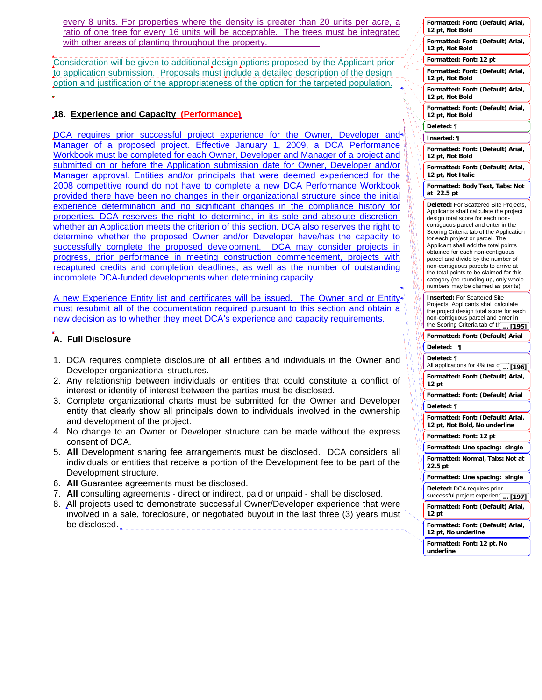every 8 units. For properties where the density is greater than 20 units per acre, a ratio of one tree for every 16 units will be acceptable. The trees must be integrated with other areas of planting throughout the property.

Consideration will be given to additional design options proposed by the Applicant prior to application submission. Proposals must include a detailed description of the design option and justification of the appropriateness of the option for the targeted population.

## **18. Experience and Capacity (Performance)**

DCA requires prior successful project experience for the Owner, Developer and Manager of a proposed project. Effective January 1, 2009, a DCA Performance Workbook must be completed for each Owner, Developer and Manager of a project and submitted on or before the Application submission date for Owner, Developer and/or Manager approval. Entities and/or principals that were deemed experienced for the 2008 competitive round do not have to complete a new DCA Performance Workbook provided there have been no changes in their organizational structure since the initial experience determination and no significant changes in the compliance history for properties. DCA reserves the right to determine, in its sole and absolute discretion, whether an Application meets the criterion of this section. DCA also reserves the right to determine whether the proposed Owner and/or Developer have/has the capacity to successfully complete the proposed development. DCA may consider projects in progress, prior performance in meeting construction commencement, projects with recaptured credits and completion deadlines, as well as the number of outstanding incomplete DCA-funded developments when determining capacity.

A new Experience Entity list and certificates will be issued. The Owner and or Entitymust resubmit all of the documentation required pursuant to this section and obtain a new decision as to whether they meet DCA's experience and capacity requirements.

# **A. Full Disclosure**

- 1. DCA requires complete disclosure of **all** entities and individuals in the Owner and Developer organizational structures.
- 2. Any relationship between individuals or entities that could constitute a conflict of interest or identity of interest between the parties must be disclosed.
- 3. Complete organizational charts must be submitted for the Owner and Developer entity that clearly show all principals down to individuals involved in the ownership and development of the project.
- 4. No change to an Owner or Developer structure can be made without the express consent of DCA.
- 5. **All** Development sharing fee arrangements must be disclosed. DCA considers all individuals or entities that receive a portion of the Development fee to be part of the Development structure.
- 6. **All** Guarantee agreements must be disclosed.
- 7. **All** consulting agreements direct or indirect, paid or unpaid shall be disclosed.
- 8. All projects used to demonstrate successful Owner/Developer experience that were involved in a sale, foreclosure, or negotiated buyout in the last three (3) years must be disclosed.

|                        | Formatted: Font: (Default) Arial,<br>12 pt, Not Bold                                                                                                                                                    |
|------------------------|---------------------------------------------------------------------------------------------------------------------------------------------------------------------------------------------------------|
|                        | Formatted: Font: (Default) Arial,<br>12 pt, Not Bold                                                                                                                                                    |
|                        | Formatted: Font: 12 pt                                                                                                                                                                                  |
|                        | Formatted: Font: (Default) Arial,<br>12 pt, Not Bold                                                                                                                                                    |
|                        | Formatted: Font: (Default) Arial,<br>12 pt, Not Bold                                                                                                                                                    |
|                        | Formatted: Font: (Default) Arial,<br>12 pt, Not Bold                                                                                                                                                    |
|                        | Deleted: ¶                                                                                                                                                                                              |
|                        | Inserted: ¶                                                                                                                                                                                             |
|                        | Formatted: Font: (Default) Arial,<br>12 pt, Not Bold                                                                                                                                                    |
|                        | Formatted: Font: (Default) Arial,<br>12 pt, Not Italic                                                                                                                                                  |
|                        | Formatted: Body Text, Tabs: Not<br>22.5 pt<br>at                                                                                                                                                        |
|                        | Deleted: For Scattered Site Projects,<br>Applicants shall calculate the project<br>design total score for each non-<br>contiquous parcel and enter in the<br>Scoring Criteria tab of the Application    |
|                        | for each project or parcel. The<br>Applicant shall add the total points<br>obtained for each non-contiguous<br>parcel and divide by the number of                                                       |
|                        | non-contiguous parcels to arrive at<br>the total points to be claimed for this<br>category (no rounding up, only whole<br>numbers may be claimed as points).                                            |
|                        | <b>Inserted: For Scattered Site</b><br>Projects, Applicants shall calculate<br>the project design total score for each<br>non-contiguous parcel and enter in<br>the Scoring Criteria tab of th<br>[195] |
|                        | Formatted: Font:<br>(Default) Arial                                                                                                                                                                     |
|                        | Deleted:<br>ा                                                                                                                                                                                           |
|                        | Deleted: ¶                                                                                                                                                                                              |
|                        | All applications for 4% tax c <u>orce <b>[196]</b></u>                                                                                                                                                  |
|                        | Formatted: Font: (Default) Arial,<br>12 pt                                                                                                                                                              |
|                        |                                                                                                                                                                                                         |
|                        | Formatted: Font: (Default) Arial                                                                                                                                                                        |
| R                      | Deleted: ¶                                                                                                                                                                                              |
| ì<br>I,<br>١İ          | Formatted: Font: (Default) Arial,<br>12 pt, Not Bold, No underline                                                                                                                                      |
| Ń<br>١<br>١            | Formatted: Font: 12 pt                                                                                                                                                                                  |
| Ŋ<br>١ij               | Formatted: Line spacing: single                                                                                                                                                                         |
| ŋ,<br>ø<br>١<br>ψ<br>١ | Formatted: Normal, Tabs: Not at<br>22.5 pt                                                                                                                                                              |
|                        | Formatted: Line spacing: single                                                                                                                                                                         |
|                        | Deleted: DCA requires prior<br>successful project experien(<br>[197]                                                                                                                                    |
|                        | Formatted: Font: (Default) Arial,<br>12 pt                                                                                                                                                              |
|                        | Formatted: Font: (Default) Arial,<br>12 pt, No underline                                                                                                                                                |
|                        | Formatted: Font: 12 pt, No<br>underline                                                                                                                                                                 |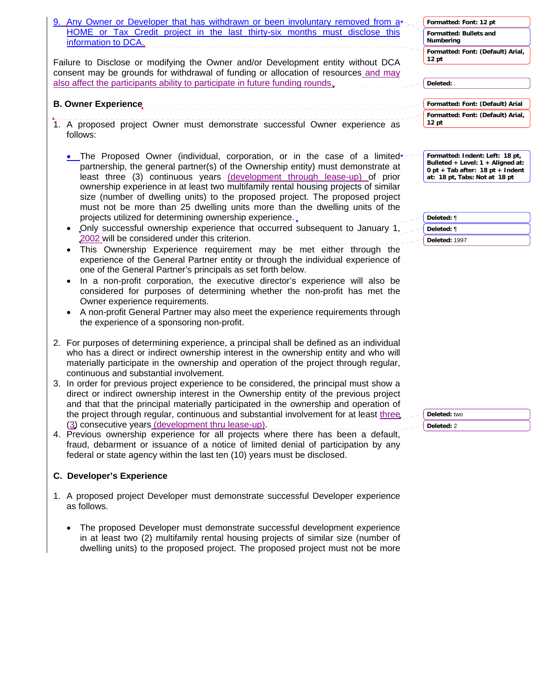| 9. Any Owner or Developer that has withdrawn or been involuntary removed from a                                                                                                                                                                                                                                                                                                                                                                                                 | Formatted: Font: 12 pt                                                                                                                      |
|---------------------------------------------------------------------------------------------------------------------------------------------------------------------------------------------------------------------------------------------------------------------------------------------------------------------------------------------------------------------------------------------------------------------------------------------------------------------------------|---------------------------------------------------------------------------------------------------------------------------------------------|
| HOME or Tax Credit project in the last thirty-six months must disclose this<br>information to DCA.                                                                                                                                                                                                                                                                                                                                                                              | Formatted: Bullets and<br>Numbering                                                                                                         |
| Failure to Disclose or modifying the Owner and/or Development entity without DCA<br>consent may be grounds for withdrawal of funding or allocation of resources and may                                                                                                                                                                                                                                                                                                         | Formatted: Font: (Default) Arial,<br>12 pt                                                                                                  |
| also affect the participants ability to participate in future funding rounds.                                                                                                                                                                                                                                                                                                                                                                                                   | Deleted: .                                                                                                                                  |
|                                                                                                                                                                                                                                                                                                                                                                                                                                                                                 |                                                                                                                                             |
| <b>B. Owner Experience</b>                                                                                                                                                                                                                                                                                                                                                                                                                                                      | Formatted: Font: (Default) Arial                                                                                                            |
|                                                                                                                                                                                                                                                                                                                                                                                                                                                                                 | Formatted: Font: (Default) Arial,<br>12 pt                                                                                                  |
| 1. A proposed project Owner must demonstrate successful Owner experience as<br>follows:                                                                                                                                                                                                                                                                                                                                                                                         |                                                                                                                                             |
| The Proposed Owner (individual, corporation, or in the case of a limited+<br>partnership, the general partner(s) of the Ownership entity) must demonstrate at<br>least three (3) continuous years (development through lease-up) of prior<br>ownership experience in at least two multifamily rental housing projects of similar                                                                                                                                                | Formatted: Indent: Left: 18 pt,<br>Bulleted + Level: 1 + Aligned at:<br>0 pt + Tab after: $18$ pt + Indent<br>at: 18 pt, Tabs: Not at 18 pt |
| size (number of dwelling units) to the proposed project. The proposed project<br>must not be more than 25 dwelling units more than the dwelling units of the                                                                                                                                                                                                                                                                                                                    |                                                                                                                                             |
| projects utilized for determining ownership experience.                                                                                                                                                                                                                                                                                                                                                                                                                         | Deleted: ¶                                                                                                                                  |
| Only successful ownership experience that occurred subsequent to January 1,                                                                                                                                                                                                                                                                                                                                                                                                     | Deleted: ¶                                                                                                                                  |
| 2002 will be considered under this criterion.<br>This Ownership Experience requirement may be met either through the<br>$\bullet$                                                                                                                                                                                                                                                                                                                                               | Deleted: 1997                                                                                                                               |
| experience of the General Partner entity or through the individual experience of<br>one of the General Partner's principals as set forth below.<br>In a non-profit corporation, the executive director's experience will also be<br>considered for purposes of determining whether the non-profit has met the<br>Owner experience requirements.<br>A non-profit General Partner may also meet the experience requirements through<br>the experience of a sponsoring non-profit. |                                                                                                                                             |
| 2. For purposes of determining experience, a principal shall be defined as an individual<br>who has a direct or indirect ownership interest in the ownership entity and who will<br>materially participate in the ownership and operation of the project through regular,<br>continuous and substantial involvement.                                                                                                                                                            |                                                                                                                                             |
| 3. In order for previous project experience to be considered, the principal must show a<br>direct or indirect ownership interest in the Ownership entity of the previous project                                                                                                                                                                                                                                                                                                |                                                                                                                                             |
| and that that the principal materially participated in the ownership and operation of<br>the project through regular, continuous and substantial involvement for at least three.                                                                                                                                                                                                                                                                                                | Deleted: two                                                                                                                                |
| (3) consecutive years (development thru lease-up).                                                                                                                                                                                                                                                                                                                                                                                                                              | Deleted: 2                                                                                                                                  |
| 4. Previous ownership experience for all projects where there has been a default,<br>fraud, debarment or issuance of a notice of limited denial of participation by any<br>federal or state agency within the last ten (10) years must be disclosed.                                                                                                                                                                                                                            |                                                                                                                                             |
| <b>C. Developer's Experience</b>                                                                                                                                                                                                                                                                                                                                                                                                                                                |                                                                                                                                             |
| 1. A proposed project Developer must demonstrate successful Developer experience<br>as follows.                                                                                                                                                                                                                                                                                                                                                                                 |                                                                                                                                             |
| The proposed Developer must demonstrate successful development experience<br>$\bullet$<br>in at least two (2) multifamily rental housing projects of similar size (number of<br>dwelling units) to the proposed project. The proposed project must not be more                                                                                                                                                                                                                  |                                                                                                                                             |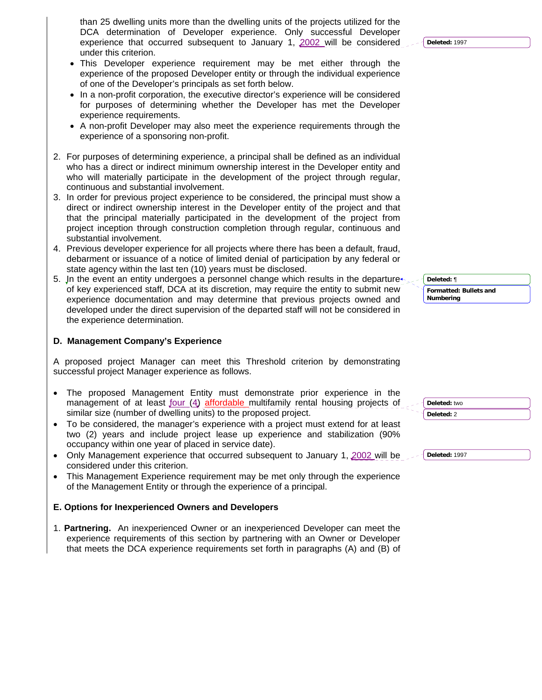than 25 dwelling units more than the dwelling units of the projects utilized for the DCA determination of Developer experience. Only successful Developer experience that occurred subsequent to January 1, 2002 will be considered under this criterion.

- This Developer experience requirement may be met either through the experience of the proposed Developer entity or through the individual experience of one of the Developer's principals as set forth below.
- In a non-profit corporation, the executive director's experience will be considered for purposes of determining whether the Developer has met the Developer experience requirements.
- A non-profit Developer may also meet the experience requirements through the experience of a sponsoring non-profit.
- 2. For purposes of determining experience, a principal shall be defined as an individual who has a direct or indirect minimum ownership interest in the Developer entity and who will materially participate in the development of the project through regular, continuous and substantial involvement.
- 3. In order for previous project experience to be considered, the principal must show a direct or indirect ownership interest in the Developer entity of the project and that that the principal materially participated in the development of the project from project inception through construction completion through regular, continuous and substantial involvement.
- 4. Previous developer experience for all projects where there has been a default, fraud, debarment or issuance of a notice of limited denial of participation by any federal or state agency within the last ten (10) years must be disclosed.
- 5. In the event an entity undergoes a personnel change which results in the departure of key experienced staff, DCA at its discretion, may require the entity to submit new experience documentation and may determine that previous projects owned and developed under the direct supervision of the departed staff will not be considered in the experience determination.

### **D. Management Company's Experience**

A proposed project Manager can meet this Threshold criterion by demonstrating successful project Manager experience as follows.

- The proposed Management Entity must demonstrate prior experience in the management of at least four (4) affordable multifamily rental housing projects of similar size (number of dwelling units) to the proposed project.
- To be considered, the manager's experience with a project must extend for at least two (2) years and include project lease up experience and stabilization (90% occupancy within one year of placed in service date).
- Only Management experience that occurred subsequent to January 1, 2002 will be considered under this criterion.
- This Management Experience requirement may be met only through the experience of the Management Entity or through the experience of a principal.

### **E. Options for Inexperienced Owners and Developers**

1. **Partnering.** An inexperienced Owner or an inexperienced Developer can meet the experience requirements of this section by partnering with an Owner or Developer that meets the DCA experience requirements set forth in paragraphs (A) and (B) of **Formatted: Bullets and Numbering Deleted:** ¶

**Deleted:** 1997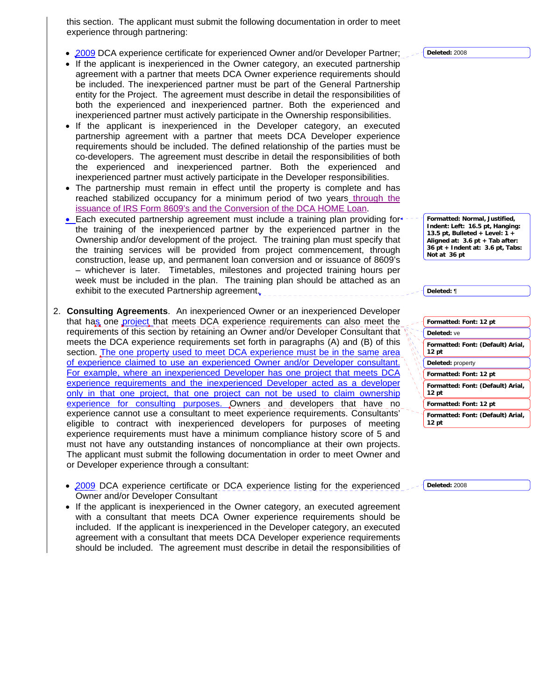this section. The applicant must submit the following documentation in order to meet experience through partnering:

- 2009 DCA experience certificate for experienced Owner and/or Developer Partner;
- If the applicant is inexperienced in the Owner category, an executed partnership agreement with a partner that meets DCA Owner experience requirements should be included. The inexperienced partner must be part of the General Partnership entity for the Project. The agreement must describe in detail the responsibilities of both the experienced and inexperienced partner. Both the experienced and inexperienced partner must actively participate in the Ownership responsibilities.
- If the applicant is inexperienced in the Developer category, an executed partnership agreement with a partner that meets DCA Developer experience requirements should be included. The defined relationship of the parties must be co-developers. The agreement must describe in detail the responsibilities of both the experienced and inexperienced partner. Both the experienced and inexperienced partner must actively participate in the Developer responsibilities.
- The partnership must remain in effect until the property is complete and has reached stabilized occupancy for a minimum period of two years through the issuance of IRS Form 8609's and the Conversion of the DCA HOME Loan.
- Each executed partnership agreement must include a training plan providing for the training of the inexperienced partner by the experienced partner in the Ownership and/or development of the project. The training plan must specify that the training services will be provided from project commencement, through construction, lease up, and permanent loan conversion and or issuance of 8609's – whichever is later. Timetables, milestones and projected training hours per week must be included in the plan. The training plan should be attached as an exhibit to the executed Partnership agreement.
- 2. **Consulting Agreements**. An inexperienced Owner or an inexperienced Developer that has one project that meets DCA experience requirements can also meet the requirements of this section by retaining an Owner and/or Developer Consultant that meets the DCA experience requirements set forth in paragraphs (A) and (B) of this section. The one property used to meet DCA experience must be in the same area of experience claimed to use an experienced Owner and/or Developer consultant. For example, where an inexperienced Developer has one project that meets DCA experience requirements and the inexperienced Developer acted as a developer only in that one project, that one project can not be used to claim ownership experience for consulting purposes. Owners and developers that have no experience cannot use a consultant to meet experience requirements. Consultants' eligible to contract with inexperienced developers for purposes of meeting experience requirements must have a minimum compliance history score of 5 and must not have any outstanding instances of noncompliance at their own projects. The applicant must submit the following documentation in order to meet Owner and or Developer experience through a consultant:
	- 2009 DCA experience certificate or DCA experience listing for the experienced Owner and/or Developer Consultant
	- If the applicant is inexperienced in the Owner category, an executed agreement with a consultant that meets DCA Owner experience requirements should be included. If the applicant is inexperienced in the Developer category, an executed agreement with a consultant that meets DCA Developer experience requirements should be included. The agreement must describe in detail the responsibilities of

**Deleted:** 2008

**Formatted: Normal, Justified, Indent: Left: 16.5 pt, Hanging: 13.5 pt, Bulleted + Level: 1 + Aligned at: 3.6 pt + Tab after: 36 pt + Indent at: 3.6 pt, Tabs: Not at 36 pt**

**Deleted:** ¶

|                                                                                                                                         | Formatted: Font: 12 pt |                                              |  |
|-----------------------------------------------------------------------------------------------------------------------------------------|------------------------|----------------------------------------------|--|
| Deleted: ve                                                                                                                             |                        |                                              |  |
| Formatted: Font: (Default) Arial,<br>12 pt<br>Deleted: property<br>Formatted: Font: 12 pt<br>Formatted: Font: (Default) Arial,<br>12 pt |                        |                                              |  |
|                                                                                                                                         |                        | Formatted: Font: 12 pt                       |  |
|                                                                                                                                         |                        | Formatted: Font: (Default) Arial,<br>$12$ pt |  |

**Deleted:** 2008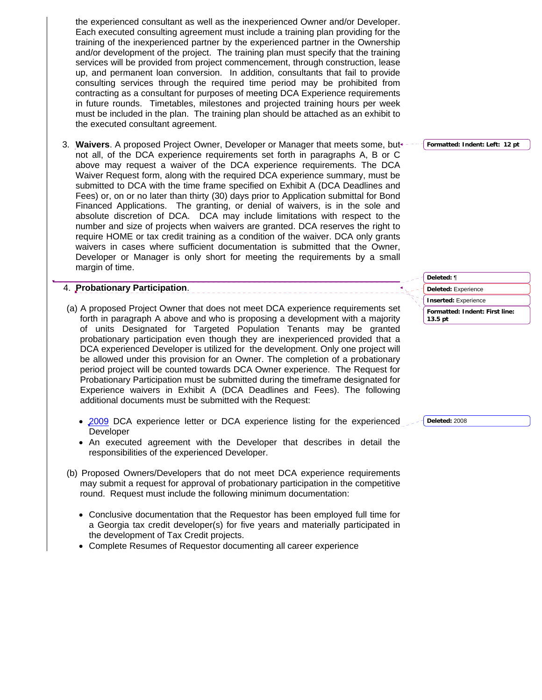the executed consultant agreement.

3. **Waivers**. A proposed Project Owner, Developer or Manager that meets some, but not all, of the DCA experience requirements set forth in paragraphs A, B or C above may request a waiver of the DCA experience requirements. The DCA Waiver Request form, along with the required DCA experience summary, must be submitted to DCA with the time frame specified on Exhibit A (DCA Deadlines and Fees) or, on or no later than thirty (30) days prior to Application submittal for Bond Financed Applications. The granting, or denial of waivers, is in the sole and absolute discretion of DCA. DCA may include limitations with respect to the number and size of projects when waivers are granted. DCA reserves the right to require HOME or tax credit training as a condition of the waiver. DCA only grants waivers in cases where sufficient documentation is submitted that the Owner, Developer or Manager is only short for meeting the requirements by a small margin of time.

### 4. **Probationary Participation**.

- (a) A proposed Project Owner that does not meet DCA experience requirements set forth in paragraph A above and who is proposing a development with a majority of units Designated for Targeted Population Tenants may be granted probationary participation even though they are inexperienced provided that a DCA experienced Developer is utilized for the development. Only one project will be allowed under this provision for an Owner. The completion of a probationary period project will be counted towards DCA Owner experience. The Request for Probationary Participation must be submitted during the timeframe designated for Experience waivers in Exhibit A (DCA Deadlines and Fees). The following additional documents must be submitted with the Request:
	- 2009 DCA experience letter or DCA experience listing for the experienced Developer
	- An executed agreement with the Developer that describes in detail the responsibilities of the experienced Developer.
- (b) Proposed Owners/Developers that do not meet DCA experience requirements may submit a request for approval of probationary participation in the competitive round. Request must include the following minimum documentation:
	- Conclusive documentation that the Requestor has been employed full time for a Georgia tax credit developer(s) for five years and materially participated in the development of Tax Credit projects.
	- Complete Resumes of Requestor documenting all career experience

**Formatted: Indent: First line: Deleted:** ¶ **Deleted:** Experience **Inserted:** Experience

**Deleted:** 2008

**13.5 pt**

**Formatted: Indent: Left: 12 pt**

the experienced consultant as well as the inexperienced Owner and/or Developer. Each executed consulting agreement must include a training plan providing for the training of the inexperienced partner by the experienced partner in the Ownership and/or development of the project. The training plan must specify that the training services will be provided from project commencement, through construction, lease up, and permanent loan conversion. In addition, consultants that fail to provide consulting services through the required time period may be prohibited from contracting as a consultant for purposes of meeting DCA Experience requirements in future rounds. Timetables, milestones and projected training hours per week must be included in the plan. The training plan should be attached as an exhibit to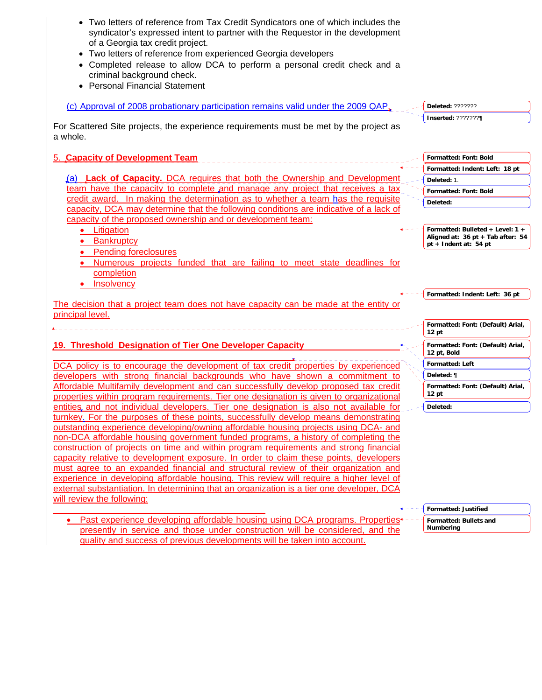| Two letters of reference from Tax Credit Syndicators one of which includes the<br>syndicator's expressed intent to partner with the Requestor in the development<br>of a Georgia tax credit project.<br>Two letters of reference from experienced Georgia developers<br>Completed release to allow DCA to perform a personal credit check and a<br>criminal background check.<br><b>Personal Financial Statement</b> |                                                                       |
|----------------------------------------------------------------------------------------------------------------------------------------------------------------------------------------------------------------------------------------------------------------------------------------------------------------------------------------------------------------------------------------------------------------------|-----------------------------------------------------------------------|
| (c) Approval of 2008 probationary participation remains valid under the 2009 QAP,                                                                                                                                                                                                                                                                                                                                    | <b>Deleted: ???????</b>                                               |
| For Scattered Site projects, the experience requirements must be met by the project as<br>a whole.                                                                                                                                                                                                                                                                                                                   | Inserted: ???????¶                                                    |
| 5. Capacity of Development Team                                                                                                                                                                                                                                                                                                                                                                                      | Formatted: Font: Bold                                                 |
|                                                                                                                                                                                                                                                                                                                                                                                                                      | Formatted: Indent: Left: 18 pt                                        |
| (a) <b>Lack of Capacity.</b> DCA requires that both the Ownership and Development                                                                                                                                                                                                                                                                                                                                    | Deleted: 1.                                                           |
| team have the capacity to complete and manage any project that receives a tax                                                                                                                                                                                                                                                                                                                                        | <b>Formatted: Font: Bold</b>                                          |
| credit award. In making the determination as to whether a team has the requisite                                                                                                                                                                                                                                                                                                                                     | Deleted:                                                              |
| capacity, DCA may determine that the following conditions are indicative of a lack of                                                                                                                                                                                                                                                                                                                                |                                                                       |
| capacity of the proposed ownership and or development team:                                                                                                                                                                                                                                                                                                                                                          |                                                                       |
| Litigation                                                                                                                                                                                                                                                                                                                                                                                                           | Formatted: Bulleted + Level: 1 +<br>Aligned at: 36 pt + Tab after: 54 |
| <b>Bankruptcy</b>                                                                                                                                                                                                                                                                                                                                                                                                    | pt + Indent at: 54 pt                                                 |
| <b>Pending foreclosures</b>                                                                                                                                                                                                                                                                                                                                                                                          |                                                                       |
| Numerous projects funded that are failing to meet state deadlines for<br>completion                                                                                                                                                                                                                                                                                                                                  |                                                                       |
| <b>Insolvency</b>                                                                                                                                                                                                                                                                                                                                                                                                    |                                                                       |
|                                                                                                                                                                                                                                                                                                                                                                                                                      | Formatted: Indent: Left: 36 pt                                        |
| The decision that a project team does not have capacity can be made at the entity or                                                                                                                                                                                                                                                                                                                                 |                                                                       |
| principal level.                                                                                                                                                                                                                                                                                                                                                                                                     |                                                                       |
|                                                                                                                                                                                                                                                                                                                                                                                                                      | Formatted: Font: (Default) Arial,<br>$12$ pt                          |
| 19. Threshold Designation of Tier One Developer Capacity                                                                                                                                                                                                                                                                                                                                                             | Formatted: Font: (Default) Arial,<br>12 pt, Bold                      |
| DCA policy is to encourage the development of tax credit properties by experienced                                                                                                                                                                                                                                                                                                                                   | <b>Formatted: Left</b>                                                |
| developers with strong financial backgrounds who have shown a commitment to                                                                                                                                                                                                                                                                                                                                          | Deleted: ¶                                                            |
| Affordable Multifamily development and can successfully develop proposed tax credit<br>properties within program requirements. Tier one designation is given to organizational                                                                                                                                                                                                                                       | Formatted: Font: (Default) Arial,<br>12 pt                            |
| entities and not individual developers. Tier one designation is also not available for                                                                                                                                                                                                                                                                                                                               | Deleted:                                                              |
| turnkey. For the purposes of these points, successfully develop means demonstrating                                                                                                                                                                                                                                                                                                                                  |                                                                       |
| outstanding experience developing/owning affordable housing projects using DCA- and                                                                                                                                                                                                                                                                                                                                  |                                                                       |
| non-DCA affordable housing government funded programs, a history of completing the                                                                                                                                                                                                                                                                                                                                   |                                                                       |
| construction of projects on time and within program requirements and strong financial                                                                                                                                                                                                                                                                                                                                |                                                                       |
| capacity relative to development exposure. In order to claim these points, developers                                                                                                                                                                                                                                                                                                                                |                                                                       |
| must agree to an expanded financial and structural review of their organization and                                                                                                                                                                                                                                                                                                                                  |                                                                       |
| experience in developing affordable housing. This review will require a higher level of                                                                                                                                                                                                                                                                                                                              |                                                                       |
| external substantiation. In determining that an organization is a tier one developer, DCA                                                                                                                                                                                                                                                                                                                            |                                                                       |
| will review the following:                                                                                                                                                                                                                                                                                                                                                                                           |                                                                       |
|                                                                                                                                                                                                                                                                                                                                                                                                                      | <b>Formatted: Justified</b>                                           |
| Past experience developing affordable housing using DCA programs. Properties <sup>+</sup><br>presently in service and those under construction will be considered and the                                                                                                                                                                                                                                            | Formatted: Bullets and<br>Numbering                                   |

presently in service and those under construction will be considered, and the

quality and success of previous developments will be taken into account.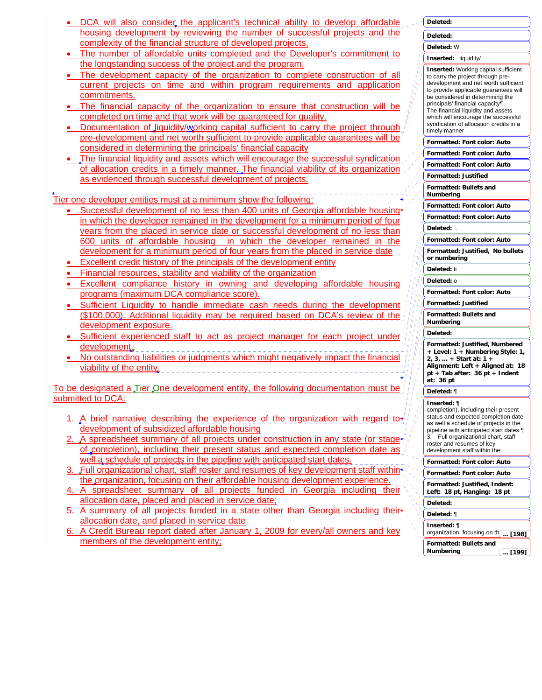| • DCA will also consider the applicant's technical ability to develop affordable |
|----------------------------------------------------------------------------------|
| housing development by reviewing the number of successful projects and the       |
| complexity of the financial structure of developed projects.                     |

- The number of affordable units completed and the Developer's commitment to the longstanding success of the project and the program,
- The development capacity of the organization to complete construction of all current projects on time and within program requirements and application commitments.
- The financial capacity of the organization to ensure that construction will be completed on time and that work will be guaranteed for quality.
- Documentation of liquidity/working capital sufficient to carry the project through pre-development and net worth sufficient to provide applicable guarantees will be considered in determining the principals' financial capacity
- The financial liquidity and assets which will encourage the successful syndication of allocation credits in a timely manner. The financial viability of its organization as evidenced through successful development of projects.

Tier one developer entities must at a minimum show the following:

- Successful development of no less than 400 units of Georgia affordable housing in which the developer remained in the development for a minimum period of four years from the placed in service date or successful development of no less than 600 units of affordable housing in which the developer remained in the development for a minimum period of four years from the placed in service date
- Excellent credit history of the principals of the development entity
- Financial resources, stability and viability of the organization
- Excellent compliance history in owning and developing affordable housing programs (maximum DCA compliance score).
- Sufficient Liquidity to handle immediate cash needs during the development (\$100,000). Additional liquidity may be required based on DCA's review of the development exposure.
- Sufficient experienced staff to act as project manager for each project under development.
- No outstanding liabilities or judgments which might negatively impact the financial viability of the entity.

To be designated a Tier One development entity, the following documentation must be submitted to DCA:

- A brief narrative describing the experience of the organization with regard todevelopment of subsidized affordable housing
- A spreadsheet summary of all projects under construction in any state (or stageof completion), including their present status and expected completion date as well a schedule of projects in the pipeline with anticipated start dates.
- 3. Full organizational chart, staff roster and resumes of key development staff within<sup>+</sup> the organization, focusing on their affordable housing development experience.
- 4. A spreadsheet summary of all projects funded in Georgia including their allocation date, placed and placed in service date;
- 5. A summary of all projects funded in a state other than Georgia including their allocation date, and placed in service date
- 6. A Credit Bureau report dated after January 1, 2009 for every/all owners and key members of the development entity;

**Formatted: Font color: Auto Formatted: Font color: Auto Formatted: Font color: Auto Formatted: Justified Formatted: Bullets and Numbering Formatted: Font color: Auto Formatted: Font color: Auto Formatted: Font color: Auto Formatted: Justified, No bullets or numbering Formatted: Font color: Auto Formatted: Justified Formatted: Bullets and Numbering Formatted: Justified, Numbered + Level: 1 + Numbering Style: 1, 2, 3, … + Start at: 1 + Alignment: Left + Aligned at: 18 pt + Tab after: 36 pt + Indent at: 36 pt Formatted: Font color: Auto Formatted: Font color: Auto Formatted: Justified, Indent: Left: 18 pt, Hanging: 18 pt Deleted: Deleted:** W **Inserted:** liquidity/ **Inserted:** Working capital sufficient to carry the project through predevelopment and net worth sufficient to provide applicable guarantees will be considered in determining the principals' financial capacity¶ The financial liquidity and assets which will encourage the successful syndication of allocation credits in a timely manner **Deleted:** . **Deleted:** ti **Deleted:** o **Deleted: Deleted:** ¶ **Inserted:** ¶ completion), including their present status and expected completion date as well a schedule of projects in the pipeline with anticipated start dates.¶ 3. Full organizational chart, staff roster and resumes of key development staff within the **Deleted: Deleted:** ¶ **Inserted:** ¶ organization, focusing on th<sub>[...</sub> [198]

**Deleted:** 

**Formatted: Bullets and Numbering ... [199]**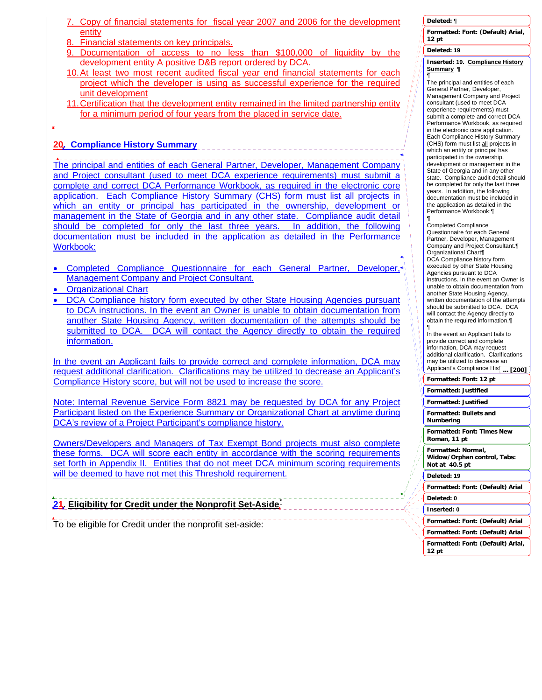- 7. Copy of financial statements for fiscal year 2007 and 2006 for the development entity
- 8. Financial statements on key principals.
- 9. Documentation of access to no less than \$100,000 of liquidity by the development entity A positive D&B report ordered by DCA.
- 10. At least two most recent audited fiscal year end financial statements for each project which the developer is using as successful experience for the required unit development
- 11. Certification that the development entity remained in the limited partnership entity for a minimum period of four years from the placed in service date.

### **20. Compliance History Summary**

The principal and entities of each General Partner, Developer, Management Company and Project consultant (used to meet DCA experience requirements) must submit a complete and correct DCA Performance Workbook, as required in the electronic core application. Each Compliance History Summary (CHS) form must list all projects in which an entity or principal has participated in the ownership, development or management in the State of Georgia and in any other state. Compliance audit detail should be completed for only the last three years. In addition, the following documentation must be included in the application as detailed in the Performance Workbook:

- Completed Compliance Questionnaire for each General Partner, Developer, Management Company and Project Consultant.
- Organizational Chart
- DCA Compliance history form executed by other State Housing Agencies pursuant to DCA instructions. In the event an Owner is unable to obtain documentation from another State Housing Agency, written documentation of the attempts should be submitted to DCA. DCA will contact the Agency directly to obtain the required information.

In the event an Applicant fails to provide correct and complete information, DCA may request additional clarification. Clarifications may be utilized to decrease an Applicant's Compliance History score, but will not be used to increase the score.

Note: Internal Revenue Service Form 8821 may be requested by DCA for any Project Participant listed on the Experience Summary or Organizational Chart at anytime during DCA's review of a Project Participant's compliance history.

Owners/Developers and Managers of Tax Exempt Bond projects must also complete these forms. DCA will score each entity in accordance with the scoring requirements set forth in Appendix II. Entities that do not meet DCA minimum scoring requirements will be deemed to have not met this Threshold requirement.

**21. Eligibility for Credit under the Nonprofit Set-Aside[\\*](#page-34-0)**

<span id="page-34-0"></span>To be eligible for Credit under the nonprofit set-aside:

### **Deleted:** ¶

**Formatted: Font: (Default) Arial, 12 pt**

### **Deleted: 19**

## **Inserted: 19. Compliance History Summary ¶** ¶

The principal and entities of each General Partner, Developer, Management Company and Project consultant (used to meet DCA experience requirements) must submit a complete and correct DCA Performance Workbook, as required in the electronic core application. Each Compliance History Summary (CHS) form must list all projects in which an entity or principal has participated in the ownership, development or management in the State of Georgia and in any other state. Compliance audit detail should be completed for only the last three years. In addition, the following documentation must be included in the application as detailed in the Performance Workbook:¶

#### **¶** Completed Compliance Questionnaire for each General Partner, Developer, Management Company and Project Consultant.¶ Organizational Chart¶ DCA Compliance history form executed by other State Housing Agencies pursuant to DCA instructions. In the event an Owner is unable to obtain documentation from another State Housing Agency, written documentation of the attempts should be submitted to DCA. DCA will contact the Agency directly to obtain the required information.¶

¶ In the event an Applicant fails to provide correct and complete information, DCA may request additional clarification. Clarifications may be utilized to decrease an Applicant's Compliance Hist **... [200]**

**Formatted: Font: 12 pt**

**Formatted: Justified Formatted: Justified**

**Formatted: Bullets and Numbering**

**Formatted: Font: Times New Roman, 11 pt**

**Formatted: Normal,**

**Widow/Orphan control, Tabs: Not at 40.5 pt**

### **Deleted: 19**

**Formatted: Font: (Default) Arial**

## **Deleted: 0**

**Inserted: 0**

**Formatted: Font: (Default) Arial**

**Formatted: Font: (Default) Arial Formatted: Font: (Default) Arial,**

**12 pt**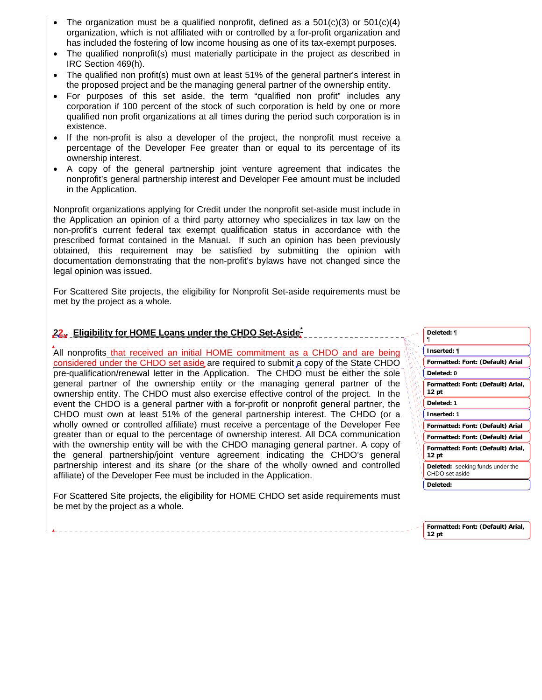- The organization must be a qualified nonprofit, defined as a  $501(c)(3)$  or  $501(c)(4)$ organization, which is not affiliated with or controlled by a for-profit organization and has included the fostering of low income housing as one of its tax-exempt purposes.
- The qualified nonprofit(s) must materially participate in the project as described in IRC Section 469(h).
- The qualified non profit(s) must own at least 51% of the general partner's interest in the proposed project and be the managing general partner of the ownership entity.
- For purposes of this set aside, the term "qualified non profit" includes any corporation if 100 percent of the stock of such corporation is held by one or more qualified non profit organizations at all times during the period such corporation is in existence.
- If the non-profit is also a developer of the project, the nonprofit must receive a percentage of the Developer Fee greater than or equal to its percentage of its ownership interest.
- A copy of the general partnership joint venture agreement that indicates the nonprofit's general partnership interest and Developer Fee amount must be included in the Application.

Nonprofit organizations applying for Credit under the nonprofit set-aside must include in the Application an opinion of a third party attorney who specializes in tax law on the non-profit's current federal tax exempt qualification status in accordance with the prescribed format contained in the Manual. If such an opinion has been previously obtained, this requirement may be satisfied by submitting the opinion with documentation demonstrating that the non-profit's bylaws have not changed since the legal opinion was issued.

For Scattered Site projects, the eligibility for Nonprofit Set-aside requirements must be met by the project as a whole.

### **22.. Eligibility for HOME Loans under the CHDO Set-Aside[\\*](#page-35-0)**

All nonprofits that received an initial HOME commitment as a CHDO and are being considered under the CHDO set aside are required to submit a copy of the State CHDO pre-qualification/renewal letter in the Application. The CHDO must be either the sole general partner of the ownership entity or the managing general partner of the ownership entity. The CHDO must also exercise effective control of the project. In the event the CHDO is a general partner with a for-profit or nonprofit general partner, the CHDO must own at least 51% of the general partnership interest. The CHDO (or a wholly owned or controlled affiliate) must receive a percentage of the Developer Fee greater than or equal to the percentage of ownership interest. All DCA communication with the ownership entity will be with the CHDO managing general partner. A copy of the general partnership/joint venture agreement indicating the CHDO's general partnership interest and its share (or the share of the wholly owned and controlled affiliate) of the Developer Fee must be included in the Application.

<span id="page-35-0"></span>For Scattered Site projects, the eligibility for HOME CHDO set aside requirements must be met by the project as a whole.

| Deleted: ¶                                                |  |
|-----------------------------------------------------------|--|
| Inserted: ¶                                               |  |
| Formatted: Font: (Default) Arial                          |  |
| Deleted: 0                                                |  |
| Formatted: Font: (Default) Arial,<br>12 pt                |  |
| ٨<br>Deleted: 1<br>Ŵ                                      |  |
| Å<br><b>Inserted: 1</b><br>ν                              |  |
| Ó<br>Formatted: Font: (Default) Arial                     |  |
| Formatted: Font: (Default) Arial                          |  |
| Formatted: Font: (Default) Arial,<br>١<br>12 pt           |  |
| <b>Deleted:</b> seeking funds under the<br>CHDO set aside |  |
| Deleted:                                                  |  |

**Formatted: Font: (Default) Arial, 12 pt**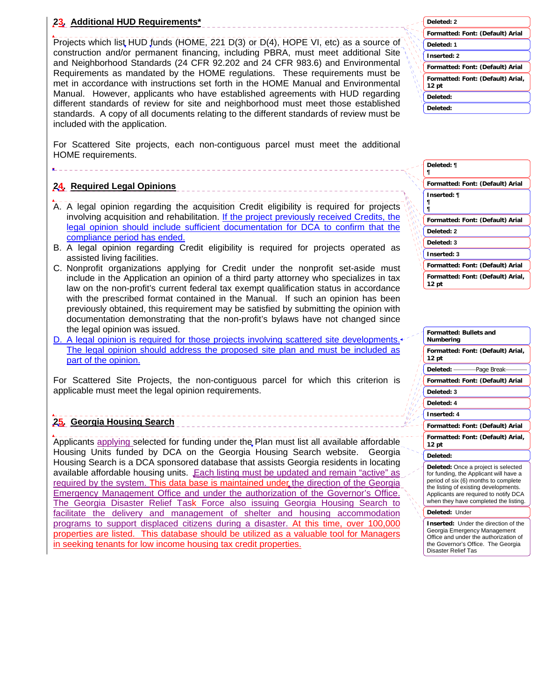#### **23. Additional HUD Requirements\***

Projects which list HUD funds (HOME, 221 D(3) or D(4), HOPE VI, etc) as a source of construction and/or permanent financing, including PBRA, must meet additional Site and Neighborhood Standards (24 CFR 92.202 and 24 CFR 983.6) and Environmental Requirements as mandated by the HOME regulations. These requirements must be met in accordance with instructions set forth in the HOME Manual and Environmental Manual. However, applicants who have established agreements with HUD regarding different standards of review for site and neighborhood must meet those established standards. A copy of all documents relating to the different standards of review must be included with the application.

|   | Deleted: 2                                            |
|---|-------------------------------------------------------|
|   | Formatted: Font: (Default) Arial                      |
|   | Deleted: 1                                            |
|   | <b>Inserted: 2</b>                                    |
|   | Formatted: Font: (Default) Arial                      |
| ۸ | Formatted: Font: (Default) Arial,<br>12 <sub>pt</sub> |
|   | Deleted:                                              |
|   | Deleted:                                              |
|   |                                                       |

For Scattered Site projects, each non-contiguous parcel must meet the additional HOME requirements.

#### **24. Required Legal Opinions**

- A. A legal opinion regarding the acquisition Credit eligibility is required for projects involving acquisition and rehabilitation. If the project previously received Credits, the legal opinion should include sufficient documentation for DCA to confirm that the compliance period has ended.
- B. A legal opinion regarding Credit eligibility is required for projects operated as assisted living facilities.
- C. Nonprofit organizations applying for Credit under the nonprofit set-aside must include in the Application an opinion of a third party attorney who specializes in tax law on the non-profit's current federal tax exempt qualification status in accordance with the prescribed format contained in the Manual. If such an opinion has been previously obtained, this requirement may be satisfied by submitting the opinion with documentation demonstrating that the non-profit's bylaws have not changed since the legal opinion was issued.
- D. A legal opinion is required for those projects involving scattered site developments. The legal opinion should address the proposed site plan and must be included as part of the opinion.

For Scattered Site Projects, the non-contiguous parcel for which this criterion is applicable must meet the legal opinion requirements.

#### **25. Georgia Housing Search**

Applicants applying selected for funding under the Plan must list all available affordable Housing Units funded by DCA on the Georgia Housing Search website. Georgia Housing Search is a DCA sponsored database that assists Georgia residents in locating available affordable housing units. Each listing must be updated and remain "active" as required by the system. This data base is maintained under the direction of the Georgia Emergency Management Office and under the authorization of the Governor's Office. The Georgia Disaster Relief Task Force also issuing Georgia Housing Search to facilitate the delivery and management of shelter and housing accommodation programs to support displaced citizens during a disaster. At this time, over 100,000 properties are listed. This database should be utilized as a valuable tool for Managers in seeking tenants for low income housing tax credit properties.

| Deleted: ¶<br>1 |                                   |
|-----------------|-----------------------------------|
|                 | Formatted: Font: (Default) Arial  |
| Inserted: ¶     |                                   |
|                 | Formatted: Font: (Default) Arial  |
| Deleted: 2      |                                   |
| Deleted: 3      |                                   |
| Inserted: 3     |                                   |
|                 | Formatted: Font: (Default) Arial  |
| 12 pt           | Formatted: Font: (Default) Arial, |

| <b>Formatted: Bullets and</b><br>Numbering                                                                                                                                                                                                              |
|---------------------------------------------------------------------------------------------------------------------------------------------------------------------------------------------------------------------------------------------------------|
| Formatted: Font: (Default) Arial,<br>12 pt                                                                                                                                                                                                              |
| Deleted: --------------- Page Break---                                                                                                                                                                                                                  |
| Formatted: Font: (Default) Arial                                                                                                                                                                                                                        |
| Deleted: 3                                                                                                                                                                                                                                              |
| Deleted: 4                                                                                                                                                                                                                                              |
| Inserted: 4                                                                                                                                                                                                                                             |
| Formatted: Font: (Default) Arial                                                                                                                                                                                                                        |
| Formatted: Font: (Default) Arial,<br>12 pt                                                                                                                                                                                                              |
| Deleted:                                                                                                                                                                                                                                                |
| <b>Deleted:</b> Once a project is selected<br>for funding, the Applicant will have a<br>period of six (6) months to complete<br>the listing of existing developments.<br>Applicants are required to notify DCA<br>when they have completed the listing. |
| Deleted: Under                                                                                                                                                                                                                                          |
| Incortod: Linder the direction of the                                                                                                                                                                                                                   |

**Inserted:** Under the direction of the Georgia Emergency Management Office and under the authorization of the Governor's Office. The Georgia Disaster Relief Tas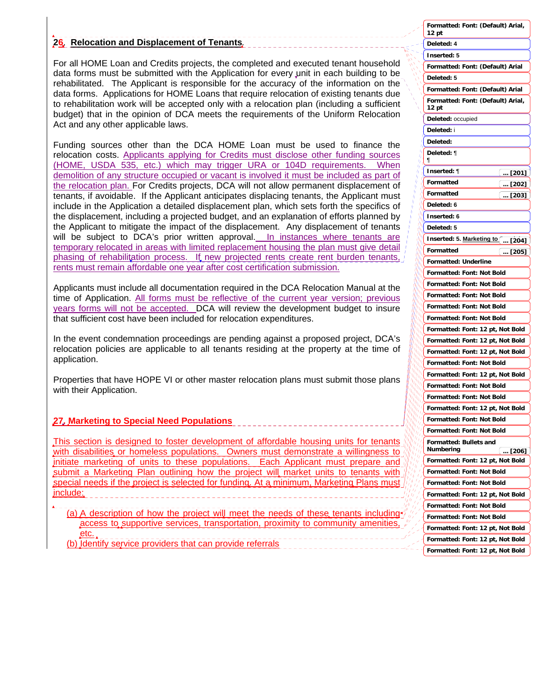#### **26**. **Relocation and Displacement of Tenants***.*

For all HOME Loan and Credits projects, the completed and executed tenant household data forms must be submitted with the Application for every unit in each building to be rehabilitated. The Applicant is responsible for the accuracy of the information on the data forms. Applications for HOME Loans that require relocation of existing tenants due to rehabilitation work will be accepted only with a relocation plan (including a sufficient budget) that in the opinion of DCA meets the requirements of the Uniform Relocation Act and any other applicable laws.

Funding sources other than the DCA HOME Loan must be used to finance the relocation costs. Applicants applying for Credits must disclose other funding sources (HOME, USDA 535, etc.) which may trigger URA or 104D requirements. When demolition of any structure occupied or vacant is involved it must be included as part of the relocation plan. For Credits projects, DCA will not allow permanent displacement of tenants, if avoidable. If the Applicant anticipates displacing tenants, the Applicant must include in the Application a detailed displacement plan, which sets forth the specifics of the displacement, including a projected budget, and an explanation of efforts planned by the Applicant to mitigate the impact of the displacement. Any displacement of tenants will be subject to DCA's prior written approval. In instances where tenants are temporary relocated in areas with limited replacement housing the plan must give detail phasing of rehabilitation process. It new projected rents create rent burden tenants, rents must remain affordable one year after cost certification submission.

Applicants must include all documentation required in the DCA Relocation Manual at the time of Application. All forms must be reflective of the current year version; previous years forms will not be accepted. DCA will review the development budget to insure that sufficient cost have been included for relocation expenditures.

In the event condemnation proceedings are pending against a proposed project, DCA's relocation policies are applicable to all tenants residing at the property at the time of application.

Properties that have HOPE VI or other master relocation plans must submit those plans with their Application.

#### **27. Marketing to Special Need Populations**

This section is designed to foster development of affordable housing units for tenants with disabilities or homeless populations. Owners must demonstrate a willingness to initiate marketing of units to these populations. Each Applicant must prepare and submit a Marketing Plan outlining how the project will market units to tenants with special needs if the project is selected for funding. At a minimum, Marketing Plans must include:

(a) A description of how the project will meet the needs of these tenants including access to supportive services, transportation, proximity to community amenitie etc.

(b) Identify service providers that can provide referrals

| Formatted: Font: (Default) Arial,<br>12 pt   |
|----------------------------------------------|
| Deleted: 4                                   |
| Inserted: 5                                  |
| Formatted: Font: (Default) Arial             |
| Deleted: 5                                   |
| Formatted: Font: (Default) Arial             |
| Formatted: Font: (Default) Arial,<br>12 pt   |
| Deleted: occupied                            |
| Deleted: i                                   |
| Deleted:                                     |
| Deleted: ¶<br>¶                              |
| Inserted: ¶<br>… [201]                       |
| Formatted<br><u> [202]</u>                   |
| Formatted<br>[203]<br>$\cdots$               |
| Deleted: 6                                   |
| Inserted: 6                                  |
| Deleted: 5                                   |
| Inserted: 5. Marketing to [ [204]            |
| Formatted                                    |
| $$ [205]<br>Formatted: Underline             |
| Formatted: Font: Not Bold                    |
| Formatted: Font: Not Bold                    |
| Formatted: Font: Not Bold                    |
|                                              |
| Formatted: Font: Not Bold                    |
| Formatted: Font: Not Bold                    |
| Formatted: Font: 12 pt, Not Bold             |
| Formatted: Font:<br>12 pt, Not Bold          |
| Formatted: Font:<br>12 pt, Not Bold          |
| <b>Formatted: Font:</b><br>Not Bold          |
| <b>Formatted: Font:</b><br>12 pt, Not Bold   |
| Formatted: Font:<br>Not Bold                 |
| <b>Formatted: Font: Not Bold</b>             |
| Formatted: Font: 12 pt, Not Bold             |
| Formatted: Font: Not Bold                    |
| Formatted: Font: Not Bold                    |
| <b>Formatted: Bullets and</b><br>Numbering   |
| 〔… [206]<br>Formatted: Font: 12 pt, Not Bold |
| Formatted: Font: Not Bold                    |
|                                              |
| Formatted: Font: Not Bold                    |
| Formatted: Font: 12 pt, Not Bold             |
| Formatted: Font: Not Bold                    |
| Formatted: Font: Not Bold                    |
| Formatted: Font: 12 pt, Not Bold             |
| Formatted: Font: 12 pt, Not Bold             |
| Formatted: Font: 12 pt, Not Bold             |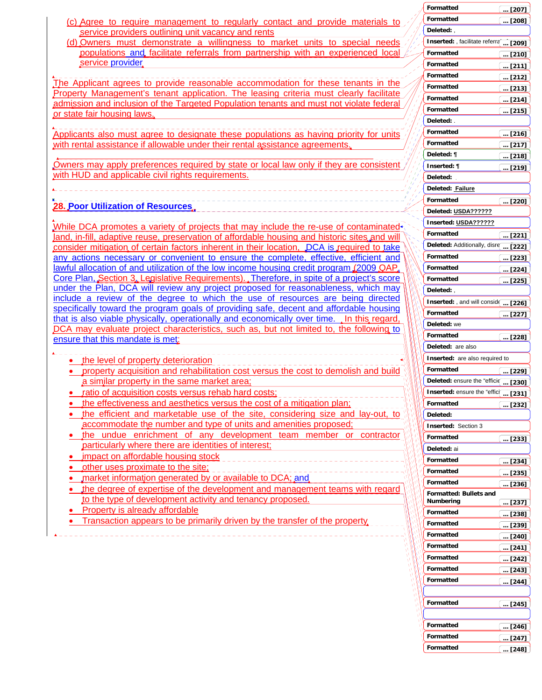|                                                                                                                                               | Formatted                             | $$ [207] |
|-----------------------------------------------------------------------------------------------------------------------------------------------|---------------------------------------|----------|
| (c) Agree to require management to regularly contact and provide materials to                                                                 | <b>Formatted</b>                      | $$ [208] |
| service providers outlining unit vacancy and rents                                                                                            | Deleted:,                             |          |
| (d) Owners must demonstrate a willingness to market units to special needs                                                                    | Inserted: , facilitate referra  [209] |          |
| populations and facilitate referrals from partnership with an experienced local                                                               | Formatted                             | $$ [210] |
| service provider                                                                                                                              | Formatted                             | [211]    |
|                                                                                                                                               | Formatted                             | $$ [212] |
| The Applicant agrees to provide reasonable accommodation for these tenants in the                                                             | Formatted                             | $$ [213] |
| Property Management's tenant application. The leasing criteria must clearly facilitate                                                        | Formatted                             |          |
| admission and inclusion of the Targeted Population tenants and must not violate federal                                                       | Formatted                             | $$ [214] |
| or state fair housing laws.                                                                                                                   | Deleted: .                            | $$ [215] |
|                                                                                                                                               | Formatted                             |          |
| Applicants also must agree to designate these populations as having priority for units                                                        |                                       | $$ [216] |
| with rental assistance if allowable under their rental assistance agreements.                                                                 | Formatted                             | [217]    |
|                                                                                                                                               | Deleted: ¶                            | $$ [218] |
| Owners may apply preferences required by state or local law only if they are consistent<br>with HUD and applicable civil rights requirements. | Inserted: ¶                           | $$ [219] |
|                                                                                                                                               | Deleted:                              |          |
|                                                                                                                                               | Deleted: Failure                      |          |
| 28. Poor Utilization of Resources.                                                                                                            | Formatted                             | $$ [220] |
|                                                                                                                                               | Deleted: USDA??????                   |          |
| While DCA promotes a variety of projects that may include the re-use of contaminated                                                          | Inserted: USDA??????                  |          |
| land, in-fill, adaptive reuse, preservation of affordable housing and historic sites and will                                                 | Formatted                             | $$ [221] |
| consider mitigation of certain factors inherent in their location, DCA is required to take                                                    | Deleted: Additionally, disre          | [222]    |
| any actions necessary or convenient to ensure the complete, effective, efficient and                                                          | Formatted                             | [223]    |
| lawful allocation of and utilization of the low income housing credit program (2009 QAP)                                                      | Formatted                             | $$ [224] |
| Core Plan, Section 3. Legislative Requirements). Therefore, in spite of a project's score                                                     | <b>Formatted</b>                      | $$ [225] |
| under the Plan, DCA will review any project proposed for reasonableness, which may                                                            | Deleted:,                             |          |
| include a review of the degree to which the use of resources are being directed                                                               | Inserted: , and will consid( [226]    |          |
| specifically toward the program goals of providing safe, decent and affordable housing                                                        | Formatted                             | [227]    |
| that is also viable physically, operationally and economically over time. In this regard.                                                     | Deleted: we                           |          |
| DCA may evaluate project characteristics, such as, but not limited to, the following to                                                       | Formatted                             | $$ [228] |
| ensure that this mandate is met:                                                                                                              | Deleted: are also                     |          |
| the level of property deterioration                                                                                                           | <b>Inserted:</b> are also required to |          |
| property acquisition and rehabilitation cost versus the cost to demolish and build                                                            | Formatted                             | $$ [229] |
| a similar property in the same market area;                                                                                                   | Deleted: ensure the "efficiq  [230]   |          |
| ratio of acquisition costs versus rehab hard costs;                                                                                           | Inserted: ensure the "effic[ [231]    |          |
| the effectiveness and aesthetics versus the cost of a mitigation plan;                                                                        | Formatted                             | [232]    |
| the efficient and marketable use of the site, considering size and lay-out, to                                                                | Deleted:                              |          |
| accommodate the number and type of units and amenities proposed;                                                                              | <b>Inserted: Section 3</b>            |          |
| the undue enrichment of any development team member or contractor                                                                             | Formatted                             |          |
| particularly where there are identities of interest;                                                                                          | Deleted: ai                           | $$ [233] |
| impact on affordable housing stock                                                                                                            | Formatted                             |          |
| other uses proximate to the site:                                                                                                             |                                       | $$ [234] |
| market information generated by or available to DCA; and                                                                                      | Formatted                             | $$ [235] |
| the degree of expertise of the development and management teams with regard                                                                   | <b>Formatted</b>                      | $$ [236] |
| to the type of development activity and tenancy proposed.                                                                                     | Formatted: Bullets and<br>Numbering   |          |
| Property is already affordable                                                                                                                | Formatted                             | [237]    |
| Transaction appears to be primarily driven by the transfer of the property                                                                    | Formatted                             | $$ [238] |
|                                                                                                                                               | Formatted                             | $$ [239] |
|                                                                                                                                               | Formatted                             | $$ [240] |
|                                                                                                                                               | Formatted                             | [241]    |
|                                                                                                                                               |                                       | [242]    |
|                                                                                                                                               | Formatted                             | $$ [243] |
|                                                                                                                                               | Formatted                             | [244]    |
|                                                                                                                                               |                                       |          |

**Formatted**

**Formatted Formatted**

**Formatted**

**... [245]**

**... [246]**

**... [247]**

**... [248]**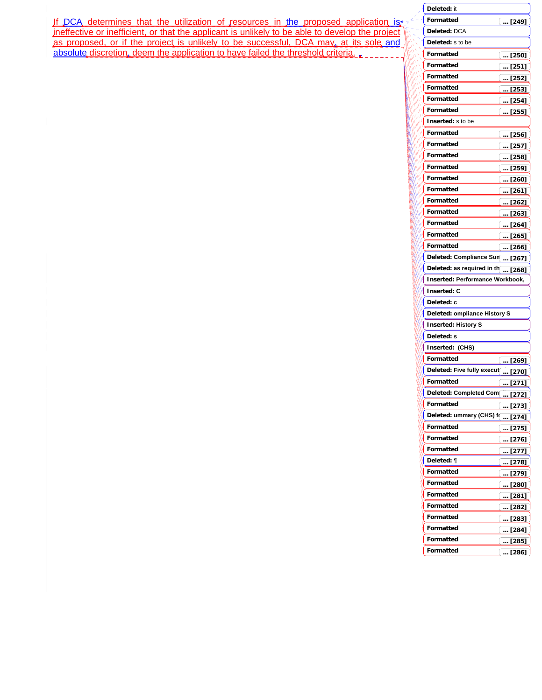#### انتق If DCA determines that the utilization of resources in the proposed application is

ineffective or inefficient, or that the applicant is unlikely to be able to develop the project as proposed, or if the project is unlikely to be successful, DCA may, at its sole and absolute discretion, deem the application to have failed the threshold criteria.

 $\mathbf{I}$ 

 $\mathsf I$ 

| Deleted: it                             |                                                    |
|-----------------------------------------|----------------------------------------------------|
| Formatted                               | $\ldots$ [249]                                     |
| Deleted: DCA                            |                                                    |
| Deleted: s to be                        |                                                    |
| <b>Formatted</b>                        | $\overline{}$ [250]                                |
| <b>Formatted</b>                        | <u>[  [251]</u>                                    |
| Formatted                               | $\left(\,\,$ [252]                                 |
| Formatted                               | $\left(\,\ldots\,\overline{\mathrm{[253]}}\right)$ |
| <b>Formatted</b>                        | $$ [254]                                           |
| Formatted                               | $$ [255]                                           |
| Inserted: s to be                       |                                                    |
| Formatted                               | $$ [256]                                           |
| Formatted                               | $$ [257]                                           |
| Formatted                               | $$ [258]                                           |
| Formatted                               | [259]                                              |
| Formatted                               | $$ [260]                                           |
| Formatted                               | [261]                                              |
| Formatted                               | $$ [262]                                           |
| Formatted                               | $$ [263]                                           |
| Formatted                               | $\ldots$ [264]                                     |
| <b>Formatted</b>                        | (… [265]                                           |
| Formatted                               | $\boxed{ [266]}$                                   |
| Deleted: Compliance Sun  [267]          |                                                    |
| Deleted: as required in th $\sqrt{268}$ |                                                    |
| Inserted: Performance Workbook,         |                                                    |
| <b>Inserted: C</b>                      |                                                    |
| Deleted: c                              |                                                    |
| Deleted: ompliance History S            |                                                    |
| <b>Inserted: History S</b>              |                                                    |
| Deleted: s                              |                                                    |
| Inserted: (CHS)                         |                                                    |
| Formatted                               | … [269]                                            |
| Deleted: Five fully execut  [270]       |                                                    |
| Formatted                               | [271]<br>$\cdots$                                  |
| Deleted: Completed Com                  | [272]<br>$\dddotsc$                                |
| Formatted                               |                                                    |
|                                         | $$ [273]                                           |
| Deleted: ummary (CHS) f( <u>… [274]</u> |                                                    |
| Formatted                               | $\overline{\ldots}$ [275]                          |
| Formatted                               | [276]                                              |
| Formatted                               | [277]                                              |
| Deleted: ¶                              | [278]                                              |
| Formatted                               | [279]                                              |
| Formatted                               | … [280]                                            |
| Formatted                               | $$ [281]                                           |
| Formatted                               | I<br>… [282]                                       |
| Formatted                               | [283]                                              |
| Formatted                               | [284]<br>$\ddots$                                  |
| Formatted                               | [285]<br>                                          |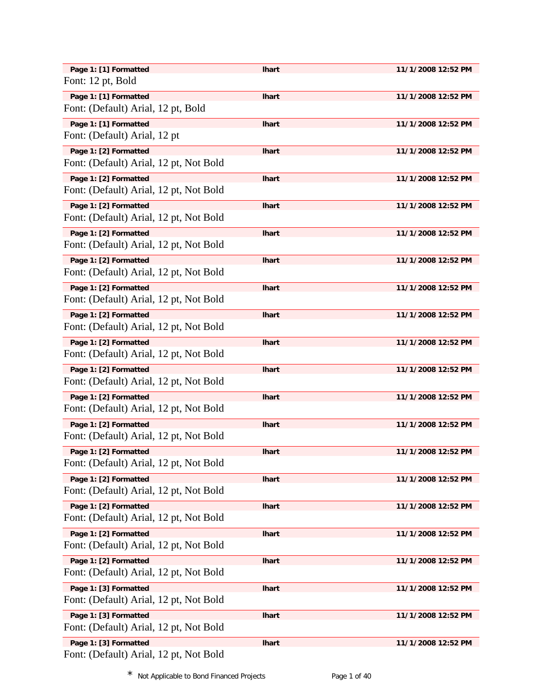| Page 1: [1] Formatted                  | <b>Ihart</b> | 11/1/2008 12:52 PM |
|----------------------------------------|--------------|--------------------|
| Font: 12 pt, Bold                      |              |                    |
| Page 1: [1] Formatted                  | <b>Ihart</b> | 11/1/2008 12:52 PM |
| Font: (Default) Arial, 12 pt, Bold     |              |                    |
|                                        |              |                    |
| Page 1: [1] Formatted                  | <b>Ihart</b> | 11/1/2008 12:52 PM |
| Font: (Default) Arial, 12 pt           |              |                    |
| Page 1: [2] Formatted                  | <b>Ihart</b> | 11/1/2008 12:52 PM |
| Font: (Default) Arial, 12 pt, Not Bold |              |                    |
| Page 1: [2] Formatted                  | <b>Ihart</b> | 11/1/2008 12:52 PM |
| Font: (Default) Arial, 12 pt, Not Bold |              |                    |
|                                        |              |                    |
| Page 1: [2] Formatted                  | <b>Ihart</b> | 11/1/2008 12:52 PM |
| Font: (Default) Arial, 12 pt, Not Bold |              |                    |
| Page 1: [2] Formatted                  | <b>Ihart</b> | 11/1/2008 12:52 PM |
| Font: (Default) Arial, 12 pt, Not Bold |              |                    |
| Page 1: [2] Formatted                  | <b>Ihart</b> | 11/1/2008 12:52 PM |
| Font: (Default) Arial, 12 pt, Not Bold |              |                    |
| Page 1: [2] Formatted                  | <b>Ihart</b> | 11/1/2008 12:52 PM |
| Font: (Default) Arial, 12 pt, Not Bold |              |                    |
|                                        |              |                    |
| Page 1: [2] Formatted                  | <b>Ihart</b> | 11/1/2008 12:52 PM |
| Font: (Default) Arial, 12 pt, Not Bold |              |                    |
| Page 1: [2] Formatted                  | <b>Ihart</b> | 11/1/2008 12:52 PM |
| Font: (Default) Arial, 12 pt, Not Bold |              |                    |
| Page 1: [2] Formatted                  | <b>Ihart</b> | 11/1/2008 12:52 PM |
| Font: (Default) Arial, 12 pt, Not Bold |              |                    |
| Page 1: [2] Formatted                  | <b>Ihart</b> | 11/1/2008 12:52 PM |
| Font: (Default) Arial, 12 pt, Not Bold |              |                    |
|                                        |              |                    |
| Page 1: [2] Formatted                  | <b>Ihart</b> | 11/1/2008 12:52 PM |
| Font: (Default) Arial, 12 pt, Not Bold |              |                    |
| Page 1: [2] Formatted                  | <b>Ihart</b> | 11/1/2008 12:52 PM |
| Font: (Default) Arial, 12 pt, Not Bold |              |                    |
| Page 1: [2] Formatted                  | <b>Ihart</b> | 11/1/2008 12:52 PM |
| Font: (Default) Arial, 12 pt, Not Bold |              |                    |
|                                        |              |                    |
| Page 1: [2] Formatted                  | <b>Ihart</b> | 11/1/2008 12:52 PM |
| Font: (Default) Arial, 12 pt, Not Bold |              |                    |
| Page 1: [2] Formatted                  | <b>Ihart</b> | 11/1/2008 12:52 PM |
| Font: (Default) Arial, 12 pt, Not Bold |              |                    |
| Page 1: [2] Formatted                  | <b>Ihart</b> | 11/1/2008 12:52 PM |
| Font: (Default) Arial, 12 pt, Not Bold |              |                    |
| Page 1: [3] Formatted                  | <b>Ihart</b> | 11/1/2008 12:52 PM |
| Font: (Default) Arial, 12 pt, Not Bold |              |                    |
|                                        |              |                    |
| Page 1: [3] Formatted                  | <b>Ihart</b> | 11/1/2008 12:52 PM |
| Font: (Default) Arial, 12 pt, Not Bold |              |                    |
| Page 1: [3] Formatted                  | <b>Ihart</b> | 11/1/2008 12:52 PM |
| Font: (Default) Arial, 12 pt, Not Bold |              |                    |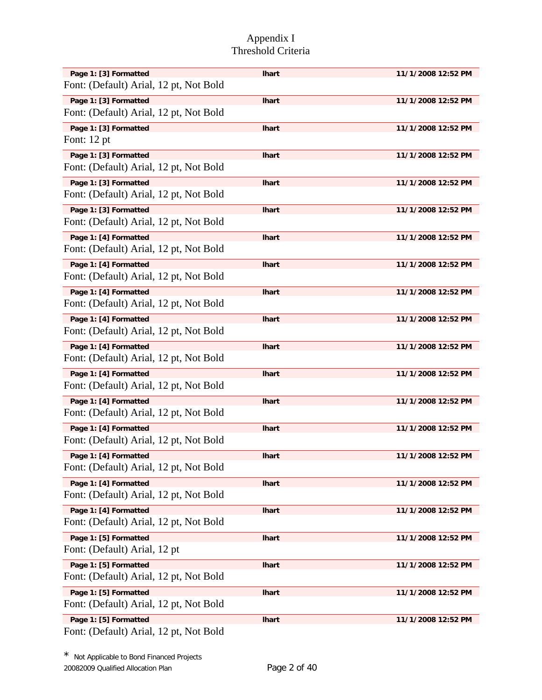| Page 1: [3] Formatted                  | <b>Ihart</b> | 11/1/2008 12:52 PM |
|----------------------------------------|--------------|--------------------|
| Font: (Default) Arial, 12 pt, Not Bold |              |                    |
| Page 1: [3] Formatted                  | <b>Ihart</b> | 11/1/2008 12:52 PM |
| Font: (Default) Arial, 12 pt, Not Bold |              |                    |
| Page 1: [3] Formatted                  | <b>Ihart</b> | 11/1/2008 12:52 PM |
| Font: 12 pt                            |              |                    |
| Page 1: [3] Formatted                  | <b>Ihart</b> | 11/1/2008 12:52 PM |
| Font: (Default) Arial, 12 pt, Not Bold |              |                    |
| Page 1: [3] Formatted                  | <b>Ihart</b> | 11/1/2008 12:52 PM |
| Font: (Default) Arial, 12 pt, Not Bold |              |                    |
| Page 1: [3] Formatted                  | <b>Ihart</b> | 11/1/2008 12:52 PM |
| Font: (Default) Arial, 12 pt, Not Bold |              |                    |
| Page 1: [4] Formatted                  | <b>Ihart</b> | 11/1/2008 12:52 PM |
| Font: (Default) Arial, 12 pt, Not Bold |              |                    |
| Page 1: [4] Formatted                  | <b>Ihart</b> | 11/1/2008 12:52 PM |
| Font: (Default) Arial, 12 pt, Not Bold |              |                    |
| Page 1: [4] Formatted                  | <b>Ihart</b> | 11/1/2008 12:52 PM |
| Font: (Default) Arial, 12 pt, Not Bold |              |                    |
| Page 1: [4] Formatted                  | <b>Ihart</b> | 11/1/2008 12:52 PM |
| Font: (Default) Arial, 12 pt, Not Bold |              |                    |
| Page 1: [4] Formatted                  | <b>Ihart</b> | 11/1/2008 12:52 PM |
| Font: (Default) Arial, 12 pt, Not Bold |              |                    |
| Page 1: [4] Formatted                  | <b>Ihart</b> | 11/1/2008 12:52 PM |
| Font: (Default) Arial, 12 pt, Not Bold |              |                    |
| Page 1: [4] Formatted                  | <b>Ihart</b> | 11/1/2008 12:52 PM |
| Font: (Default) Arial, 12 pt, Not Bold |              |                    |
| Page 1: [4] Formatted                  | <b>Ihart</b> | 11/1/2008 12:52 PM |
| Font: (Default) Arial, 12 pt, Not Bold |              |                    |
| Page 1: [4] Formatted                  | <b>Ihart</b> | 11/1/2008 12:52 PM |
| Font: (Default) Arial, 12 pt, Not Bold |              |                    |
| Page 1: [4] Formatted                  | <b>Ihart</b> | 11/1/2008 12:52 PM |
| Font: (Default) Arial, 12 pt, Not Bold |              |                    |
| Page 1: [4] Formatted                  | <b>Ihart</b> | 11/1/2008 12:52 PM |
| Font: (Default) Arial, 12 pt, Not Bold |              |                    |
| Page 1: [5] Formatted                  | <b>Ihart</b> | 11/1/2008 12:52 PM |
| Font: (Default) Arial, 12 pt           |              |                    |
| Page 1: [5] Formatted                  | <b>Ihart</b> | 11/1/2008 12:52 PM |
| Font: (Default) Arial, 12 pt, Not Bold |              |                    |
| Page 1: [5] Formatted                  | <b>Ihart</b> | 11/1/2008 12:52 PM |
| Font: (Default) Arial, 12 pt, Not Bold |              |                    |
| Page 1: [5] Formatted                  | <b>Ihart</b> | 11/1/2008 12:52 PM |
| Font: (Default) Arial, 12 pt, Not Bold |              |                    |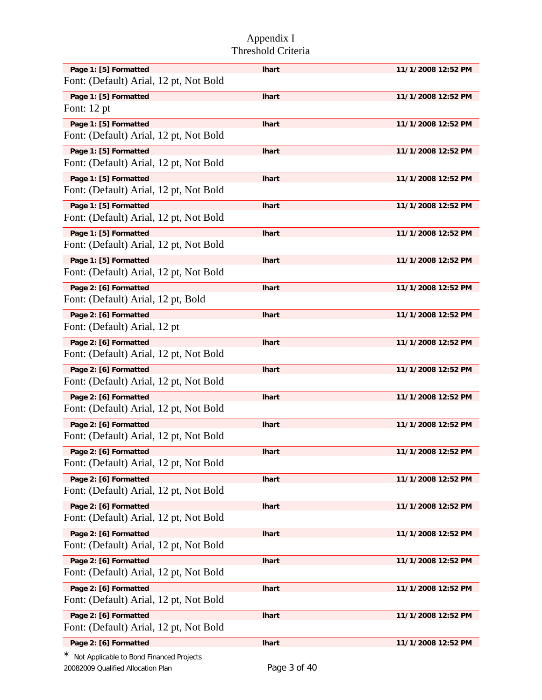| Page 1: [5] Formatted                    | <b>Ihart</b> | 11/1/2008 12:52 PM |
|------------------------------------------|--------------|--------------------|
| Font: (Default) Arial, 12 pt, Not Bold   |              |                    |
| Page 1: [5] Formatted                    | <b>Ihart</b> | 11/1/2008 12:52 PM |
| Font: $12$ pt                            |              |                    |
| Page 1: [5] Formatted                    | <b>Ihart</b> | 11/1/2008 12:52 PM |
| Font: (Default) Arial, 12 pt, Not Bold   |              |                    |
| Page 1: [5] Formatted                    | <b>Ihart</b> | 11/1/2008 12:52 PM |
| Font: (Default) Arial, 12 pt, Not Bold   |              |                    |
| Page 1: [5] Formatted                    | <b>Ihart</b> | 11/1/2008 12:52 PM |
| Font: (Default) Arial, 12 pt, Not Bold   |              |                    |
| Page 1: [5] Formatted                    | <b>Ihart</b> | 11/1/2008 12:52 PM |
| Font: (Default) Arial, 12 pt, Not Bold   |              |                    |
| Page 1: [5] Formatted                    | <b>Ihart</b> | 11/1/2008 12:52 PM |
| Font: (Default) Arial, 12 pt, Not Bold   |              |                    |
| Page 1: [5] Formatted                    | <b>Ihart</b> | 11/1/2008 12:52 PM |
| Font: (Default) Arial, 12 pt, Not Bold   |              |                    |
| Page 2: [6] Formatted                    | <b>Ihart</b> | 11/1/2008 12:52 PM |
| Font: (Default) Arial, 12 pt, Bold       |              |                    |
| Page 2: [6] Formatted                    | <b>Ihart</b> | 11/1/2008 12:52 PM |
| Font: (Default) Arial, 12 pt             |              |                    |
| Page 2: [6] Formatted                    | <b>Ihart</b> | 11/1/2008 12:52 PM |
| Font: (Default) Arial, 12 pt, Not Bold   |              |                    |
| Page 2: [6] Formatted                    | <b>Ihart</b> | 11/1/2008 12:52 PM |
| Font: (Default) Arial, 12 pt, Not Bold   |              |                    |
| Page 2: [6] Formatted                    | <b>Ihart</b> | 11/1/2008 12:52 PM |
| Font: (Default) Arial, 12 pt, Not Bold   |              |                    |
| Page 2: [6] Formatted                    | <b>Ihart</b> | 11/1/2008 12:52 PM |
| Font: (Default) Arial, 12 pt, Not Bold   |              |                    |
| Page 2: [6] Formatted                    | <b>Ihart</b> | 11/1/2008 12:52 PM |
| Font: (Default) Arial, 12 pt, Not Bold   |              |                    |
| Page 2: [6] Formatted                    | <b>Ihart</b> | 11/1/2008 12:52 PM |
| Font: (Default) Arial, 12 pt, Not Bold   |              |                    |
| Page 2: [6] Formatted                    | <b>Ihart</b> | 11/1/2008 12:52 PM |
| Font: (Default) Arial, 12 pt, Not Bold   |              |                    |
| Page 2: [6] Formatted                    | <b>Ihart</b> | 11/1/2008 12:52 PM |
| Font: (Default) Arial, 12 pt, Not Bold   |              |                    |
| Page 2: [6] Formatted                    | <b>Ihart</b> | 11/1/2008 12:52 PM |
| Font: (Default) Arial, 12 pt, Not Bold   |              |                    |
| Page 2: [6] Formatted                    | <b>Ihart</b> | 11/1/2008 12:52 PM |
| Font: (Default) Arial, 12 pt, Not Bold   |              |                    |
| Page 2: [6] Formatted                    | <b>Ihart</b> | 11/1/2008 12:52 PM |
| Font: (Default) Arial, 12 pt, Not Bold   |              |                    |
| Page 2: [6] Formatted                    | <b>Ihart</b> | 11/1/2008 12:52 PM |
| Not Applicable to Bond Financed Projects |              |                    |

20082009 Qualified Allocation Plan Page 3 of 40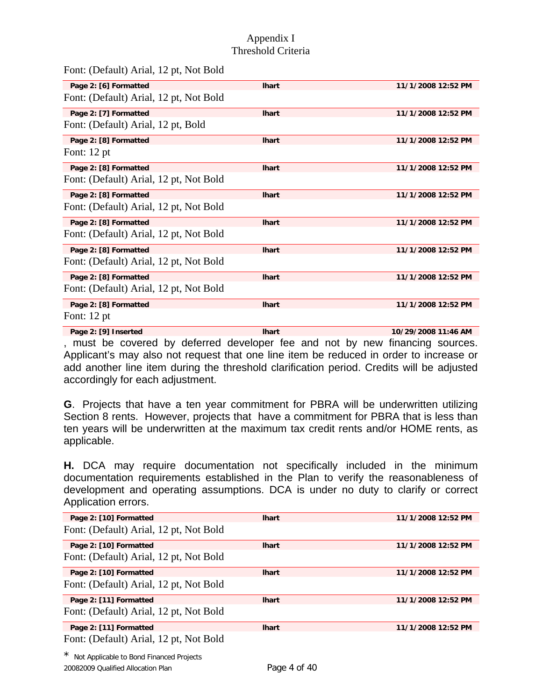Font: (Default) Arial, 12 pt, Not Bold

| Page 2: [6] Formatted                  | <b>Ihart</b> | 11/1/2008 12:52 PM  |
|----------------------------------------|--------------|---------------------|
| Font: (Default) Arial, 12 pt, Not Bold |              |                     |
| Page 2: [7] Formatted                  | <b>Ihart</b> | 11/1/2008 12:52 PM  |
| Font: (Default) Arial, 12 pt, Bold     |              |                     |
| Page 2: [8] Formatted                  | <b>Ihart</b> | 11/1/2008 12:52 PM  |
| Font: $12$ pt                          |              |                     |
| Page 2: [8] Formatted                  | <b>Ihart</b> | 11/1/2008 12:52 PM  |
| Font: (Default) Arial, 12 pt, Not Bold |              |                     |
| Page 2: [8] Formatted                  | <b>Ihart</b> | 11/1/2008 12:52 PM  |
| Font: (Default) Arial, 12 pt, Not Bold |              |                     |
| Page 2: [8] Formatted                  | <b>Ihart</b> | 11/1/2008 12:52 PM  |
| Font: (Default) Arial, 12 pt, Not Bold |              |                     |
| Page 2: [8] Formatted                  | <b>Ihart</b> | 11/1/2008 12:52 PM  |
| Font: (Default) Arial, 12 pt, Not Bold |              |                     |
| Page 2: [8] Formatted                  | <b>Ihart</b> | 11/1/2008 12:52 PM  |
| Font: (Default) Arial, 12 pt, Not Bold |              |                     |
| Page 2: [8] Formatted                  | <b>Ihart</b> | 11/1/2008 12:52 PM  |
| Font: $12$ pt                          |              |                     |
| Page 2: [9] Inserted                   | <b>Ihart</b> | 10/29/2008 11:46 AM |

, must be covered by deferred developer fee and not by new financing sources. Applicant's may also not request that one line item be reduced in order to increase or add another line item during the threshold clarification period. Credits will be adjusted accordingly for each adjustment.

**G**. Projects that have a ten year commitment for PBRA will be underwritten utilizing Section 8 rents. However, projects that have a commitment for PBRA that is less than ten years will be underwritten at the maximum tax credit rents and/or HOME rents, as applicable.

**H.** DCA may require documentation not specifically included in the minimum documentation requirements established in the Plan to verify the reasonableness of development and operating assumptions. DCA is under no duty to clarify or correct Application errors.

| Page 2: [10] Formatted                 | <b>Ihart</b> | 11/1/2008 12:52 PM |
|----------------------------------------|--------------|--------------------|
| Font: (Default) Arial, 12 pt, Not Bold |              |                    |
| Page 2: [10] Formatted                 | <b>Ihart</b> | 11/1/2008 12:52 PM |
| Font: (Default) Arial, 12 pt, Not Bold |              |                    |
| Page 2: [10] Formatted                 | <b>Ihart</b> | 11/1/2008 12:52 PM |
| Font: (Default) Arial, 12 pt, Not Bold |              |                    |
| Page 2: [11] Formatted                 | <b>Ihart</b> | 11/1/2008 12:52 PM |
| Font: (Default) Arial, 12 pt, Not Bold |              |                    |
| Page 2: [11] Formatted                 | <b>Ihart</b> | 11/1/2008 12:52 PM |
| Font: (Default) Arial, 12 pt, Not Bold |              |                    |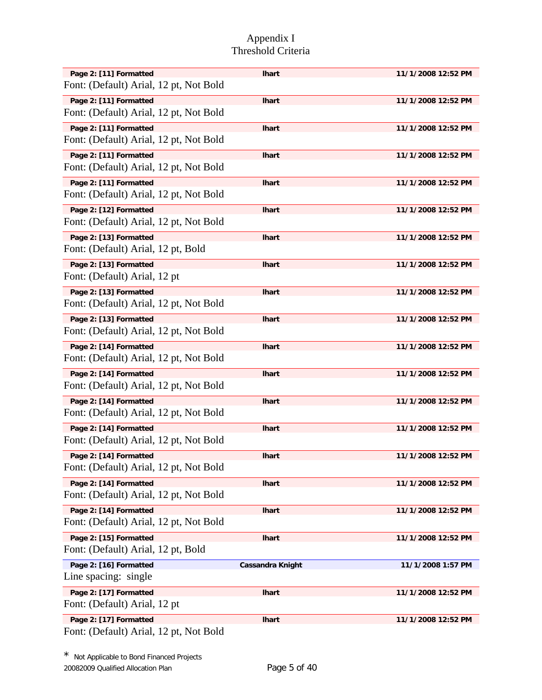| Page 2: [11] Formatted                                           | <b>Ihart</b>            | 11/1/2008 12:52 PM |
|------------------------------------------------------------------|-------------------------|--------------------|
| Font: (Default) Arial, 12 pt, Not Bold                           |                         |                    |
| Page 2: [11] Formatted                                           | <b>Ihart</b>            | 11/1/2008 12:52 PM |
| Font: (Default) Arial, 12 pt, Not Bold                           |                         |                    |
| Page 2: [11] Formatted                                           | <b>Ihart</b>            | 11/1/2008 12:52 PM |
| Font: (Default) Arial, 12 pt, Not Bold                           |                         |                    |
| Page 2: [11] Formatted                                           | <b>Ihart</b>            | 11/1/2008 12:52 PM |
| Font: (Default) Arial, 12 pt, Not Bold                           |                         |                    |
| Page 2: [11] Formatted                                           | <b>Ihart</b>            | 11/1/2008 12:52 PM |
| Font: (Default) Arial, 12 pt, Not Bold                           |                         |                    |
| Page 2: [12] Formatted                                           | <b>Ihart</b>            | 11/1/2008 12:52 PM |
| Font: (Default) Arial, 12 pt, Not Bold                           |                         |                    |
| Page 2: [13] Formatted                                           | <b>Ihart</b>            | 11/1/2008 12:52 PM |
| Font: (Default) Arial, 12 pt, Bold                               |                         |                    |
| Page 2: [13] Formatted                                           | <b>Ihart</b>            | 11/1/2008 12:52 PM |
| Font: (Default) Arial, 12 pt                                     |                         |                    |
| Page 2: [13] Formatted<br>Font: (Default) Arial, 12 pt, Not Bold | <b>Ihart</b>            | 11/1/2008 12:52 PM |
|                                                                  |                         |                    |
| Page 2: [13] Formatted<br>Font: (Default) Arial, 12 pt, Not Bold | <b>Ihart</b>            | 11/1/2008 12:52 PM |
|                                                                  |                         |                    |
| Page 2: [14] Formatted<br>Font: (Default) Arial, 12 pt, Not Bold | <b>Ihart</b>            | 11/1/2008 12:52 PM |
|                                                                  |                         |                    |
| Page 2: [14] Formatted<br>Font: (Default) Arial, 12 pt, Not Bold | <b>Ihart</b>            | 11/1/2008 12:52 PM |
| Page 2: [14] Formatted                                           |                         |                    |
| Font: (Default) Arial, 12 pt, Not Bold                           | <b>Ihart</b>            | 11/1/2008 12:52 PM |
| Page 2: [14] Formatted                                           |                         |                    |
| Font: (Default) Arial, 12 pt, Not Bold                           | <b>Ihart</b>            | 11/1/2008 12:52 PM |
| Page 2: [14] Formatted                                           |                         | 11/1/2008 12:52 PM |
| Font: (Default) Arial, 12 pt, Not Bold                           | <b>Ihart</b>            |                    |
| Page 2: [14] Formatted                                           | <b>Ihart</b>            | 11/1/2008 12:52 PM |
| Font: (Default) Arial, 12 pt, Not Bold                           |                         |                    |
| Page 2: [14] Formatted                                           | <b>Ihart</b>            | 11/1/2008 12:52 PM |
| Font: (Default) Arial, 12 pt, Not Bold                           |                         |                    |
| Page 2: [15] Formatted                                           | <b>Ihart</b>            | 11/1/2008 12:52 PM |
| Font: (Default) Arial, 12 pt, Bold                               |                         |                    |
| Page 2: [16] Formatted                                           | <b>Cassandra Knight</b> | 11/1/2008 1:57 PM  |
| Line spacing: single                                             |                         |                    |
| Page 2: [17] Formatted                                           | <b>Ihart</b>            | 11/1/2008 12:52 PM |
| Font: (Default) Arial, 12 pt                                     |                         |                    |
| Page 2: [17] Formatted                                           | <b>Ihart</b>            | 11/1/2008 12:52 PM |
| Font: (Default) Arial, 12 pt, Not Bold                           |                         |                    |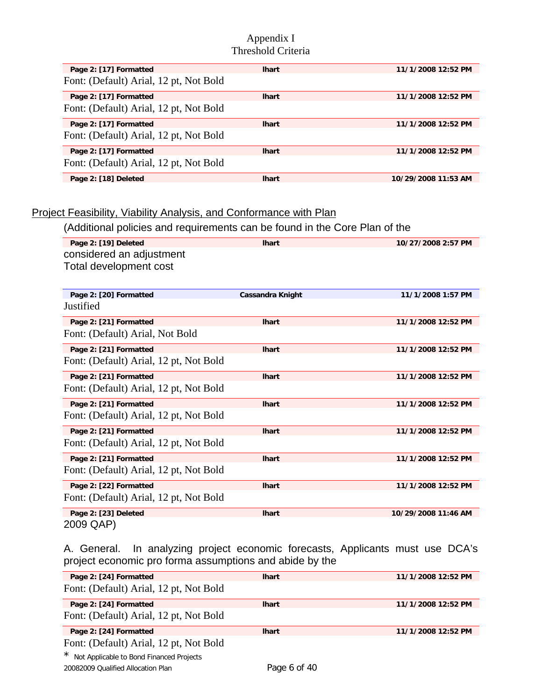| Page 2: [17] Formatted                 | <b>Ihart</b> | 11/1/2008 12:52 PM  |
|----------------------------------------|--------------|---------------------|
| Font: (Default) Arial, 12 pt, Not Bold |              |                     |
| Page 2: [17] Formatted                 | <b>Ihart</b> | 11/1/2008 12:52 PM  |
| Font: (Default) Arial, 12 pt, Not Bold |              |                     |
| Page 2: [17] Formatted                 | <b>Ihart</b> | 11/1/2008 12:52 PM  |
| Font: (Default) Arial, 12 pt, Not Bold |              |                     |
| Page 2: [17] Formatted                 | <b>Ihart</b> | 11/1/2008 12:52 PM  |
| Font: (Default) Arial, 12 pt, Not Bold |              |                     |
| Page 2: [18] Deleted                   | <b>Ihart</b> | 10/29/2008 11:53 AM |

## Project Feasibility, Viability Analysis, and Conformance with Plan

(Additional policies and requirements can be found in the Core Plan of the

| Page 2: [19] Deleted                   | <b>Ihart</b>            | 10/27/2008 2:57 PM  |
|----------------------------------------|-------------------------|---------------------|
| considered an adjustment               |                         |                     |
| Total development cost                 |                         |                     |
|                                        |                         |                     |
| Page 2: [20] Formatted                 | <b>Cassandra Knight</b> | 11/1/2008 1:57 PM   |
| Justified                              |                         |                     |
|                                        |                         |                     |
| Page 2: [21] Formatted                 | <b>Ihart</b>            | 11/1/2008 12:52 PM  |
| Font: (Default) Arial, Not Bold        |                         |                     |
| Page 2: [21] Formatted                 | <b>Ihart</b>            | 11/1/2008 12:52 PM  |
| Font: (Default) Arial, 12 pt, Not Bold |                         |                     |
| Page 2: [21] Formatted                 | <b>Ihart</b>            | 11/1/2008 12:52 PM  |
| Font: (Default) Arial, 12 pt, Not Bold |                         |                     |
|                                        |                         |                     |
| Page 2: [21] Formatted                 | <b>Ihart</b>            | 11/1/2008 12:52 PM  |
| Font: (Default) Arial, 12 pt, Not Bold |                         |                     |
| Page 2: [21] Formatted                 | <b>Ihart</b>            | 11/1/2008 12:52 PM  |
| Font: (Default) Arial, 12 pt, Not Bold |                         |                     |
| Page 2: [21] Formatted                 | <b>Ihart</b>            | 11/1/2008 12:52 PM  |
| Font: (Default) Arial, 12 pt, Not Bold |                         |                     |
|                                        |                         |                     |
| Page 2: [22] Formatted                 | <b>Ihart</b>            | 11/1/2008 12:52 PM  |
| Font: (Default) Arial, 12 pt, Not Bold |                         |                     |
| Page 2: [23] Deleted                   | <b>Ihart</b>            | 10/29/2008 11:46 AM |
| 2009 QAP)                              |                         |                     |

A. General. In analyzing project economic forecasts, Applicants must use DCA's project economic pro forma assumptions and abide by the

| Page 2: [24] Formatted                   | <b>Ihart</b> | 11/1/2008 12:52 PM |
|------------------------------------------|--------------|--------------------|
| Font: (Default) Arial, 12 pt, Not Bold   |              |                    |
| Page 2: [24] Formatted                   | <b>Ihart</b> | 11/1/2008 12:52 PM |
| Font: (Default) Arial, 12 pt, Not Bold   |              |                    |
| Page 2: [24] Formatted                   | <b>Ihart</b> | 11/1/2008 12:52 PM |
| Font: (Default) Arial, 12 pt, Not Bold   |              |                    |
| Not Applicable to Bond Financed Projects |              |                    |
| 20082009 Oualified Allocation Plan       | Page 6 of 40 |                    |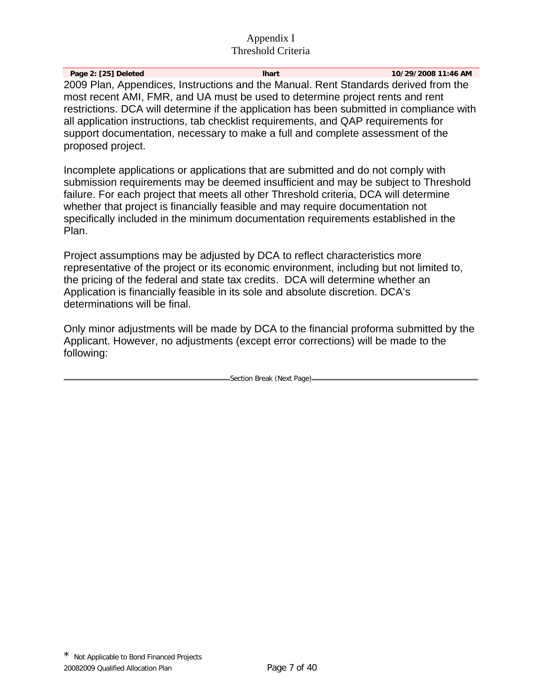**Page 2: [25] Deleted lhart 10/29/2008 11:46 AM**  2009 Plan, Appendices, Instructions and the Manual. Rent Standards derived from the most recent AMI, FMR, and UA must be used to determine project rents and rent restrictions. DCA will determine if the application has been submitted in compliance with all application instructions, tab checklist requirements, and QAP requirements for support documentation, necessary to make a full and complete assessment of the proposed project.

Incomplete applications or applications that are submitted and do not comply with submission requirements may be deemed insufficient and may be subject to Threshold failure. For each project that meets all other Threshold criteria, DCA will determine whether that project is financially feasible and may require documentation not specifically included in the minimum documentation requirements established in the Plan.

Project assumptions may be adjusted by DCA to reflect characteristics more representative of the project or its economic environment, including but not limited to, the pricing of the federal and state tax credits. DCA will determine whether an Application is financially feasible in its sole and absolute discretion. DCA's determinations will be final.

Only minor adjustments will be made by DCA to the financial proforma submitted by the Applicant. However, no adjustments (except error corrections) will be made to the following:

Section Break (Next Page)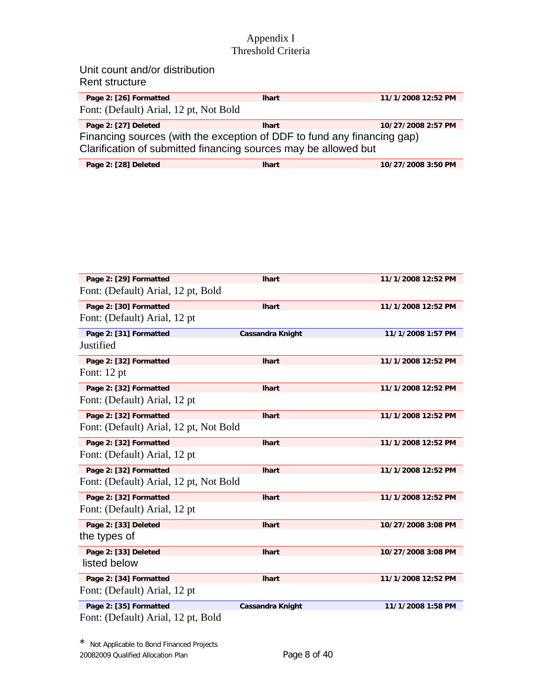| Unit count and/or distribution<br>Rent structure                                                                                           |              |                    |
|--------------------------------------------------------------------------------------------------------------------------------------------|--------------|--------------------|
| Page 2: [26] Formatted                                                                                                                     | <b>Ihart</b> | 11/1/2008 12:52 PM |
| Font: (Default) Arial, 12 pt, Not Bold                                                                                                     |              |                    |
| Page 2: [27] Deleted                                                                                                                       | <b>Ihart</b> | 10/27/2008 2:57 PM |
| Financing sources (with the exception of DDF to fund any financing gap)<br>Clarification of submitted financing sources may be allowed but |              |                    |

| Page 2: [28] Deleted | lhart | 10/27/2008 3:50 PM |
|----------------------|-------|--------------------|
|                      |       |                    |

| Page 2: [29] Formatted                 | <b>Ihart</b>            | 11/1/2008 12:52 PM |
|----------------------------------------|-------------------------|--------------------|
| Font: (Default) Arial, 12 pt, Bold     |                         |                    |
| Page 2: [30] Formatted                 | <b>Ihart</b>            | 11/1/2008 12:52 PM |
| Font: (Default) Arial, 12 pt           |                         |                    |
| Page 2: [31] Formatted                 | <b>Cassandra Knight</b> | 11/1/2008 1:57 PM  |
| Justified                              |                         |                    |
| Page 2: [32] Formatted                 | <b>Ihart</b>            | 11/1/2008 12:52 PM |
| Font: 12 pt                            |                         |                    |
| Page 2: [32] Formatted                 | <b>Ihart</b>            | 11/1/2008 12:52 PM |
| Font: (Default) Arial, 12 pt           |                         |                    |
| Page 2: [32] Formatted                 | <b>Ihart</b>            | 11/1/2008 12:52 PM |
| Font: (Default) Arial, 12 pt, Not Bold |                         |                    |
| Page 2: [32] Formatted                 | <b>Ihart</b>            | 11/1/2008 12:52 PM |
| Font: (Default) Arial, 12 pt           |                         |                    |
| Page 2: [32] Formatted                 | <b>Ihart</b>            | 11/1/2008 12:52 PM |
| Font: (Default) Arial, 12 pt, Not Bold |                         |                    |
| Page 2: [32] Formatted                 | <b>Ihart</b>            | 11/1/2008 12:52 PM |
| Font: (Default) Arial, 12 pt           |                         |                    |
| Page 2: [33] Deleted                   | <b>Ihart</b>            | 10/27/2008 3:08 PM |
| the types of                           |                         |                    |
| Page 2: [33] Deleted                   | <b>Ihart</b>            | 10/27/2008 3:08 PM |
| listed below                           |                         |                    |
| Page 2: [34] Formatted                 | <b>Ihart</b>            | 11/1/2008 12:52 PM |
| Font: (Default) Arial, 12 pt           |                         |                    |
| Page 2: [35] Formatted                 | <b>Cassandra Knight</b> | 11/1/2008 1:58 PM  |
| Font: (Default) Arial, 12 pt, Bold     |                         |                    |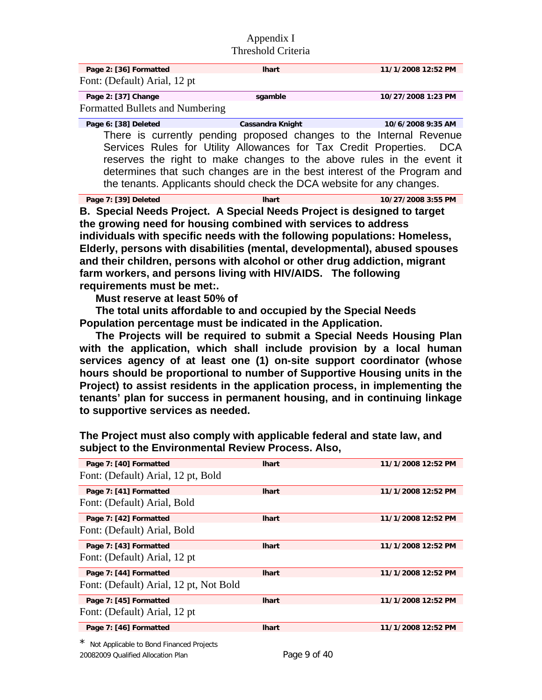| Page 2: [36] Formatted          | <b>Ihart</b>                                                        | 11/1/2008 12:52 PM |
|---------------------------------|---------------------------------------------------------------------|--------------------|
| Font: (Default) Arial, 12 pt    |                                                                     |                    |
| Page 2: [37] Change             | sgamble                                                             | 10/27/2008 1:23 PM |
| Formatted Bullets and Numbering |                                                                     |                    |
| Page 6: [38] Deleted            | <b>Cassandra Knight</b>                                             | 10/6/2008 9:35 AM  |
|                                 | There is currently pending proposed changes to the Internal Revenue |                    |

Services Rules for Utility Allowances for Tax Credit Properties. DCA reserves the right to make changes to the above rules in the event it determines that such changes are in the best interest of the Program and the tenants. Applicants should check the DCA website for any changes.

| Page 7: [39] Deleted | lhart | 10/27/2008 3:55 PM |
|----------------------|-------|--------------------|

**B. Special Needs Project. A Special Needs Project is designed to target the growing need for housing combined with services to address individuals with specific needs with the following populations: Homeless, Elderly, persons with disabilities (mental, developmental), abused spouses and their children, persons with alcohol or other drug addiction, migrant farm workers, and persons living with HIV/AIDS. The following requirements must be met:.** 

 **Must reserve at least 50% of** 

 **The total units affordable to and occupied by the Special Needs Population percentage must be indicated in the Application.** 

 **The Projects will be required to submit a Special Needs Housing Plan with the application, which shall include provision by a local human services agency of at least one (1) on-site support coordinator (whose hours should be proportional to number of Supportive Housing units in the Project) to assist residents in the application process, in implementing the tenants' plan for success in permanent housing, and in continuing linkage to supportive services as needed.** 

| Page 7: [40] Formatted                 | <b>Ihart</b> | 11/1/2008 12:52 PM |
|----------------------------------------|--------------|--------------------|
| Font: (Default) Arial, 12 pt, Bold     |              |                    |
| Page 7: [41] Formatted                 | <b>Ihart</b> | 11/1/2008 12:52 PM |
| Font: (Default) Arial, Bold            |              |                    |
| Page 7: [42] Formatted                 | <b>Ihart</b> | 11/1/2008 12:52 PM |
| Font: (Default) Arial, Bold            |              |                    |
| Page 7: [43] Formatted                 | <b>Ihart</b> | 11/1/2008 12:52 PM |
| Font: (Default) Arial, 12 pt           |              |                    |
| Page 7: [44] Formatted                 | <b>Ihart</b> | 11/1/2008 12:52 PM |
| Font: (Default) Arial, 12 pt, Not Bold |              |                    |
| Page 7: [45] Formatted                 | <b>Ihart</b> | 11/1/2008 12:52 PM |
| Font: (Default) Arial, 12 pt           |              |                    |
| Page 7: [46] Formatted                 | <b>Ihart</b> | 11/1/2008 12:52 PM |
|                                        |              |                    |

**The Project must also comply with applicable federal and state law, and subject to the Environmental Review Process. Also,**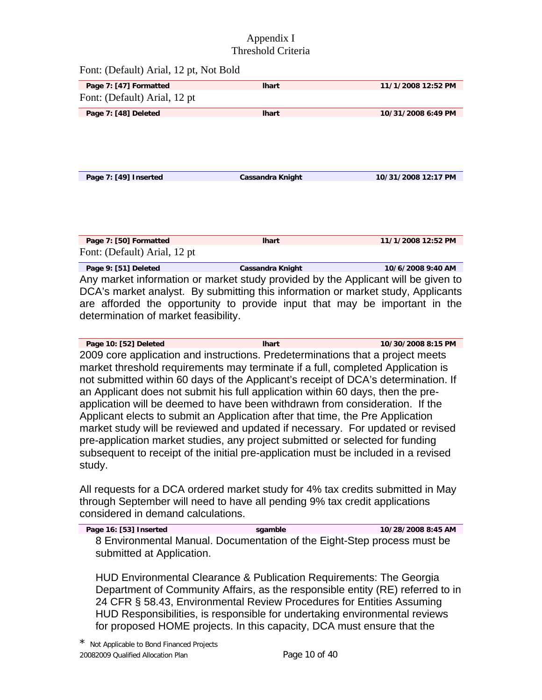Font: (Default) Arial, 12 pt, Not Bold

| Page 7: [47] Formatted       | <b>Ihart</b>            | 11/1/2008 12:52 PM  |
|------------------------------|-------------------------|---------------------|
| Font: (Default) Arial, 12 pt |                         |                     |
| Page 7: [48] Deleted         | <b>Ihart</b>            | 10/31/2008 6:49 PM  |
|                              |                         |                     |
| Page 7: [49] Inserted        | <b>Cassandra Knight</b> | 10/31/2008 12:17 PM |
|                              |                         |                     |
| Page 7: [50] Formatted       | <b>Ihart</b>            | 11/1/2008 12:52 PM  |
| Font: (Default) Arial, 12 pt |                         |                     |

Page 9: [51] Deleted **Cassandra Knight** 10/6/2008 9:40 AM Any market information or market study provided by the Applicant will be given to DCA's market analyst. By submitting this information or market study, Applicants are afforded the opportunity to provide input that may be important in the determination of market feasibility.

**Page 10: [52] Deleted lhart 10/30/2008 8:15 PM**  2009 core application and instructions. Predeterminations that a project meets market threshold requirements may terminate if a full, completed Application is not submitted within 60 days of the Applicant's receipt of DCA's determination. If an Applicant does not submit his full application within 60 days, then the preapplication will be deemed to have been withdrawn from consideration. If the Applicant elects to submit an Application after that time, the Pre Application market study will be reviewed and updated if necessary. For updated or revised pre-application market studies, any project submitted or selected for funding subsequent to receipt of the initial pre-application must be included in a revised study.

All requests for a DCA ordered market study for 4% tax credits submitted in May through September will need to have all pending 9% tax credit applications considered in demand calculations.

**Page 16: [53] Inserted sgamble 10/28/2008 8:45 AM**  8 Environmental Manual. Documentation of the Eight-Step process must be submitted at Application.

HUD Environmental Clearance & Publication Requirements: The Georgia Department of Community Affairs, as the responsible entity (RE) referred to in 24 CFR § 58.43, Environmental Review Procedures for Entities Assuming HUD Responsibilities, is responsible for undertaking environmental reviews for proposed HOME projects. In this capacity, DCA must ensure that the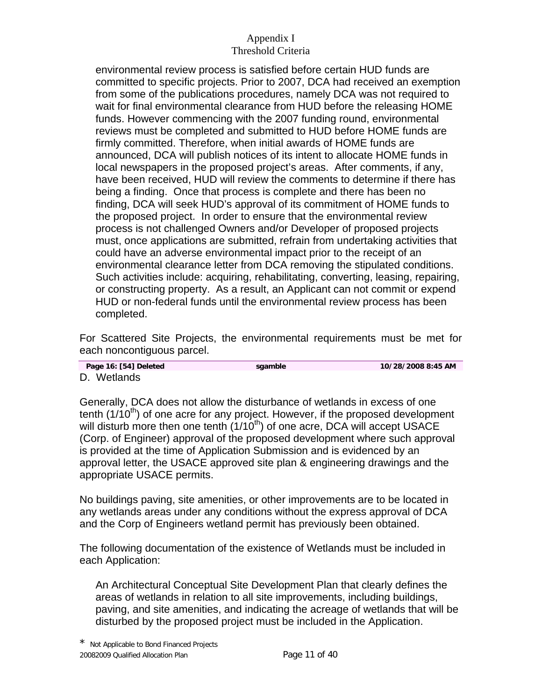environmental review process is satisfied before certain HUD funds are committed to specific projects. Prior to 2007, DCA had received an exemption from some of the publications procedures, namely DCA was not required to wait for final environmental clearance from HUD before the releasing HOME funds. However commencing with the 2007 funding round, environmental reviews must be completed and submitted to HUD before HOME funds are firmly committed. Therefore, when initial awards of HOME funds are announced, DCA will publish notices of its intent to allocate HOME funds in local newspapers in the proposed project's areas. After comments, if any, have been received, HUD will review the comments to determine if there has being a finding. Once that process is complete and there has been no finding, DCA will seek HUD's approval of its commitment of HOME funds to the proposed project. In order to ensure that the environmental review process is not challenged Owners and/or Developer of proposed projects must, once applications are submitted, refrain from undertaking activities that could have an adverse environmental impact prior to the receipt of an environmental clearance letter from DCA removing the stipulated conditions. Such activities include: acquiring, rehabilitating, converting, leasing, repairing, or constructing property. As a result, an Applicant can not commit or expend HUD or non-federal funds until the environmental review process has been completed.

For Scattered Site Projects, the environmental requirements must be met for each noncontiguous parcel.

|  |             | Page 16: [54] Deleted |
|--|-------------|-----------------------|
|  | D. Wetlands |                       |

**Pagamble 10/28/2008 8:45 AM** 

D. Wetlands

Generally, DCA does not allow the disturbance of wetlands in excess of one tenth  $(1/10<sup>th</sup>)$  of one acre for any project. However, if the proposed development will disturb more then one tenth  $(1/10<sup>th</sup>)$  of one acre, DCA will accept USACE (Corp. of Engineer) approval of the proposed development where such approval is provided at the time of Application Submission and is evidenced by an approval letter, the USACE approved site plan & engineering drawings and the appropriate USACE permits.

No buildings paving, site amenities, or other improvements are to be located in any wetlands areas under any conditions without the express approval of DCA and the Corp of Engineers wetland permit has previously been obtained.

The following documentation of the existence of Wetlands must be included in each Application:

An Architectural Conceptual Site Development Plan that clearly defines the areas of wetlands in relation to all site improvements, including buildings, paving, and site amenities, and indicating the acreage of wetlands that will be disturbed by the proposed project must be included in the Application.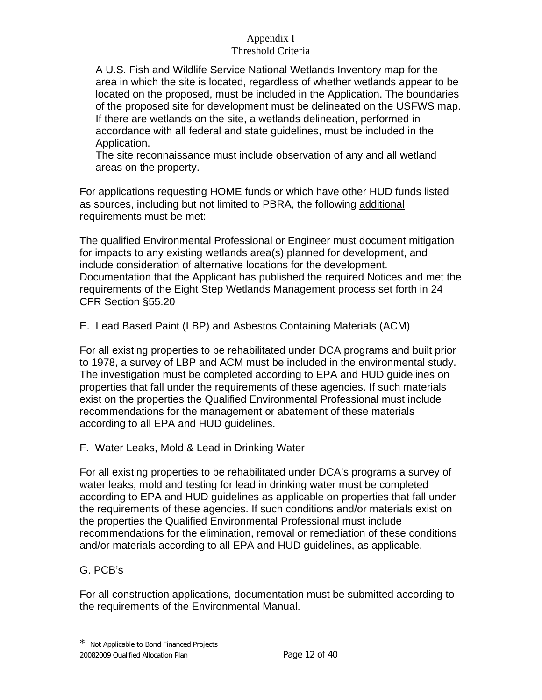A U.S. Fish and Wildlife Service National Wetlands Inventory map for the area in which the site is located, regardless of whether wetlands appear to be located on the proposed, must be included in the Application. The boundaries of the proposed site for development must be delineated on the USFWS map. If there are wetlands on the site, a wetlands delineation, performed in accordance with all federal and state guidelines, must be included in the Application.

The site reconnaissance must include observation of any and all wetland areas on the property.

For applications requesting HOME funds or which have other HUD funds listed as sources, including but not limited to PBRA, the following additional requirements must be met:

The qualified Environmental Professional or Engineer must document mitigation for impacts to any existing wetlands area(s) planned for development, and include consideration of alternative locations for the development. Documentation that the Applicant has published the required Notices and met the requirements of the Eight Step Wetlands Management process set forth in 24 CFR Section §55.20

E. Lead Based Paint (LBP) and Asbestos Containing Materials (ACM)

For all existing properties to be rehabilitated under DCA programs and built prior to 1978, a survey of LBP and ACM must be included in the environmental study. The investigation must be completed according to EPA and HUD guidelines on properties that fall under the requirements of these agencies. If such materials exist on the properties the Qualified Environmental Professional must include recommendations for the management or abatement of these materials according to all EPA and HUD guidelines.

F. Water Leaks, Mold & Lead in Drinking Water

For all existing properties to be rehabilitated under DCA's programs a survey of water leaks, mold and testing for lead in drinking water must be completed according to EPA and HUD guidelines as applicable on properties that fall under the requirements of these agencies. If such conditions and/or materials exist on the properties the Qualified Environmental Professional must include recommendations for the elimination, removal or remediation of these conditions and/or materials according to all EPA and HUD guidelines, as applicable.

# G. PCB's

For all construction applications, documentation must be submitted according to the requirements of the Environmental Manual.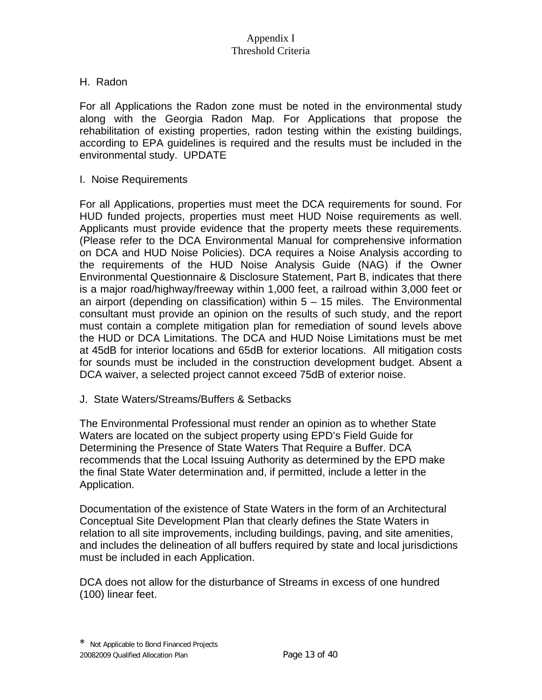## H. Radon

For all Applications the Radon zone must be noted in the environmental study along with the Georgia Radon Map. For Applications that propose the rehabilitation of existing properties, radon testing within the existing buildings, according to EPA guidelines is required and the results must be included in the environmental study. UPDATE

#### I. Noise Requirements

For all Applications, properties must meet the DCA requirements for sound. For HUD funded projects, properties must meet HUD Noise requirements as well. Applicants must provide evidence that the property meets these requirements. (Please refer to the DCA Environmental Manual for comprehensive information on DCA and HUD Noise Policies). DCA requires a Noise Analysis according to the requirements of the HUD Noise Analysis Guide (NAG) if the Owner Environmental Questionnaire & Disclosure Statement, Part B, indicates that there is a major road/highway/freeway within 1,000 feet, a railroad within 3,000 feet or an airport (depending on classification) within 5 – 15 miles. The Environmental consultant must provide an opinion on the results of such study, and the report must contain a complete mitigation plan for remediation of sound levels above the HUD or DCA Limitations. The DCA and HUD Noise Limitations must be met at 45dB for interior locations and 65dB for exterior locations. All mitigation costs for sounds must be included in the construction development budget. Absent a DCA waiver, a selected project cannot exceed 75dB of exterior noise.

## J. State Waters/Streams/Buffers & Setbacks

The Environmental Professional must render an opinion as to whether State Waters are located on the subject property using EPD's Field Guide for Determining the Presence of State Waters That Require a Buffer. DCA recommends that the Local Issuing Authority as determined by the EPD make the final State Water determination and, if permitted, include a letter in the Application.

Documentation of the existence of State Waters in the form of an Architectural Conceptual Site Development Plan that clearly defines the State Waters in relation to all site improvements, including buildings, paving, and site amenities, and includes the delineation of all buffers required by state and local jurisdictions must be included in each Application.

DCA does not allow for the disturbance of Streams in excess of one hundred (100) linear feet.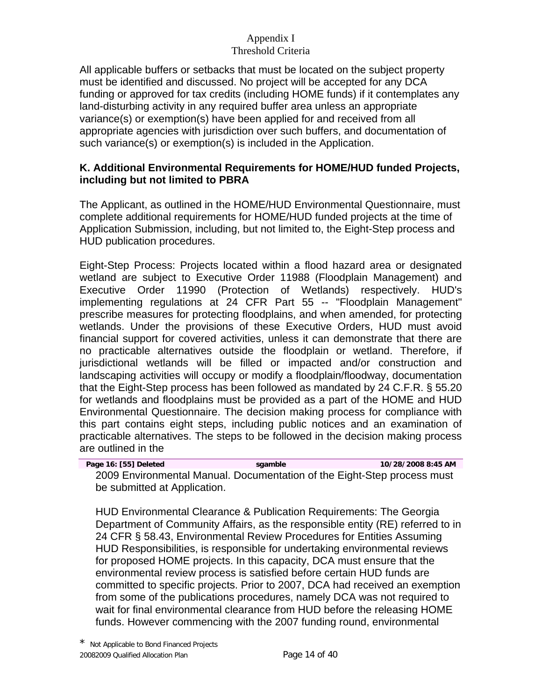All applicable buffers or setbacks that must be located on the subject property must be identified and discussed. No project will be accepted for any DCA funding or approved for tax credits (including HOME funds) if it contemplates any land-disturbing activity in any required buffer area unless an appropriate variance(s) or exemption(s) have been applied for and received from all appropriate agencies with jurisdiction over such buffers, and documentation of such variance(s) or exemption(s) is included in the Application.

## **K. Additional Environmental Requirements for HOME/HUD funded Projects, including but not limited to PBRA**

The Applicant, as outlined in the HOME/HUD Environmental Questionnaire, must complete additional requirements for HOME/HUD funded projects at the time of Application Submission, including, but not limited to, the Eight-Step process and HUD publication procedures.

Eight-Step Process: Projects located within a flood hazard area or designated wetland are subject to Executive Order 11988 (Floodplain Management) and Executive Order 11990 (Protection of Wetlands) respectively. HUD's implementing regulations at 24 CFR Part 55 -- "Floodplain Management" prescribe measures for protecting floodplains, and when amended, for protecting wetlands. Under the provisions of these Executive Orders, HUD must avoid financial support for covered activities, unless it can demonstrate that there are no practicable alternatives outside the floodplain or wetland. Therefore, if jurisdictional wetlands will be filled or impacted and/or construction and landscaping activities will occupy or modify a floodplain/floodway, documentation that the Eight-Step process has been followed as mandated by 24 C.F.R. § 55.20 for wetlands and floodplains must be provided as a part of the HOME and HUD Environmental Questionnaire. The decision making process for compliance with this part contains eight steps, including public notices and an examination of practicable alternatives. The steps to be followed in the decision making process are outlined in the

| Page 16: [55] Deleted        | sgamble | 10/28/2008 8:45 AM                                                      |
|------------------------------|---------|-------------------------------------------------------------------------|
|                              |         | 2009 Environmental Manual. Documentation of the Eight-Step process must |
| be submitted at Application. |         |                                                                         |

HUD Environmental Clearance & Publication Requirements: The Georgia Department of Community Affairs, as the responsible entity (RE) referred to in 24 CFR § 58.43, Environmental Review Procedures for Entities Assuming HUD Responsibilities, is responsible for undertaking environmental reviews for proposed HOME projects. In this capacity, DCA must ensure that the environmental review process is satisfied before certain HUD funds are committed to specific projects. Prior to 2007, DCA had received an exemption from some of the publications procedures, namely DCA was not required to wait for final environmental clearance from HUD before the releasing HOME funds. However commencing with the 2007 funding round, environmental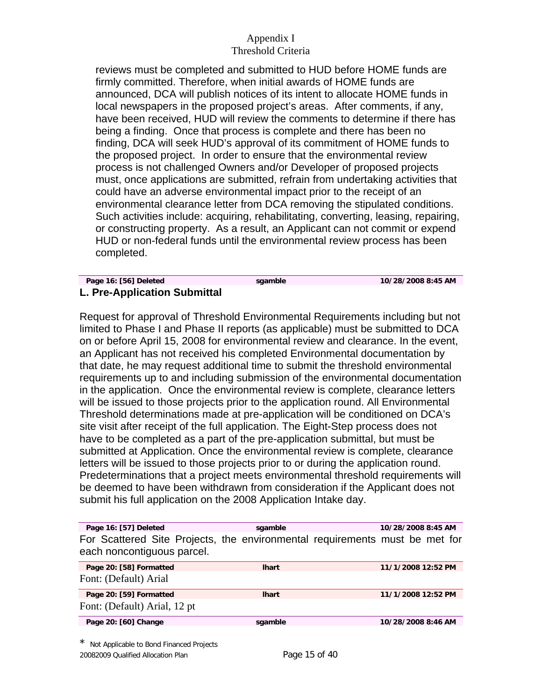reviews must be completed and submitted to HUD before HOME funds are firmly committed. Therefore, when initial awards of HOME funds are announced, DCA will publish notices of its intent to allocate HOME funds in local newspapers in the proposed project's areas. After comments, if any, have been received, HUD will review the comments to determine if there has being a finding. Once that process is complete and there has been no finding, DCA will seek HUD's approval of its commitment of HOME funds to the proposed project. In order to ensure that the environmental review process is not challenged Owners and/or Developer of proposed projects must, once applications are submitted, refrain from undertaking activities that could have an adverse environmental impact prior to the receipt of an environmental clearance letter from DCA removing the stipulated conditions. Such activities include: acquiring, rehabilitating, converting, leasing, repairing, or constructing property. As a result, an Applicant can not commit or expend HUD or non-federal funds until the environmental review process has been completed.

#### **Page 16: [56] Deleted sgamble 10/28/2008 8:45 AM L. Pre-Application Submittal**

Request for approval of Threshold Environmental Requirements including but not limited to Phase I and Phase II reports (as applicable) must be submitted to DCA on or before April 15, 2008 for environmental review and clearance. In the event, an Applicant has not received his completed Environmental documentation by that date, he may request additional time to submit the threshold environmental requirements up to and including submission of the environmental documentation in the application. Once the environmental review is complete, clearance letters will be issued to those projects prior to the application round. All Environmental Threshold determinations made at pre-application will be conditioned on DCA's site visit after receipt of the full application. The Eight-Step process does not have to be completed as a part of the pre-application submittal, but must be submitted at Application. Once the environmental review is complete, clearance letters will be issued to those projects prior to or during the application round. Predeterminations that a project meets environmental threshold requirements will be deemed to have been withdrawn from consideration if the Applicant does not submit his full application on the 2008 Application Intake day.

| Page 16: [57] Deleted                                                                                     | sgamble      | 10/28/2008 8:45 AM |  |
|-----------------------------------------------------------------------------------------------------------|--------------|--------------------|--|
| For Scattered Site Projects, the environmental requirements must be met for<br>each noncontiguous parcel. |              |                    |  |
| Page 20: [58] Formatted                                                                                   | <b>Ihart</b> | 11/1/2008 12:52 PM |  |
| Font: (Default) Arial                                                                                     |              |                    |  |
| Page 20: [59] Formatted                                                                                   | <b>Ihart</b> | 11/1/2008 12:52 PM |  |
| Font: (Default) Arial, 12 pt                                                                              |              |                    |  |
| Page 20: [60] Change                                                                                      | sgamble      | 10/28/2008 8:46 AM |  |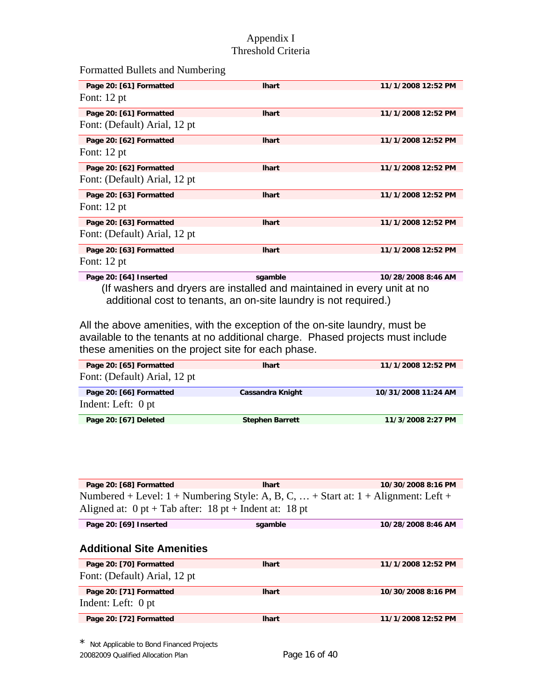Formatted Bullets and Numbering

| Page 20: [61] Formatted      | <b>Ihart</b> | 11/1/2008 12:52 PM |
|------------------------------|--------------|--------------------|
| Font: $12$ pt                |              |                    |
| Page 20: [61] Formatted      | <b>Ihart</b> | 11/1/2008 12:52 PM |
| Font: (Default) Arial, 12 pt |              |                    |
| Page 20: [62] Formatted      | <b>Ihart</b> | 11/1/2008 12:52 PM |
| Font: $12$ pt                |              |                    |
| Page 20: [62] Formatted      | <b>Ihart</b> | 11/1/2008 12:52 PM |
| Font: (Default) Arial, 12 pt |              |                    |
| Page 20: [63] Formatted      | <b>Ihart</b> | 11/1/2008 12:52 PM |
| Font: $12$ pt                |              |                    |
| Page 20: [63] Formatted      | <b>Ihart</b> | 11/1/2008 12:52 PM |
| Font: (Default) Arial, 12 pt |              |                    |
| Page 20: [63] Formatted      | <b>Ihart</b> | 11/1/2008 12:52 PM |
| Font: $12$ pt                |              |                    |
| ------------                 |              |                    |

**Page 20: [64] Inserted sgamble 10/28/2008 8:46 AM**  (If washers and dryers are installed and maintained in every unit at no additional cost to tenants, an on-site laundry is not required.)

All the above amenities, with the exception of the on-site laundry, must be available to the tenants at no additional charge. Phased projects must include these amenities on the project site for each phase.

| Page 20: [65] Formatted      | <b>Ihart</b>           | 11/1/2008 12:52 PM  |
|------------------------------|------------------------|---------------------|
| Font: (Default) Arial, 12 pt |                        |                     |
| Page 20: [66] Formatted      | Cassandra Knight       | 10/31/2008 11:24 AM |
| Indent: Left: 0 pt           |                        |                     |
| Page 20: [67] Deleted        | <b>Stephen Barrett</b> | 11/3/2008 2:27 PM   |

| Page 20: [68] Formatted                                                                            | <b>Ihart</b> | 10/30/2008 8:16 PM |  |  |
|----------------------------------------------------------------------------------------------------|--------------|--------------------|--|--|
| Numbered + Level: $1 +$ Numbering Style: A, B, C,  + Start at: $1 +$ Alignment: Left +             |              |                    |  |  |
| Aligned at: $0 \text{ pt} + \text{Tab}$ after: $18 \text{ pt} + \text{Indent}$ at: $18 \text{ pt}$ |              |                    |  |  |
| Page 20: [69] Inserted                                                                             | sgamble      | 10/28/2008 8:46 AM |  |  |
|                                                                                                    |              |                    |  |  |
| <b>Additional Site Amenities</b>                                                                   |              |                    |  |  |
| Page 20: [70] Formatted                                                                            | <b>Ihart</b> | 11/1/2008 12:52 PM |  |  |
| Font: (Default) Arial, 12 pt                                                                       |              |                    |  |  |
| Page 20: [71] Formatted                                                                            | <b>Ihart</b> | 10/30/2008 8:16 PM |  |  |
| Indent: Left: 0 pt                                                                                 |              |                    |  |  |
| Page 20: [72] Formatted                                                                            | <b>Ihart</b> | 11/1/2008 12:52 PM |  |  |
|                                                                                                    |              |                    |  |  |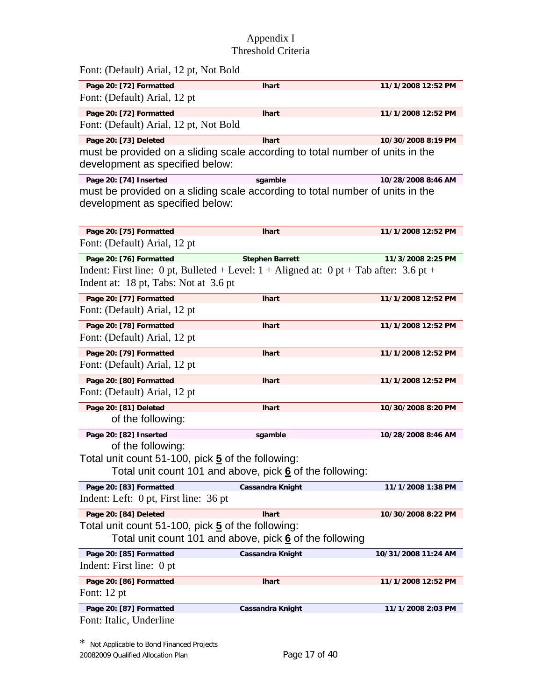| Font: (Default) Arial, 12 pt, Not Bold                                                                                                                       |                         |                     |
|--------------------------------------------------------------------------------------------------------------------------------------------------------------|-------------------------|---------------------|
| Page 20: [72] Formatted<br>Font: (Default) Arial, 12 pt                                                                                                      | <b>Ihart</b>            | 11/1/2008 12:52 PM  |
| Page 20: [72] Formatted<br>Font: (Default) Arial, 12 pt, Not Bold                                                                                            | <b>Ihart</b>            | 11/1/2008 12:52 PM  |
| Page 20: [73] Deleted<br>must be provided on a sliding scale according to total number of units in the<br>development as specified below:                    | <b>Ihart</b>            | 10/30/2008 8:19 PM  |
| Page 20: [74] Inserted<br>must be provided on a sliding scale according to total number of units in the<br>development as specified below:                   | sgamble                 | 10/28/2008 8:46 AM  |
| Page 20: [75] Formatted<br>Font: (Default) Arial, 12 pt                                                                                                      | <b>Ihart</b>            | 11/1/2008 12:52 PM  |
| Page 20: [76] Formatted<br>Indent: First line: 0 pt, Bulleted + Level: $1 +$ Aligned at: 0 pt + Tab after: 3.6 pt +<br>Indent at: 18 pt, Tabs: Not at 3.6 pt | <b>Stephen Barrett</b>  | 11/3/2008 2:25 PM   |
| Page 20: [77] Formatted<br>Font: (Default) Arial, 12 pt                                                                                                      | <b>Ihart</b>            | 11/1/2008 12:52 PM  |
| Page 20: [78] Formatted<br>Font: (Default) Arial, 12 pt                                                                                                      | <b>Ihart</b>            | 11/1/2008 12:52 PM  |
| Page 20: [79] Formatted<br>Font: (Default) Arial, 12 pt                                                                                                      | <b>Ihart</b>            | 11/1/2008 12:52 PM  |
| Page 20: [80] Formatted<br>Font: (Default) Arial, 12 pt                                                                                                      | <b>Ihart</b>            | 11/1/2008 12:52 PM  |
| Page 20: [81] Deleted<br>of the following:                                                                                                                   | <b>Ihart</b>            | 10/30/2008 8:20 PM  |
| Page 20: [82] Inserted<br>of the following:<br>Total unit count 51-100, pick 5 of the following:<br>Total unit count 101 and above, pick 6 of the following: | sgamble                 | 10/28/2008 8:46 AM  |
| Page 20: [83] Formatted<br>Indent: Left: 0 pt, First line: 36 pt                                                                                             | Cassandra Knight        | 11/1/2008 1:38 PM   |
| Page 20: [84] Deleted<br>Total unit count 51-100, pick 5 of the following:<br>Total unit count 101 and above, pick 6 of the following                        | <b>Ihart</b>            | 10/30/2008 8:22 PM  |
| Page 20: [85] Formatted<br>Indent: First line: 0 pt                                                                                                          | <b>Cassandra Knight</b> | 10/31/2008 11:24 AM |
| Page 20: [86] Formatted<br>Font: $12$ pt                                                                                                                     | <b>Ihart</b>            | 11/1/2008 12:52 PM  |
| Page 20: [87] Formatted<br>Font: Italic, Underline                                                                                                           | Cassandra Knight        | 11/1/2008 2:03 PM   |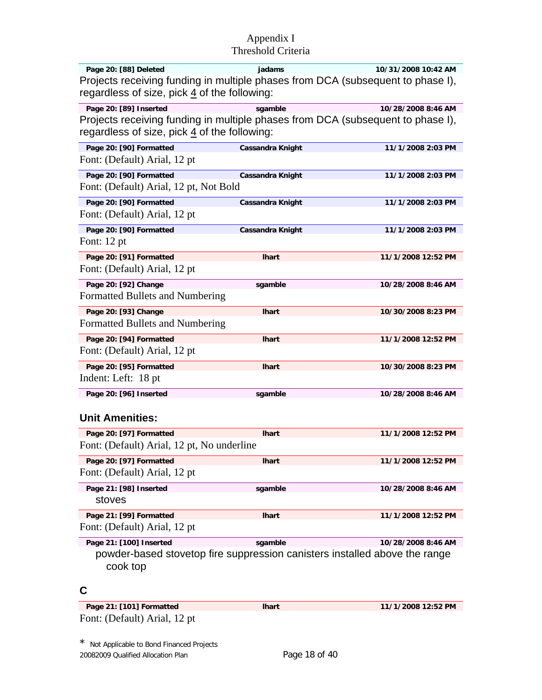| Page 20: [88] Deleted                                                           | iadams | 10/31/2008 10:42 AM |
|---------------------------------------------------------------------------------|--------|---------------------|
| Projects receiving funding in multiple phases from DCA (subsequent to phase I), |        |                     |
| regardless of size, pick $\frac{4}{3}$ of the following:                        |        |                     |

| Page 20: [89] Inserted<br>sgamble<br>Projects receiving funding in multiple phases from DCA (subsequent to phase I),<br>regardless of size, pick 4 of the following:<br>Page 20: [90] Formatted<br><b>Cassandra Knight</b><br>Font: (Default) Arial, 12 pt<br>Page 20: [90] Formatted<br><b>Cassandra Knight</b><br>Font: (Default) Arial, 12 pt, Not Bold<br>Page 20: [90] Formatted<br><b>Cassandra Knight</b><br>Font: (Default) Arial, 12 pt<br>Page 20: [90] Formatted<br><b>Cassandra Knight</b><br>Font: $12$ pt<br>Page 20: [91] Formatted<br><b>Ihart</b><br>Font: (Default) Arial, 12 pt<br>Page 20: [92] Change<br>sgamble<br>Formatted Bullets and Numbering<br>Page 20: [93] Change<br><b>Ihart</b><br>Formatted Bullets and Numbering<br>Page 20: [94] Formatted<br><b>Ihart</b><br>Font: (Default) Arial, 12 pt<br>Page 20: [95] Formatted<br><b>Ihart</b><br>Indent: Left: 18 pt<br>Page 20: [96] Inserted<br>sgamble<br><b>Unit Amenities:</b> |  |                    |
|-----------------------------------------------------------------------------------------------------------------------------------------------------------------------------------------------------------------------------------------------------------------------------------------------------------------------------------------------------------------------------------------------------------------------------------------------------------------------------------------------------------------------------------------------------------------------------------------------------------------------------------------------------------------------------------------------------------------------------------------------------------------------------------------------------------------------------------------------------------------------------------------------------------------------------------------------------------------|--|--------------------|
|                                                                                                                                                                                                                                                                                                                                                                                                                                                                                                                                                                                                                                                                                                                                                                                                                                                                                                                                                                 |  | 10/28/2008 8:46 AM |
|                                                                                                                                                                                                                                                                                                                                                                                                                                                                                                                                                                                                                                                                                                                                                                                                                                                                                                                                                                 |  | 11/1/2008 2:03 PM  |
|                                                                                                                                                                                                                                                                                                                                                                                                                                                                                                                                                                                                                                                                                                                                                                                                                                                                                                                                                                 |  | 11/1/2008 2:03 PM  |
|                                                                                                                                                                                                                                                                                                                                                                                                                                                                                                                                                                                                                                                                                                                                                                                                                                                                                                                                                                 |  | 11/1/2008 2:03 PM  |
|                                                                                                                                                                                                                                                                                                                                                                                                                                                                                                                                                                                                                                                                                                                                                                                                                                                                                                                                                                 |  | 11/1/2008 2:03 PM  |
|                                                                                                                                                                                                                                                                                                                                                                                                                                                                                                                                                                                                                                                                                                                                                                                                                                                                                                                                                                 |  | 11/1/2008 12:52 PM |
|                                                                                                                                                                                                                                                                                                                                                                                                                                                                                                                                                                                                                                                                                                                                                                                                                                                                                                                                                                 |  | 10/28/2008 8:46 AM |
|                                                                                                                                                                                                                                                                                                                                                                                                                                                                                                                                                                                                                                                                                                                                                                                                                                                                                                                                                                 |  | 10/30/2008 8:23 PM |
|                                                                                                                                                                                                                                                                                                                                                                                                                                                                                                                                                                                                                                                                                                                                                                                                                                                                                                                                                                 |  | 11/1/2008 12:52 PM |
|                                                                                                                                                                                                                                                                                                                                                                                                                                                                                                                                                                                                                                                                                                                                                                                                                                                                                                                                                                 |  | 10/30/2008 8:23 PM |
|                                                                                                                                                                                                                                                                                                                                                                                                                                                                                                                                                                                                                                                                                                                                                                                                                                                                                                                                                                 |  | 10/28/2008 8:46 AM |
| Page 20: [97] Formatted<br><b>Ihart</b><br>Font: (Default) Arial, 12 pt, No underline                                                                                                                                                                                                                                                                                                                                                                                                                                                                                                                                                                                                                                                                                                                                                                                                                                                                           |  | 11/1/2008 12:52 PM |

**Page 20: [97] Formatted lhart 11/1/2008 12:52 PM** Font: (Default) Arial, 12 pt

| Page 21: [98] Inserted<br>stoves | sgamble      | 10/28/2008 8:46 AM |
|----------------------------------|--------------|--------------------|
| Page 21: [99] Formatted          | <b>Ihart</b> | 11/1/2008 12:52 PM |
| Font: (Default) Arial, 12 pt     |              |                    |

Page 21: [100] Inserted sgamble 10/28/2008 8:46 AM powder-based stovetop fire suppression canisters installed above the range cook top

## **C**

**Page 21: [101] Formatted lhart 11/1/2008 12:52 PM** Font: (Default) Arial, 12 pt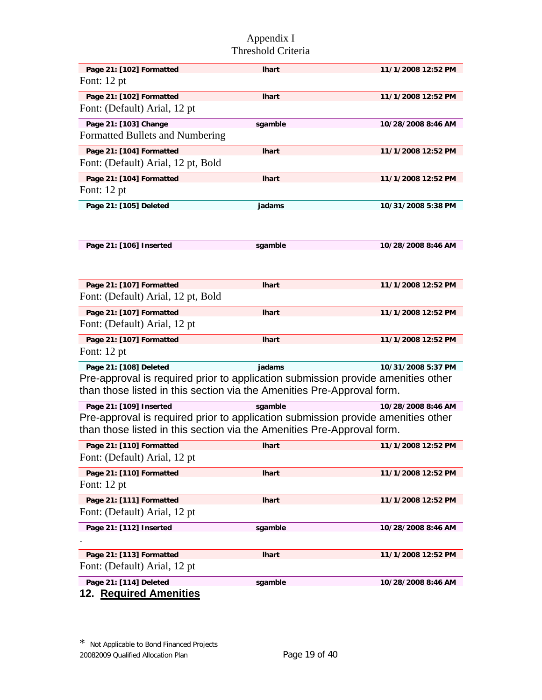| Page 21: [102] Formatted                                                         | <b>Ihart</b> | 11/1/2008 12:52 PM |
|----------------------------------------------------------------------------------|--------------|--------------------|
| Font: 12 pt                                                                      |              |                    |
| Page 21: [102] Formatted                                                         | <b>Ihart</b> | 11/1/2008 12:52 PM |
| Font: (Default) Arial, 12 pt                                                     |              |                    |
| Page 21: [103] Change                                                            | sgamble      | 10/28/2008 8:46 AM |
| Formatted Bullets and Numbering                                                  |              |                    |
| Page 21: [104] Formatted                                                         | <b>Ihart</b> | 11/1/2008 12:52 PM |
| Font: (Default) Arial, 12 pt, Bold                                               |              |                    |
| Page 21: [104] Formatted                                                         | <b>Ihart</b> | 11/1/2008 12:52 PM |
| Font: 12 pt                                                                      |              |                    |
| Page 21: [105] Deleted                                                           | jadams       | 10/31/2008 5:38 PM |
|                                                                                  |              |                    |
|                                                                                  |              |                    |
| Page 21: [106] Inserted                                                          | sgamble      | 10/28/2008 8:46 AM |
|                                                                                  |              |                    |
|                                                                                  |              |                    |
| Page 21: [107] Formatted                                                         | <b>Ihart</b> | 11/1/2008 12:52 PM |
| Font: (Default) Arial, 12 pt, Bold                                               |              |                    |
|                                                                                  |              |                    |
| Page 21: [107] Formatted<br>Font: (Default) Arial, 12 pt                         | <b>Ihart</b> | 11/1/2008 12:52 PM |
|                                                                                  |              |                    |
| Page 21: [107] Formatted                                                         | <b>Ihart</b> | 11/1/2008 12:52 PM |
| Font: 12 pt                                                                      |              |                    |
| Page 21: [108] Deleted                                                           | jadams       | 10/31/2008 5:37 PM |
| Pre-approval is required prior to application submission provide amenities other |              |                    |
| than those listed in this section via the Amenities Pre-Approval form.           |              |                    |
| Page 21: [109] Inserted                                                          | sgamble      | 10/28/2008 8:46 AM |
| Pre-approval is required prior to application submission provide amenities other |              |                    |
| than those listed in this section via the Amenities Pre-Approval form.           |              |                    |
| Page 21: [110] Formatted                                                         | <b>Ihart</b> | 11/1/2008 12:52 PM |
| Font: (Default) Arial, 12 pt                                                     |              |                    |
| Page 21: [110] Formatted                                                         | <b>Ihart</b> | 11/1/2008 12:52 PM |
| Font: 12 pt                                                                      |              |                    |
| Page 21: [111] Formatted                                                         | <b>Ihart</b> | 11/1/2008 12:52 PM |
| Font: (Default) Arial, 12 pt                                                     |              |                    |
| Page 21: [112] Inserted                                                          | sgamble      | 10/28/2008 8:46 AM |
|                                                                                  |              |                    |
| Page 21: [113] Formatted                                                         | <b>Ihart</b> | 11/1/2008 12:52 PM |
| Font: (Default) Arial, 12 pt                                                     |              |                    |
| Page 21: [114] Deleted                                                           | sgamble      | 10/28/2008 8:46 AM |
| 12. Required Amenities                                                           |              |                    |
|                                                                                  |              |                    |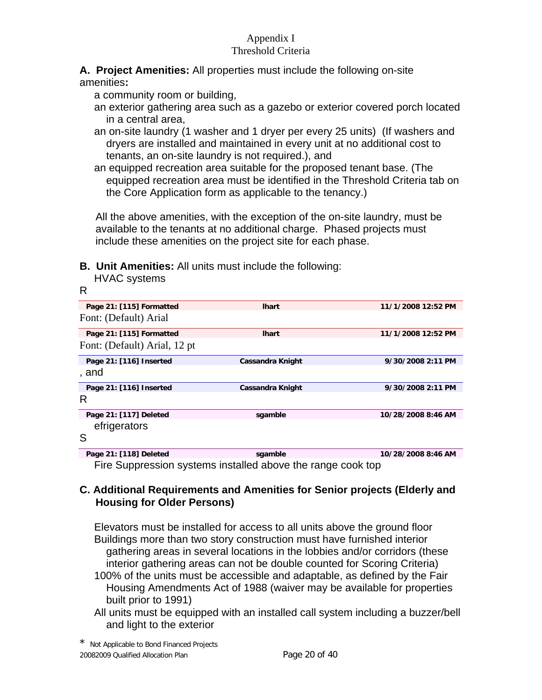# **A. Project Amenities:** All properties must include the following on-site

amenities**:** 

HVAC systems

a community room or building,

- an exterior gathering area such as a gazebo or exterior covered porch located in a central area,
- an on-site laundry (1 washer and 1 dryer per every 25 units) (If washers and dryers are installed and maintained in every unit at no additional cost to tenants, an on-site laundry is not required.), and
- an equipped recreation area suitable for the proposed tenant base. (The equipped recreation area must be identified in the Threshold Criteria tab on the Core Application form as applicable to the tenancy.)

All the above amenities, with the exception of the on-site laundry, must be available to the tenants at no additional charge. Phased projects must include these amenities on the project site for each phase.

**B. Unit Amenities:** All units must include the following:

| R                            |                                                             |                    |
|------------------------------|-------------------------------------------------------------|--------------------|
| Page 21: [115] Formatted     | <b>Ihart</b>                                                | 11/1/2008 12:52 PM |
| Font: (Default) Arial        |                                                             |                    |
| Page 21: [115] Formatted     | <b>Ihart</b>                                                | 11/1/2008 12:52 PM |
| Font: (Default) Arial, 12 pt |                                                             |                    |
| Page 21: [116] Inserted      | <b>Cassandra Knight</b>                                     | 9/30/2008 2:11 PM  |
| , and                        |                                                             |                    |
| Page 21: [116] Inserted      | Cassandra Knight                                            | 9/30/2008 2:11 PM  |
| R                            |                                                             |                    |
| Page 21: [117] Deleted       | sgamble                                                     | 10/28/2008 8:46 AM |
| efrigerators                 |                                                             |                    |
| S                            |                                                             |                    |
| Page 21: [118] Deleted       | sgamble                                                     | 10/28/2008 8:46 AM |
|                              | Fire Suppression systems installed above the range cook top |                    |

# **C. Additional Requirements and Amenities for Senior projects (Elderly and Housing for Older Persons)**

Elevators must be installed for access to all units above the ground floor Buildings more than two story construction must have furnished interior gathering areas in several locations in the lobbies and/or corridors (these interior gathering areas can not be double counted for Scoring Criteria)

- 100% of the units must be accessible and adaptable, as defined by the Fair Housing Amendments Act of 1988 (waiver may be available for properties built prior to 1991)
- All units must be equipped with an installed call system including a buzzer/bell and light to the exterior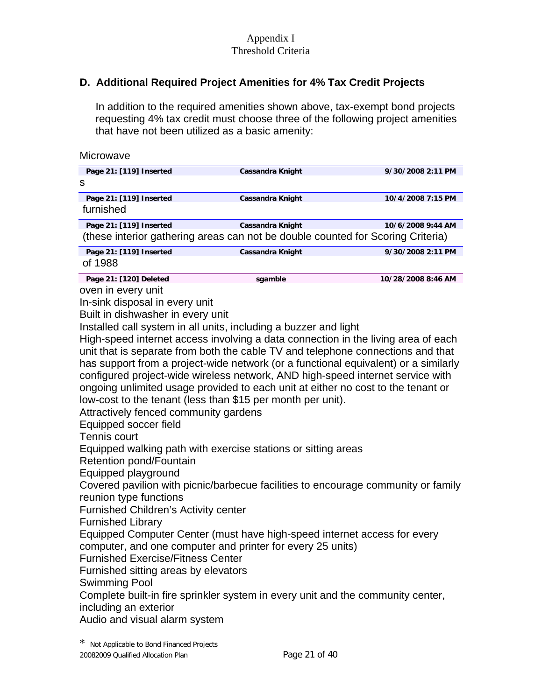# **D. Additional Required Project Amenities for 4% Tax Credit Projects**

In addition to the required amenities shown above, tax-exempt bond projects requesting 4% tax credit must choose three of the following project amenities that have not been utilized as a basic amenity:

| Microwave                                                                                                                                                                                                                                                                                                                                                                                                                                                                                                                                                                                                                                                                                                                                                                                                                                                                                                                                                                                                                                                                                                                                                                                                                                                                        |                         |                    |
|----------------------------------------------------------------------------------------------------------------------------------------------------------------------------------------------------------------------------------------------------------------------------------------------------------------------------------------------------------------------------------------------------------------------------------------------------------------------------------------------------------------------------------------------------------------------------------------------------------------------------------------------------------------------------------------------------------------------------------------------------------------------------------------------------------------------------------------------------------------------------------------------------------------------------------------------------------------------------------------------------------------------------------------------------------------------------------------------------------------------------------------------------------------------------------------------------------------------------------------------------------------------------------|-------------------------|--------------------|
| Page 21: [119] Inserted<br>s                                                                                                                                                                                                                                                                                                                                                                                                                                                                                                                                                                                                                                                                                                                                                                                                                                                                                                                                                                                                                                                                                                                                                                                                                                                     | <b>Cassandra Knight</b> | 9/30/2008 2:11 PM  |
| Page 21: [119] Inserted<br>furnished                                                                                                                                                                                                                                                                                                                                                                                                                                                                                                                                                                                                                                                                                                                                                                                                                                                                                                                                                                                                                                                                                                                                                                                                                                             | <b>Cassandra Knight</b> | 10/4/2008 7:15 PM  |
| Page 21: [119] Inserted<br>(these interior gathering areas can not be double counted for Scoring Criteria)                                                                                                                                                                                                                                                                                                                                                                                                                                                                                                                                                                                                                                                                                                                                                                                                                                                                                                                                                                                                                                                                                                                                                                       | <b>Cassandra Knight</b> | 10/6/2008 9:44 AM  |
| Page 21: [119] Inserted<br>of 1988                                                                                                                                                                                                                                                                                                                                                                                                                                                                                                                                                                                                                                                                                                                                                                                                                                                                                                                                                                                                                                                                                                                                                                                                                                               | <b>Cassandra Knight</b> | 9/30/2008 2:11 PM  |
| Page 21: [120] Deleted<br>oven in every unit<br>In-sink disposal in every unit<br>Built in dishwasher in every unit<br>Installed call system in all units, including a buzzer and light<br>High-speed internet access involving a data connection in the living area of each<br>unit that is separate from both the cable TV and telephone connections and that<br>has support from a project-wide network (or a functional equivalent) or a similarly<br>configured project-wide wireless network, AND high-speed internet service with<br>ongoing unlimited usage provided to each unit at either no cost to the tenant or<br>low-cost to the tenant (less than \$15 per month per unit).<br>Attractively fenced community gardens<br>Equipped soccer field<br>Tennis court<br>Equipped walking path with exercise stations or sitting areas<br>Retention pond/Fountain<br>Equipped playground<br>Covered pavilion with picnic/barbecue facilities to encourage community or family<br>reunion type functions<br><b>Furnished Children's Activity center</b><br><b>Furnished Library</b><br>Equipped Computer Center (must have high-speed internet access for every<br>computer, and one computer and printer for every 25 units)<br><b>Furnished Exercise/Fitness Center</b> | sgamble                 | 10/28/2008 8:46 AM |
| Furnished sitting areas by elevators<br><b>Swimming Pool</b><br>Complete built-in fire sprinkler system in every unit and the community center,<br>including an exterior<br>Audio and visual alarm system                                                                                                                                                                                                                                                                                                                                                                                                                                                                                                                                                                                                                                                                                                                                                                                                                                                                                                                                                                                                                                                                        |                         |                    |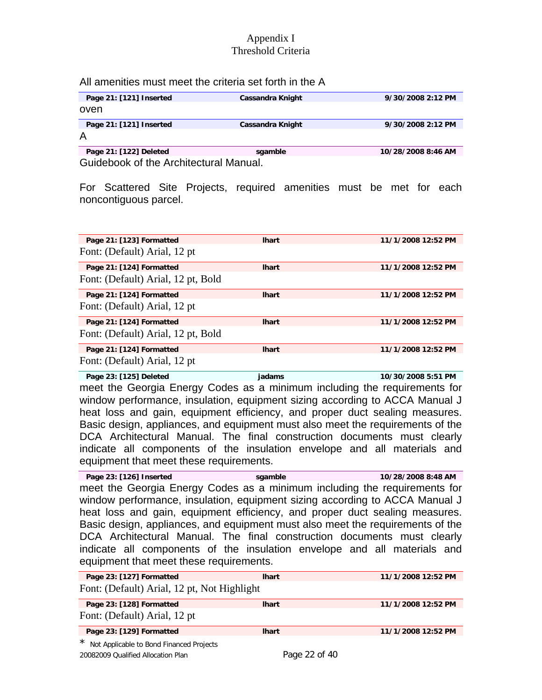#### All amenities must meet the criteria set forth in the A

| Page 21: [121] Inserted | Cassandra Knight | 9/30/2008 2:12 PM  |
|-------------------------|------------------|--------------------|
| oven                    |                  |                    |
| Page 21: [121] Inserted | Cassandra Knight | 9/30/2008 2:12 PM  |
|                         |                  |                    |
| Page 21: [122] Deleted  | sgamble          | 10/28/2008 8:46 AM |

Guidebook of the Architectural Manual.

For Scattered Site Projects, required amenities must be met for each noncontiguous parcel.

| Page 21: [123] Formatted           | <b>Ihart</b> | 11/1/2008 12:52 PM |
|------------------------------------|--------------|--------------------|
| Font: (Default) Arial, 12 pt       |              |                    |
| Page 21: [124] Formatted           | <b>Ihart</b> | 11/1/2008 12:52 PM |
| Font: (Default) Arial, 12 pt, Bold |              |                    |
| Page 21: [124] Formatted           | <b>Ihart</b> | 11/1/2008 12:52 PM |
| Font: (Default) Arial, 12 pt       |              |                    |
| Page 21: [124] Formatted           | <b>Ihart</b> | 11/1/2008 12:52 PM |
| Font: (Default) Arial, 12 pt, Bold |              |                    |
| Page 21: [124] Formatted           | <b>Ihart</b> | 11/1/2008 12:52 PM |
| Font: (Default) Arial, 12 pt       |              |                    |

**Page 23: [125] Deleted jadams 10/30/2008 5:51 PM**  meet the Georgia Energy Codes as a minimum including the requirements for window performance, insulation, equipment sizing according to ACCA Manual J heat loss and gain, equipment efficiency, and proper duct sealing measures. Basic design, appliances, and equipment must also meet the requirements of the DCA Architectural Manual. The final construction documents must clearly indicate all components of the insulation envelope and all materials and equipment that meet these requirements.

**Page 23: [126] Inserted sgamble 10/28/2008 8:48 AM**  meet the Georgia Energy Codes as a minimum including the requirements for window performance, insulation, equipment sizing according to ACCA Manual J heat loss and gain, equipment efficiency, and proper duct sealing measures. Basic design, appliances, and equipment must also meet the requirements of the DCA Architectural Manual. The final construction documents must clearly indicate all components of the insulation envelope and all materials and equipment that meet these requirements.

| Page 23: [127] Formatted                            | <b>Ihart</b> | 11/1/2008 12:52 PM |
|-----------------------------------------------------|--------------|--------------------|
| Font: (Default) Arial, 12 pt, Not Highlight         |              |                    |
| Page 23: [128] Formatted                            | <b>Ihart</b> | 11/1/2008 12:52 PM |
| Font: (Default) Arial, 12 pt                        |              |                    |
| Page 23: [129] Formatted                            | <b>Ihart</b> | 11/1/2008 12:52 PM |
| $\star$<br>Not Applicable to Bond Financed Projects |              |                    |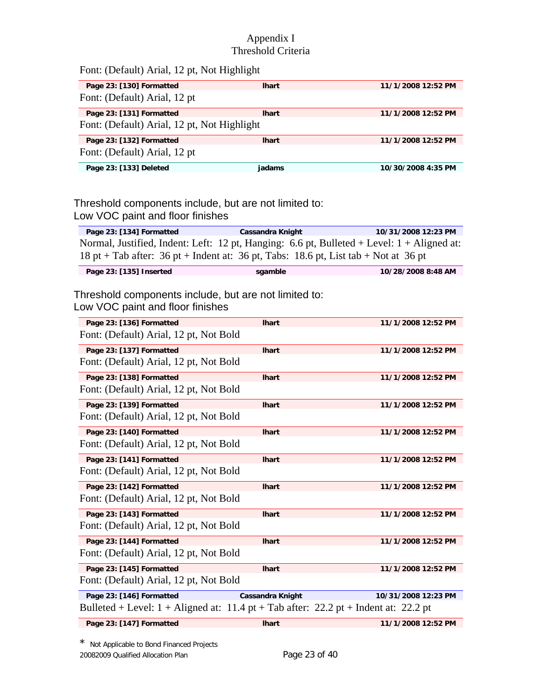| Font: (Default) Arial, 12 pt, Not Highlight |  |
|---------------------------------------------|--|
|---------------------------------------------|--|

| Page 23: [130] Formatted                    | <b>Ihart</b> | 11/1/2008 12:52 PM |
|---------------------------------------------|--------------|--------------------|
| Font: (Default) Arial, 12 pt                |              |                    |
| Page 23: [131] Formatted                    | <b>Ihart</b> | 11/1/2008 12:52 PM |
| Font: (Default) Arial, 12 pt, Not Highlight |              |                    |
| Page 23: [132] Formatted                    | <b>Ihart</b> | 11/1/2008 12:52 PM |
| Font: (Default) Arial, 12 pt                |              |                    |
| Page 23: [133] Deleted                      | iadams       | 10/30/2008 4:35 PM |

Threshold components include, but are not limited to: Low VOC paint and floor finishes

**Page 23: [134] Formatted Cassandra Knight 10/31/2008 12:23 PM** Normal, Justified, Indent: Left: 12 pt, Hanging: 6.6 pt, Bulleted + Level: 1 + Aligned at: 18 pt + Tab after: 36 pt + Indent at: 36 pt, Tabs: 18.6 pt, List tab + Not at 36 pt

| Page 23: [135] Inserted | saamble | 10/28/2008 8:48 AM |
|-------------------------|---------|--------------------|
|                         |         |                    |

Threshold components include, but are not limited to: Low VOC paint and floor finishes

| Page 23: [136] Formatted                                                              | <b>Ihart</b>            | 11/1/2008 12:52 PM  |
|---------------------------------------------------------------------------------------|-------------------------|---------------------|
| Font: (Default) Arial, 12 pt, Not Bold                                                |                         |                     |
| Page 23: [137] Formatted                                                              | <b>Ihart</b>            | 11/1/2008 12:52 PM  |
| Font: (Default) Arial, 12 pt, Not Bold                                                |                         |                     |
| Page 23: [138] Formatted                                                              | <b>Ihart</b>            | 11/1/2008 12:52 PM  |
| Font: (Default) Arial, 12 pt, Not Bold                                                |                         |                     |
| Page 23: [139] Formatted                                                              | <b>Ihart</b>            | 11/1/2008 12:52 PM  |
| Font: (Default) Arial, 12 pt, Not Bold                                                |                         |                     |
| Page 23: [140] Formatted                                                              | <b>Ihart</b>            | 11/1/2008 12:52 PM  |
| Font: (Default) Arial, 12 pt, Not Bold                                                |                         |                     |
| Page 23: [141] Formatted                                                              | <b>Ihart</b>            | 11/1/2008 12:52 PM  |
| Font: (Default) Arial, 12 pt, Not Bold                                                |                         |                     |
| Page 23: [142] Formatted                                                              | <b>Ihart</b>            | 11/1/2008 12:52 PM  |
| Font: (Default) Arial, 12 pt, Not Bold                                                |                         |                     |
| Page 23: [143] Formatted                                                              | <b>Ihart</b>            | 11/1/2008 12:52 PM  |
| Font: (Default) Arial, 12 pt, Not Bold                                                |                         |                     |
| Page 23: [144] Formatted                                                              | <b>Ihart</b>            | 11/1/2008 12:52 PM  |
| Font: (Default) Arial, 12 pt, Not Bold                                                |                         |                     |
| Page 23: [145] Formatted                                                              | <b>Ihart</b>            | 11/1/2008 12:52 PM  |
| Font: (Default) Arial, 12 pt, Not Bold                                                |                         |                     |
| Page 23: [146] Formatted                                                              | <b>Cassandra Knight</b> | 10/31/2008 12:23 PM |
| Bulleted + Level: $1 +$ Aligned at: 11.4 pt + Tab after: 22.2 pt + Indent at: 22.2 pt |                         |                     |
| Page 23: [147] Formatted                                                              | <b>Ihart</b>            | 11/1/2008 12:52 PM  |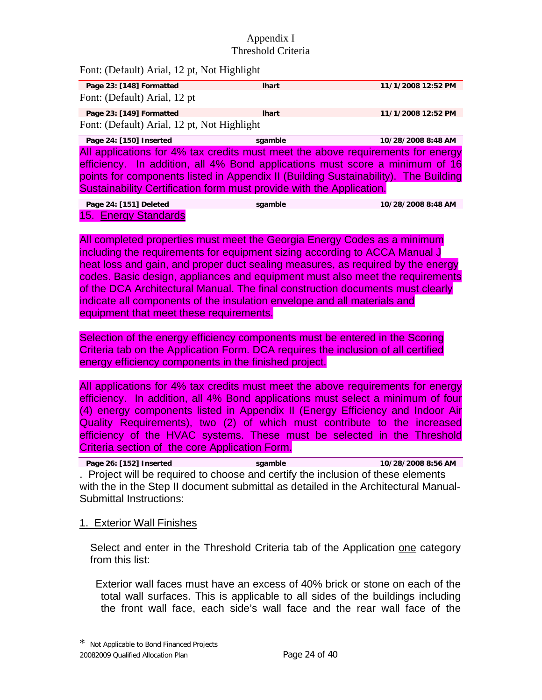Font: (Default) Arial, 12 pt, Not Highlight

| Page 23: [148] Formatted                                                            | <b>Ihart</b> | 11/1/2008 12:52 PM |
|-------------------------------------------------------------------------------------|--------------|--------------------|
| Font: (Default) Arial, 12 pt                                                        |              |                    |
| Page 23: [149] Formatted                                                            | <b>Ihart</b> | 11/1/2008 12:52 PM |
| Font: (Default) Arial, 12 pt, Not Highlight                                         |              |                    |
| Page 24: [150] Inserted                                                             | sgamble      | 10/28/2008 8:48 AM |
| All applications for 4% tax credits must meet the above requirements for energy     |              |                    |
| efficiency. In addition, all 4% Bond applications must score a minimum of 16        |              |                    |
| points for components listed in Appendix II (Building Sustainability). The Building |              |                    |
| Sustainability Certification form must provide with the Application.                |              |                    |
|                                                                                     |              |                    |

**Page 24: [151] Deleted sgamble 10/28/2008 8:48 AM**  15. Energy Standards

All completed properties must meet the Georgia Energy Codes as a minimum including the requirements for equipment sizing according to ACCA Manual J heat loss and gain, and proper duct sealing measures, as required by the energy codes. Basic design, appliances and equipment must also meet the requirements of the DCA Architectural Manual. The final construction documents must clearly indicate all components of the insulation envelope and all materials and equipment that meet these requirements.

Selection of the energy efficiency components must be entered in the Scoring Criteria tab on the Application Form. DCA requires the inclusion of all certified energy efficiency components in the finished project.

All applications for 4% tax credits must meet the above requirements for energy efficiency. In addition, all 4% Bond applications must select a minimum of four (4) energy components listed in Appendix II (Energy Efficiency and Indoor Air Quality Requirements), two (2) of which must contribute to the increased efficiency of the HVAC systems. These must be selected in the Threshold Criteria section of the core Application Form.

**Page 26: [152] Inserted sgamble 10/28/2008 8:56 AM**  . Project will be required to choose and certify the inclusion of these elements with the in the Step II document submittal as detailed in the Architectural Manual-Submittal Instructions:

#### 1. Exterior Wall Finishes

Select and enter in the Threshold Criteria tab of the Application one category from this list:

 Exterior wall faces must have an excess of 40% brick or stone on each of the total wall surfaces. This is applicable to all sides of the buildings including the front wall face, each side's wall face and the rear wall face of the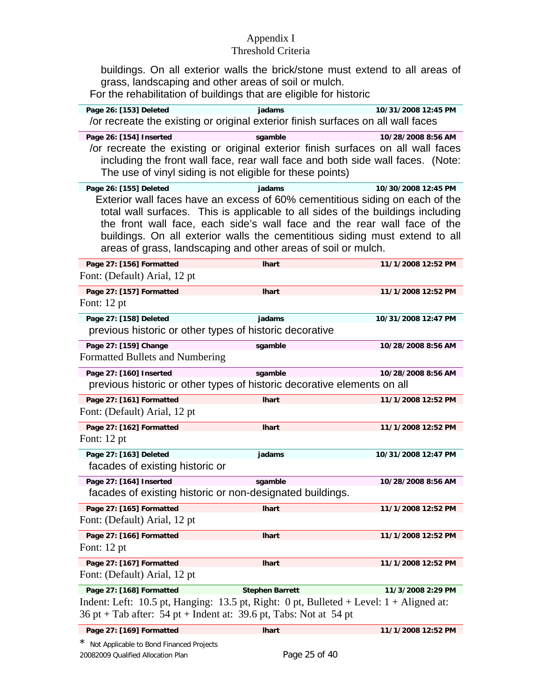# Appendix I

# Threshold Criteria

buildings. On all exterior walls the brick/stone must extend to all areas of grass, landscaping and other areas of soil or mulch.

For the rehabilitation of buildings that are eligible for historic

| Page 26: [153] Deleted<br>for recreate the existing or original exterior finish surfaces on all wall faces                                                         | jadams                 | 10/31/2008 12:45 PM                                                                                                                                                                                                                                                                                                        |
|--------------------------------------------------------------------------------------------------------------------------------------------------------------------|------------------------|----------------------------------------------------------------------------------------------------------------------------------------------------------------------------------------------------------------------------------------------------------------------------------------------------------------------------|
| Page 26: [154] Inserted                                                                                                                                            | sgamble                | 10/28/2008 8:56 AM                                                                                                                                                                                                                                                                                                         |
| or recreate the existing or original exterior finish surfaces on all wall faces<br>The use of vinyl siding is not eligible for these points)                       |                        | including the front wall face, rear wall face and both side wall faces. (Note:                                                                                                                                                                                                                                             |
| Page 26: [155] Deleted                                                                                                                                             | jadams                 | 10/30/2008 12:45 PM                                                                                                                                                                                                                                                                                                        |
| areas of grass, landscaping and other areas of soil or mulch.                                                                                                      |                        | Exterior wall faces have an excess of 60% cementitious siding on each of the<br>total wall surfaces. This is applicable to all sides of the buildings including<br>the front wall face, each side's wall face and the rear wall face of the<br>buildings. On all exterior walls the cementitious siding must extend to all |
| Page 27: [156] Formatted<br>Font: (Default) Arial, 12 pt                                                                                                           | <b>Ihart</b>           | 11/1/2008 12:52 PM                                                                                                                                                                                                                                                                                                         |
| Page 27: [157] Formatted<br>Font: $12$ pt                                                                                                                          | <b>Ihart</b>           | 11/1/2008 12:52 PM                                                                                                                                                                                                                                                                                                         |
| Page 27: [158] Deleted<br>previous historic or other types of historic decorative                                                                                  | jadams                 | 10/31/2008 12:47 PM                                                                                                                                                                                                                                                                                                        |
| Page 27: [159] Change<br>Formatted Bullets and Numbering                                                                                                           | sgamble                | 10/28/2008 8:56 AM                                                                                                                                                                                                                                                                                                         |
| Page 27: [160] Inserted<br>previous historic or other types of historic decorative elements on all                                                                 | sgamble                | 10/28/2008 8:56 AM                                                                                                                                                                                                                                                                                                         |
| Page 27: [161] Formatted<br>Font: (Default) Arial, 12 pt                                                                                                           | <b>Ihart</b>           | 11/1/2008 12:52 PM                                                                                                                                                                                                                                                                                                         |
| Page 27: [162] Formatted<br>Font: $12$ pt                                                                                                                          | <b>Ihart</b>           | 11/1/2008 12:52 PM                                                                                                                                                                                                                                                                                                         |
| Page 27: [163] Deleted<br>facades of existing historic or                                                                                                          | jadams                 | 10/31/2008 12:47 PM                                                                                                                                                                                                                                                                                                        |
| Page 27: [164] Inserted<br>facades of existing historic or non-designated buildings.                                                                               | sgamble                | 10/28/2008 8:56 AM                                                                                                                                                                                                                                                                                                         |
| Page 27: [165] Formatted<br>Font: (Default) Arial, 12 pt                                                                                                           | <b>Ihart</b>           | 11/1/2008 12:52 PM                                                                                                                                                                                                                                                                                                         |
| Page 27: [166] Formatted<br>Font: $12$ pt                                                                                                                          | <b>Ihart</b>           | 11/1/2008 12:52 PM                                                                                                                                                                                                                                                                                                         |
| Page 27: [167] Formatted<br>Font: (Default) Arial, 12 pt                                                                                                           | <b>Ihart</b>           | 11/1/2008 12:52 PM                                                                                                                                                                                                                                                                                                         |
| Page 27: [168] Formatted                                                                                                                                           | <b>Stephen Barrett</b> | 11/3/2008 2:29 PM                                                                                                                                                                                                                                                                                                          |
| Indent: Left: 10.5 pt, Hanging: 13.5 pt, Right: 0 pt, Bulleted + Level: $1 +$ Aligned at:<br>$36$ pt + Tab after: $54$ pt + Indent at: 39.6 pt, Tabs: Not at 54 pt |                        |                                                                                                                                                                                                                                                                                                                            |

**Page 27: [169] Formatted lhart 11/1/2008 12:52 PM**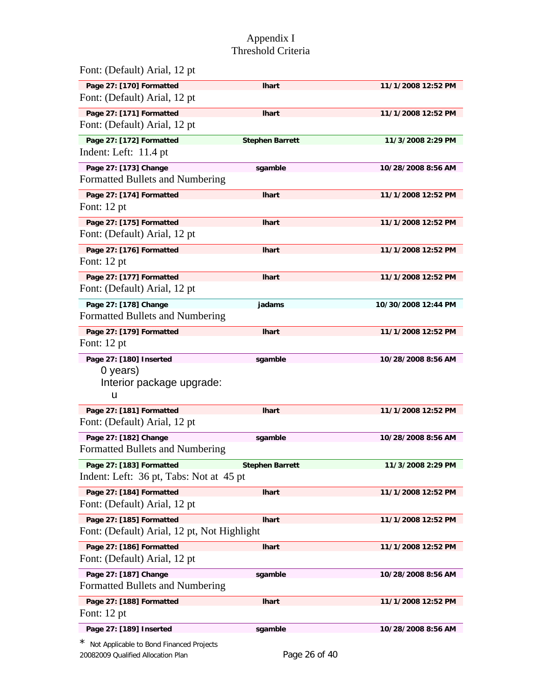| Font: (Default) Arial, 12 pt                                            |                        |                     |
|-------------------------------------------------------------------------|------------------------|---------------------|
| Page 27: [170] Formatted<br>Font: (Default) Arial, 12 pt                | <b>Ihart</b>           | 11/1/2008 12:52 PM  |
| Page 27: [171] Formatted<br>Font: (Default) Arial, 12 pt                | <b>Ihart</b>           | 11/1/2008 12:52 PM  |
| Page 27: [172] Formatted<br>Indent: Left: 11.4 pt                       | <b>Stephen Barrett</b> | 11/3/2008 2:29 PM   |
| Page 27: [173] Change<br>Formatted Bullets and Numbering                | sgamble                | 10/28/2008 8:56 AM  |
| Page 27: [174] Formatted<br>Font: 12 pt                                 | <b>Ihart</b>           | 11/1/2008 12:52 PM  |
| Page 27: [175] Formatted<br>Font: (Default) Arial, 12 pt                | <b>Ihart</b>           | 11/1/2008 12:52 PM  |
| Page 27: [176] Formatted<br>Font: 12 pt                                 | <b>Ihart</b>           | 11/1/2008 12:52 PM  |
| Page 27: [177] Formatted<br>Font: (Default) Arial, 12 pt                | <b>Ihart</b>           | 11/1/2008 12:52 PM  |
| Page 27: [178] Change<br>Formatted Bullets and Numbering                | jadams                 | 10/30/2008 12:44 PM |
| Page 27: [179] Formatted<br>Font: 12 pt                                 | <b>Ihart</b>           | 11/1/2008 12:52 PM  |
| Page 27: [180] Inserted<br>0 years)<br>Interior package upgrade:<br>u   | sgamble                | 10/28/2008 8:56 AM  |
| Page 27: [181] Formatted<br>Font: (Default) Arial, 12 pt                | <b>Ihart</b>           | 11/1/2008 12:52 PM  |
| Page 27: [182] Change<br>Formatted Bullets and Numbering                | sgamble                | 10/28/2008 8:56 AM  |
| Page 27: [183] Formatted<br>Indent: Left: 36 pt, Tabs: Not at 45 pt     | <b>Stephen Barrett</b> | 11/3/2008 2:29 PM   |
| Page 27: [184] Formatted<br>Font: (Default) Arial, 12 pt                | <b>Ihart</b>           | 11/1/2008 12:52 PM  |
| Page 27: [185] Formatted<br>Font: (Default) Arial, 12 pt, Not Highlight | <b>Ihart</b>           | 11/1/2008 12:52 PM  |
| Page 27: [186] Formatted<br>Font: (Default) Arial, 12 pt                | <b>Ihart</b>           | 11/1/2008 12:52 PM  |
| Page 27: [187] Change<br>Formatted Bullets and Numbering                | sgamble                | 10/28/2008 8:56 AM  |
| Page 27: [188] Formatted<br>Font: 12 pt                                 | <b>Ihart</b>           | 11/1/2008 12:52 PM  |
| Page 27: [189] Inserted                                                 | sgamble                | 10/28/2008 8:56 AM  |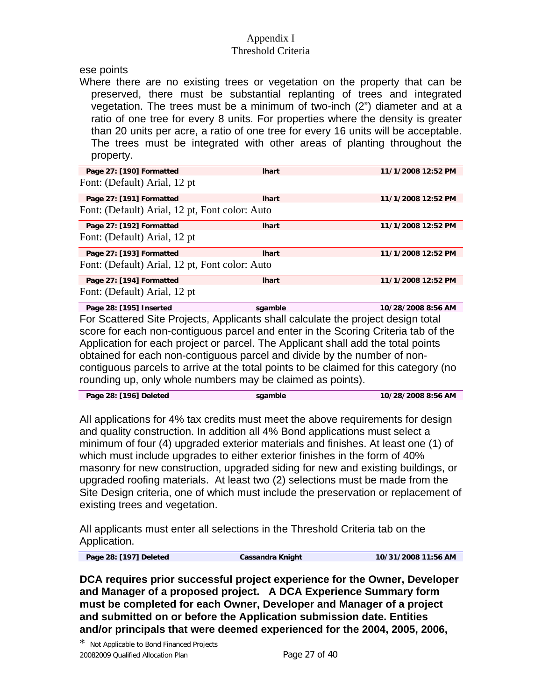ese points

 Where there are no existing trees or vegetation on the property that can be preserved, there must be substantial replanting of trees and integrated vegetation. The trees must be a minimum of two-inch (2") diameter and at a ratio of one tree for every 8 units. For properties where the density is greater than 20 units per acre, a ratio of one tree for every 16 units will be acceptable. The trees must be integrated with other areas of planting throughout the property.

| Page 27: [190] Formatted                                                             | <b>Ihart</b> | 11/1/2008 12:52 PM |
|--------------------------------------------------------------------------------------|--------------|--------------------|
| Font: (Default) Arial, 12 pt                                                         |              |                    |
| Page 27: [191] Formatted                                                             | <b>Ihart</b> | 11/1/2008 12:52 PM |
| Font: (Default) Arial, 12 pt, Font color: Auto                                       |              |                    |
| Page 27: [192] Formatted                                                             | <b>Ihart</b> | 11/1/2008 12:52 PM |
| Font: (Default) Arial, 12 pt                                                         |              |                    |
| Page 27: [193] Formatted                                                             | <b>Ihart</b> | 11/1/2008 12:52 PM |
| Font: (Default) Arial, 12 pt, Font color: Auto                                       |              |                    |
| Page 27: [194] Formatted                                                             | <b>Ihart</b> | 11/1/2008 12:52 PM |
| Font: (Default) Arial, 12 pt                                                         |              |                    |
| Page 28: [195] Inserted                                                              | sgamble      | 10/28/2008 8:56 AM |
| For Scattered Site Projects, Applicants shall calculate the project design total     |              |                    |
| score for each non-contiguous parcel and enter in the Scoring Criteria tab of the    |              |                    |
| Application for each project or parcel. The Applicant shall add the total points     |              |                    |
| obtained for each non-contiguous parcel and divide by the number of non-             |              |                    |
| contiguous parcels to arrive at the total points to be claimed for this category (no |              |                    |
|                                                                                      |              |                    |
| rounding up, only whole numbers may be claimed as points).                           |              |                    |

| Page 28: [196] Deleted | saamble | 10/28/2008 8:56 AM |
|------------------------|---------|--------------------|
|                        |         |                    |

All applications for 4% tax credits must meet the above requirements for design and quality construction. In addition all 4% Bond applications must select a minimum of four (4) upgraded exterior materials and finishes. At least one (1) of which must include upgrades to either exterior finishes in the form of 40% masonry for new construction, upgraded siding for new and existing buildings, or upgraded roofing materials. At least two (2) selections must be made from the Site Design criteria, one of which must include the preservation or replacement of existing trees and vegetation.

All applicants must enter all selections in the Threshold Criteria tab on the Application.

**Page 28: [197] Deleted Cassandra Knight 10/31/2008 11:56 AM** 

**DCA requires prior successful project experience for the Owner, Developer and Manager of a proposed project. A DCA Experience Summary form must be completed for each Owner, Developer and Manager of a project and submitted on or before the Application submission date. Entities and/or principals that were deemed experienced for the 2004, 2005, 2006,**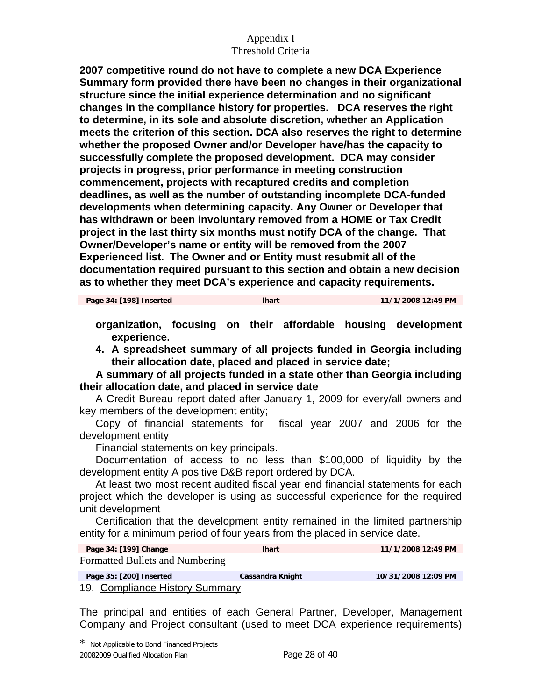**2007 competitive round do not have to complete a new DCA Experience Summary form provided there have been no changes in their organizational structure since the initial experience determination and no significant changes in the compliance history for properties. DCA reserves the right to determine, in its sole and absolute discretion, whether an Application meets the criterion of this section. DCA also reserves the right to determine whether the proposed Owner and/or Developer have/has the capacity to successfully complete the proposed development. DCA may consider projects in progress, prior performance in meeting construction commencement, projects with recaptured credits and completion deadlines, as well as the number of outstanding incomplete DCA-funded developments when determining capacity. Any Owner or Developer that has withdrawn or been involuntary removed from a HOME or Tax Credit project in the last thirty six months must notify DCA of the change. That Owner/Developer's name or entity will be removed from the 2007 Experienced list. The Owner and or Entity must resubmit all of the documentation required pursuant to this section and obtain a new decision as to whether they meet DCA's experience and capacity requirements.** 

**Page 34: [198] Inserted lhart 11/1/2008 12:49 PM** 

- **organization, focusing on their affordable housing development experience.**
- **4. A spreadsheet summary of all projects funded in Georgia including their allocation date, placed and placed in service date;**

 **A summary of all projects funded in a state other than Georgia including their allocation date, and placed in service date** 

 A Credit Bureau report dated after January 1, 2009 for every/all owners and key members of the development entity;

 Copy of financial statements for fiscal year 2007 and 2006 for the development entity

Financial statements on key principals.

 Documentation of access to no less than \$100,000 of liquidity by the development entity A positive D&B report ordered by DCA.

 At least two most recent audited fiscal year end financial statements for each project which the developer is using as successful experience for the required unit development

 Certification that the development entity remained in the limited partnership entity for a minimum period of four years from the placed in service date.

| Page 34: [199] Change           | <b>Ihart</b>     | 11/1/2008 12:49 PM  |
|---------------------------------|------------------|---------------------|
| Formatted Bullets and Numbering |                  |                     |
| Page 35: [200] Inserted         | Cassandra Knight | 10/31/2008 12:09 PM |

19. Compliance History Summary

The principal and entities of each General Partner, Developer, Management Company and Project consultant (used to meet DCA experience requirements)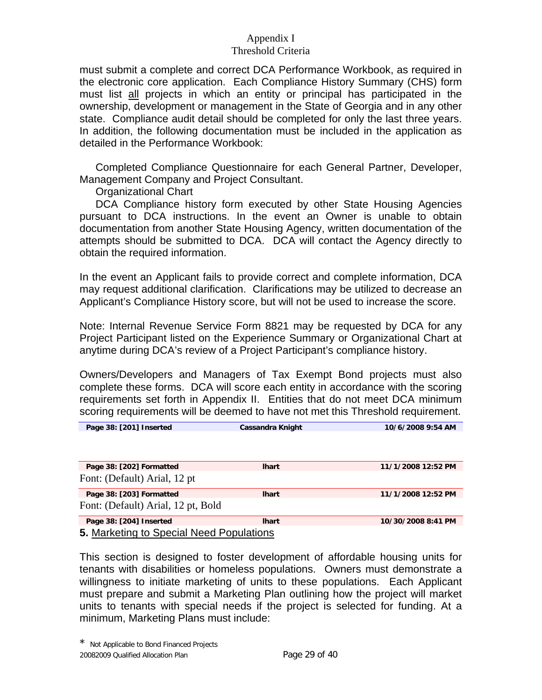must submit a complete and correct DCA Performance Workbook, as required in the electronic core application. Each Compliance History Summary (CHS) form must list all projects in which an entity or principal has participated in the ownership, development or management in the State of Georgia and in any other state. Compliance audit detail should be completed for only the last three years. In addition, the following documentation must be included in the application as detailed in the Performance Workbook:

 Completed Compliance Questionnaire for each General Partner, Developer, Management Company and Project Consultant.

Organizational Chart

 DCA Compliance history form executed by other State Housing Agencies pursuant to DCA instructions. In the event an Owner is unable to obtain documentation from another State Housing Agency, written documentation of the attempts should be submitted to DCA. DCA will contact the Agency directly to obtain the required information.

In the event an Applicant fails to provide correct and complete information, DCA may request additional clarification. Clarifications may be utilized to decrease an Applicant's Compliance History score, but will not be used to increase the score.

Note: Internal Revenue Service Form 8821 may be requested by DCA for any Project Participant listed on the Experience Summary or Organizational Chart at anytime during DCA's review of a Project Participant's compliance history.

Owners/Developers and Managers of Tax Exempt Bond projects must also complete these forms. DCA will score each entity in accordance with the scoring requirements set forth in Appendix II. Entities that do not meet DCA minimum scoring requirements will be deemed to have not met this Threshold requirement.

| Page 38: [201] Inserted                  | <b>Cassandra Knight</b> | 10/6/2008 9:54 AM  |  |  |
|------------------------------------------|-------------------------|--------------------|--|--|
|                                          |                         |                    |  |  |
|                                          |                         |                    |  |  |
|                                          |                         |                    |  |  |
| Page 38: [202] Formatted                 | <b>Ihart</b>            | 11/1/2008 12:52 PM |  |  |
| Font: (Default) Arial, 12 pt             |                         |                    |  |  |
|                                          |                         |                    |  |  |
| Page 38: [203] Formatted                 | <b>Ihart</b>            | 11/1/2008 12:52 PM |  |  |
| Font: (Default) Arial, 12 pt, Bold       |                         |                    |  |  |
|                                          |                         |                    |  |  |
| Page 38: [204] Inserted                  | <b>Ihart</b>            | 10/30/2008 8:41 PM |  |  |
| 5. Marketing to Special Need Populations |                         |                    |  |  |

This section is designed to foster development of affordable housing units for tenants with disabilities or homeless populations. Owners must demonstrate a willingness to initiate marketing of units to these populations. Each Applicant must prepare and submit a Marketing Plan outlining how the project will market units to tenants with special needs if the project is selected for funding. At a minimum, Marketing Plans must include: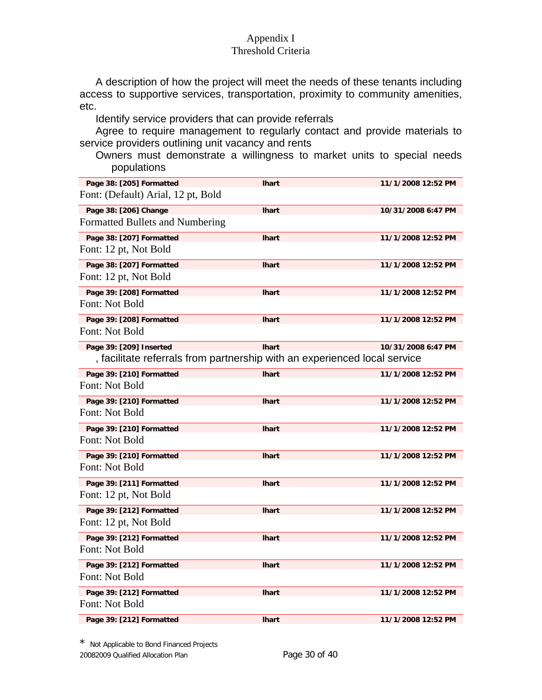A description of how the project will meet the needs of these tenants including access to supportive services, transportation, proximity to community amenities, etc.

Identify service providers that can provide referrals

 Agree to require management to regularly contact and provide materials to service providers outlining unit vacancy and rents

Owners must demonstrate a willingness to market units to special needs populations

| Page 38: [205] Formatted                                                  | <b>Ihart</b> | 11/1/2008 12:52 PM |
|---------------------------------------------------------------------------|--------------|--------------------|
| Font: (Default) Arial, 12 pt, Bold                                        |              |                    |
| Page 38: [206] Change                                                     | <b>Ihart</b> | 10/31/2008 6:47 PM |
| Formatted Bullets and Numbering                                           |              |                    |
| Page 38: [207] Formatted                                                  | <b>Ihart</b> | 11/1/2008 12:52 PM |
| Font: 12 pt, Not Bold                                                     |              |                    |
| Page 38: [207] Formatted                                                  | <b>Ihart</b> | 11/1/2008 12:52 PM |
| Font: 12 pt, Not Bold                                                     |              |                    |
| Page 39: [208] Formatted                                                  | <b>Ihart</b> | 11/1/2008 12:52 PM |
| Font: Not Bold                                                            |              |                    |
| Page 39: [208] Formatted                                                  | <b>Ihart</b> | 11/1/2008 12:52 PM |
| Font: Not Bold                                                            |              |                    |
| Page 39: [209] Inserted                                                   | <b>Ihart</b> | 10/31/2008 6:47 PM |
| , facilitate referrals from partnership with an experienced local service |              |                    |
| Page 39: [210] Formatted                                                  | <b>Ihart</b> | 11/1/2008 12:52 PM |
| Font: Not Bold                                                            |              |                    |
| Page 39: [210] Formatted                                                  | <b>Ihart</b> | 11/1/2008 12:52 PM |
| Font: Not Bold                                                            |              |                    |
| Page 39: [210] Formatted                                                  | <b>Ihart</b> | 11/1/2008 12:52 PM |
| Font: Not Bold                                                            |              |                    |
| Page 39: [210] Formatted                                                  | <b>Ihart</b> | 11/1/2008 12:52 PM |
| Font: Not Bold                                                            |              |                    |
| Page 39: [211] Formatted                                                  | <b>Ihart</b> | 11/1/2008 12:52 PM |
| Font: 12 pt, Not Bold                                                     |              |                    |
| Page 39: [212] Formatted                                                  | <b>Ihart</b> | 11/1/2008 12:52 PM |
| Font: 12 pt, Not Bold                                                     |              |                    |
| Page 39: [212] Formatted                                                  | <b>Ihart</b> | 11/1/2008 12:52 PM |
| Font: Not Bold                                                            |              |                    |
| Page 39: [212] Formatted                                                  | <b>Ihart</b> | 11/1/2008 12:52 PM |
| Font: Not Bold                                                            |              |                    |
| Page 39: [212] Formatted                                                  | <b>Ihart</b> | 11/1/2008 12:52 PM |
| Font: Not Bold                                                            |              |                    |
| Page 39: [212] Formatted                                                  | <b>Ihart</b> | 11/1/2008 12:52 PM |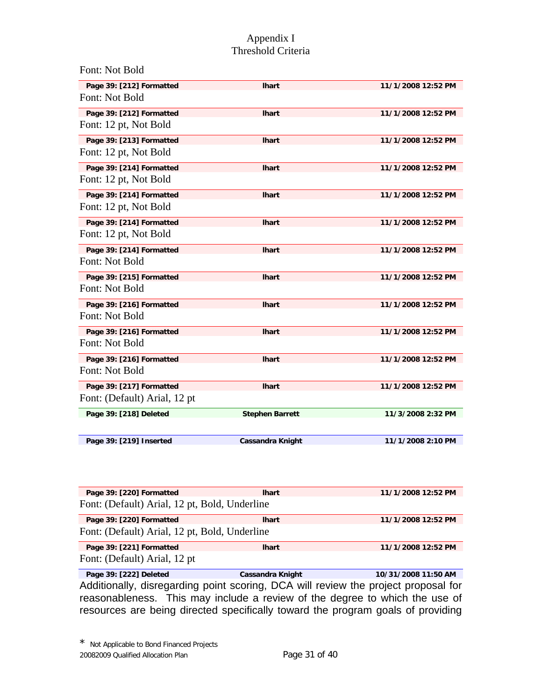| Font: Not Bold               |                         |                    |
|------------------------------|-------------------------|--------------------|
| Page 39: [212] Formatted     | <b>Ihart</b>            | 11/1/2008 12:52 PM |
| Font: Not Bold               |                         |                    |
| Page 39: [212] Formatted     | <b>Ihart</b>            | 11/1/2008 12:52 PM |
| Font: 12 pt, Not Bold        |                         |                    |
| Page 39: [213] Formatted     | <b>Ihart</b>            | 11/1/2008 12:52 PM |
| Font: 12 pt, Not Bold        |                         |                    |
| Page 39: [214] Formatted     | <b>Ihart</b>            | 11/1/2008 12:52 PM |
| Font: 12 pt, Not Bold        |                         |                    |
| Page 39: [214] Formatted     | <b>Ihart</b>            | 11/1/2008 12:52 PM |
| Font: 12 pt, Not Bold        |                         |                    |
| Page 39: [214] Formatted     | <b>Ihart</b>            | 11/1/2008 12:52 PM |
| Font: 12 pt, Not Bold        |                         |                    |
| Page 39: [214] Formatted     | <b>Ihart</b>            | 11/1/2008 12:52 PM |
| Font: Not Bold               |                         |                    |
| Page 39: [215] Formatted     | <b>Ihart</b>            | 11/1/2008 12:52 PM |
| Font: Not Bold               |                         |                    |
| Page 39: [216] Formatted     | <b>Ihart</b>            | 11/1/2008 12:52 PM |
| Font: Not Bold               |                         |                    |
| Page 39: [216] Formatted     | <b>Ihart</b>            | 11/1/2008 12:52 PM |
| Font: Not Bold               |                         |                    |
| Page 39: [216] Formatted     | <b>Ihart</b>            | 11/1/2008 12:52 PM |
| Font: Not Bold               |                         |                    |
| Page 39: [217] Formatted     | <b>Ihart</b>            | 11/1/2008 12:52 PM |
| Font: (Default) Arial, 12 pt |                         |                    |
| Page 39: [218] Deleted       | <b>Stephen Barrett</b>  | 11/3/2008 2:32 PM  |
|                              |                         |                    |
| Page 39: [219] Inserted      | <b>Cassandra Knight</b> | 11/1/2008 2:10 PM  |

| Page 39: [220] Formatted                      | <b>Ihart</b> | 11/1/2008 12:52 PM |  |
|-----------------------------------------------|--------------|--------------------|--|
| Font: (Default) Arial, 12 pt, Bold, Underline |              |                    |  |
| Page 39: [220] Formatted                      | <b>Ihart</b> | 11/1/2008 12:52 PM |  |
| Font: (Default) Arial, 12 pt, Bold, Underline |              |                    |  |
| Page 39: [221] Formatted                      | <b>Ihart</b> | 11/1/2008 12:52 PM |  |
| Font: (Default) Arial, 12 pt                  |              |                    |  |

**Page 39: [222] Deleted Cassandra Knight 10/31/2008 11:50 AM** Additionally, disregarding point scoring, DCA will review the project proposal for reasonableness. This may include a review of the degree to which the use of resources are being directed specifically toward the program goals of providing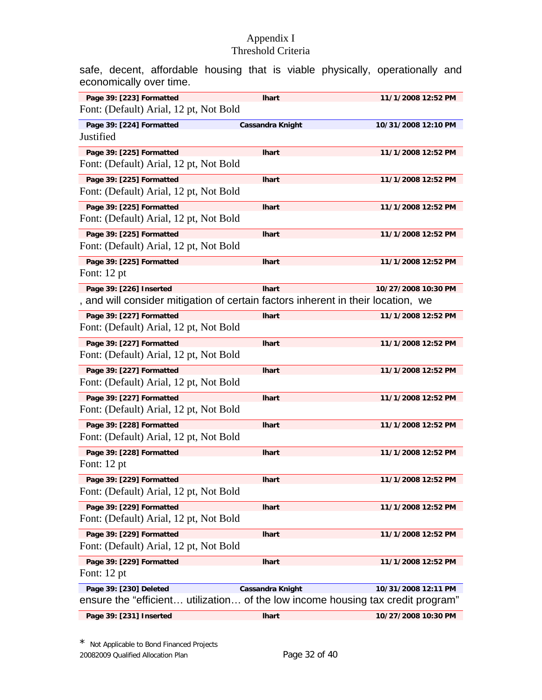safe, decent, affordable housing that is viable physically, operationally and economically over time.

| Page 39: [223] Formatted                                                         | <b>Ihart</b>            | 11/1/2008 12:52 PM  |
|----------------------------------------------------------------------------------|-------------------------|---------------------|
| Font: (Default) Arial, 12 pt, Not Bold                                           |                         |                     |
| Page 39: [224] Formatted                                                         | <b>Cassandra Knight</b> | 10/31/2008 12:10 PM |
| Justified                                                                        |                         |                     |
| Page 39: [225] Formatted                                                         | <b>Ihart</b>            | 11/1/2008 12:52 PM  |
| Font: (Default) Arial, 12 pt, Not Bold                                           |                         |                     |
| Page 39: [225] Formatted                                                         | <b>Ihart</b>            | 11/1/2008 12:52 PM  |
| Font: (Default) Arial, 12 pt, Not Bold                                           |                         |                     |
| Page 39: [225] Formatted                                                         | <b>Ihart</b>            | 11/1/2008 12:52 PM  |
| Font: (Default) Arial, 12 pt, Not Bold                                           |                         |                     |
| Page 39: [225] Formatted                                                         | lhart                   | 11/1/2008 12:52 PM  |
| Font: (Default) Arial, 12 pt, Not Bold                                           |                         |                     |
| Page 39: [225] Formatted                                                         | <b>Ihart</b>            | 11/1/2008 12:52 PM  |
| Font: 12 pt                                                                      |                         |                     |
| Page 39: [226] Inserted                                                          | <b>Ihart</b>            | 10/27/2008 10:30 PM |
| , and will consider mitigation of certain factors inherent in their location, we |                         |                     |
| Page 39: [227] Formatted                                                         | <b>Ihart</b>            | 11/1/2008 12:52 PM  |
| Font: (Default) Arial, 12 pt, Not Bold                                           |                         |                     |
| Page 39: [227] Formatted                                                         | <b>Ihart</b>            | 11/1/2008 12:52 PM  |
| Font: (Default) Arial, 12 pt, Not Bold                                           |                         |                     |
| Page 39: [227] Formatted                                                         | <b>Ihart</b>            | 11/1/2008 12:52 PM  |
| Font: (Default) Arial, 12 pt, Not Bold                                           |                         |                     |
| Page 39: [227] Formatted                                                         | <b>Ihart</b>            | 11/1/2008 12:52 PM  |
| Font: (Default) Arial, 12 pt, Not Bold                                           |                         |                     |
| Page 39: [228] Formatted                                                         | <b>Ihart</b>            | 11/1/2008 12:52 PM  |
| Font: (Default) Arial, 12 pt, Not Bold                                           |                         |                     |
| Page 39: [228] Formatted                                                         | <b>Ihart</b>            | 11/1/2008 12:52 PM  |
| Font: 12 pt                                                                      |                         |                     |
| Page 39: [229] Formatted                                                         | <b>Ihart</b>            | 11/1/2008 12:52 PM  |
| Font: (Default) Arial, 12 pt, Not Bold                                           |                         |                     |
| Page 39: [229] Formatted                                                         | <b>Ihart</b>            | 11/1/2008 12:52 PM  |
| Font: (Default) Arial, 12 pt, Not Bold                                           |                         |                     |
| Page 39: [229] Formatted                                                         | <b>Ihart</b>            | 11/1/2008 12:52 PM  |
| Font: (Default) Arial, 12 pt, Not Bold                                           |                         |                     |
| Page 39: [229] Formatted                                                         | <b>Ihart</b>            | 11/1/2008 12:52 PM  |
| Font: 12 pt                                                                      |                         |                     |
| Page 39: [230] Deleted                                                           | <b>Cassandra Knight</b> | 10/31/2008 12:11 PM |
| ensure the "efficient utilization of the low income housing tax credit program"  |                         |                     |
| Page 39: [231] Inserted                                                          | <b>Ihart</b>            | 10/27/2008 10:30 PM |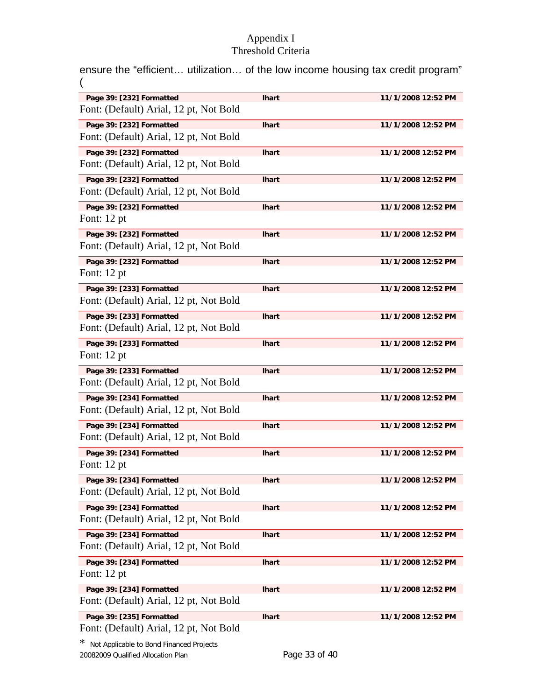ensure the "efficient… utilization… of the low income housing tax credit program" (

| Page 39: [232] Formatted               | <b>Ihart</b> | 11/1/2008 12:52 PM |
|----------------------------------------|--------------|--------------------|
| Font: (Default) Arial, 12 pt, Not Bold |              |                    |
|                                        |              |                    |
| Page 39: [232] Formatted               | <b>Ihart</b> | 11/1/2008 12:52 PM |
| Font: (Default) Arial, 12 pt, Not Bold |              |                    |
| Page 39: [232] Formatted               | <b>Ihart</b> | 11/1/2008 12:52 PM |
| Font: (Default) Arial, 12 pt, Not Bold |              |                    |
| Page 39: [232] Formatted               | <b>Ihart</b> | 11/1/2008 12:52 PM |
| Font: (Default) Arial, 12 pt, Not Bold |              |                    |
| Page 39: [232] Formatted               | <b>Ihart</b> | 11/1/2008 12:52 PM |
| Font: $12$ pt                          |              |                    |
|                                        |              |                    |
| Page 39: [232] Formatted               | <b>Ihart</b> | 11/1/2008 12:52 PM |
| Font: (Default) Arial, 12 pt, Not Bold |              |                    |
| Page 39: [232] Formatted               | <b>Ihart</b> | 11/1/2008 12:52 PM |
| Font: $12$ pt                          |              |                    |
| Page 39: [233] Formatted               | <b>Ihart</b> | 11/1/2008 12:52 PM |
| Font: (Default) Arial, 12 pt, Not Bold |              |                    |
| Page 39: [233] Formatted               | <b>Ihart</b> | 11/1/2008 12:52 PM |
| Font: (Default) Arial, 12 pt, Not Bold |              |                    |
|                                        |              |                    |
| Page 39: [233] Formatted               | <b>Ihart</b> | 11/1/2008 12:52 PM |
| Font: $12$ pt                          |              |                    |
| Page 39: [233] Formatted               | <b>Ihart</b> | 11/1/2008 12:52 PM |
| Font: (Default) Arial, 12 pt, Not Bold |              |                    |
| Page 39: [234] Formatted               | <b>Ihart</b> | 11/1/2008 12:52 PM |
| Font: (Default) Arial, 12 pt, Not Bold |              |                    |
| Page 39: [234] Formatted               | <b>Ihart</b> | 11/1/2008 12:52 PM |
| Font: (Default) Arial, 12 pt, Not Bold |              |                    |
|                                        |              |                    |
| Page 39: [234] Formatted               | <b>Ihart</b> | 11/1/2008 12:52 PM |
| Font: 12 pt                            |              |                    |
| Page 39: [234] Formatted               | <b>Ihart</b> | 11/1/2008 12:52 PM |
| Font: (Default) Arial, 12 pt, Not Bold |              |                    |
| Page 39: [234] Formatted               | <b>Ihart</b> | 11/1/2008 12:52 PM |
| Font: (Default) Arial, 12 pt, Not Bold |              |                    |
| Page 39: [234] Formatted               | <b>Ihart</b> | 11/1/2008 12:52 PM |
| Font: (Default) Arial, 12 pt, Not Bold |              |                    |
| Page 39: [234] Formatted               | <b>Ihart</b> | 11/1/2008 12:52 PM |
| Font: $12$ pt                          |              |                    |
|                                        |              |                    |
| Page 39: [234] Formatted               | <b>Ihart</b> | 11/1/2008 12:52 PM |
| Font: (Default) Arial, 12 pt, Not Bold |              |                    |
| Page 39: [235] Formatted               | <b>Ihart</b> | 11/1/2008 12:52 PM |
| Font: (Default) Arial, 12 pt, Not Bold |              |                    |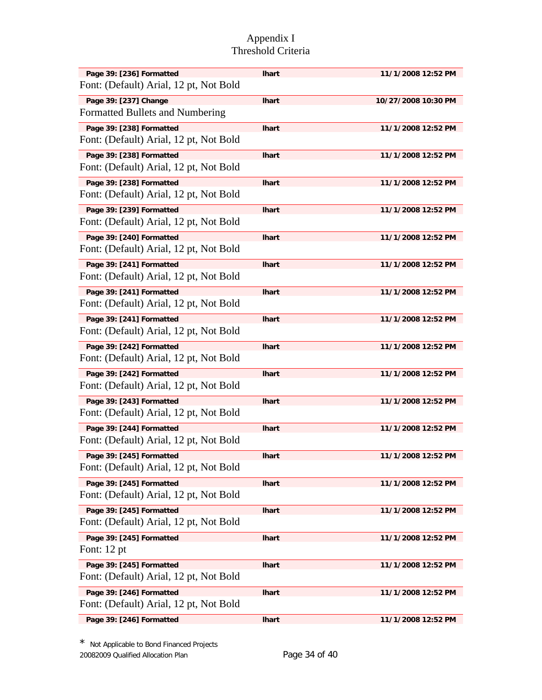| Page 39: [236] Formatted<br>Font: (Default) Arial, 12 pt, Not Bold | <b>Ihart</b> | 11/1/2008 12:52 PM  |
|--------------------------------------------------------------------|--------------|---------------------|
| Page 39: [237] Change<br>Formatted Bullets and Numbering           | <b>Ihart</b> | 10/27/2008 10:30 PM |
| Page 39: [238] Formatted<br>Font: (Default) Arial, 12 pt, Not Bold | <b>Ihart</b> | 11/1/2008 12:52 PM  |
| Page 39: [238] Formatted<br>Font: (Default) Arial, 12 pt, Not Bold | <b>Ihart</b> | 11/1/2008 12:52 PM  |
| Page 39: [238] Formatted<br>Font: (Default) Arial, 12 pt, Not Bold | <b>Ihart</b> | 11/1/2008 12:52 PM  |
| Page 39: [239] Formatted<br>Font: (Default) Arial, 12 pt, Not Bold | <b>Ihart</b> | 11/1/2008 12:52 PM  |
| Page 39: [240] Formatted<br>Font: (Default) Arial, 12 pt, Not Bold | <b>Ihart</b> | 11/1/2008 12:52 PM  |
| Page 39: [241] Formatted<br>Font: (Default) Arial, 12 pt, Not Bold | <b>Ihart</b> | 11/1/2008 12:52 PM  |
| Page 39: [241] Formatted<br>Font: (Default) Arial, 12 pt, Not Bold | <b>Ihart</b> | 11/1/2008 12:52 PM  |
| Page 39: [241] Formatted<br>Font: (Default) Arial, 12 pt, Not Bold | <b>Ihart</b> | 11/1/2008 12:52 PM  |
| Page 39: [242] Formatted<br>Font: (Default) Arial, 12 pt, Not Bold | <b>Ihart</b> | 11/1/2008 12:52 PM  |
| Page 39: [242] Formatted<br>Font: (Default) Arial, 12 pt, Not Bold | <b>Ihart</b> | 11/1/2008 12:52 PM  |
| Page 39: [243] Formatted<br>Font: (Default) Arial, 12 pt, Not Bold | <b>Ihart</b> | 11/1/2008 12:52 PM  |
| Page 39: [244] Formatted<br>Font: (Default) Arial, 12 pt, Not Bold | <b>Ihart</b> | 11/1/2008 12:52 PM  |
| Page 39: [245] Formatted<br>Font: (Default) Arial, 12 pt, Not Bold | <b>Ihart</b> | 11/1/2008 12:52 PM  |
| Page 39: [245] Formatted<br>Font: (Default) Arial, 12 pt, Not Bold | <b>Ihart</b> | 11/1/2008 12:52 PM  |
| Page 39: [245] Formatted<br>Font: (Default) Arial, 12 pt, Not Bold | <b>Ihart</b> | 11/1/2008 12:52 PM  |
| Page 39: [245] Formatted<br>Font: $12$ pt                          | <b>Ihart</b> | 11/1/2008 12:52 PM  |
| Page 39: [245] Formatted<br>Font: (Default) Arial, 12 pt, Not Bold | <b>Ihart</b> | 11/1/2008 12:52 PM  |
| Page 39: [246] Formatted<br>Font: (Default) Arial, 12 pt, Not Bold | <b>Ihart</b> | 11/1/2008 12:52 PM  |
| Page 39: [246] Formatted                                           | <b>Ihart</b> | 11/1/2008 12:52 PM  |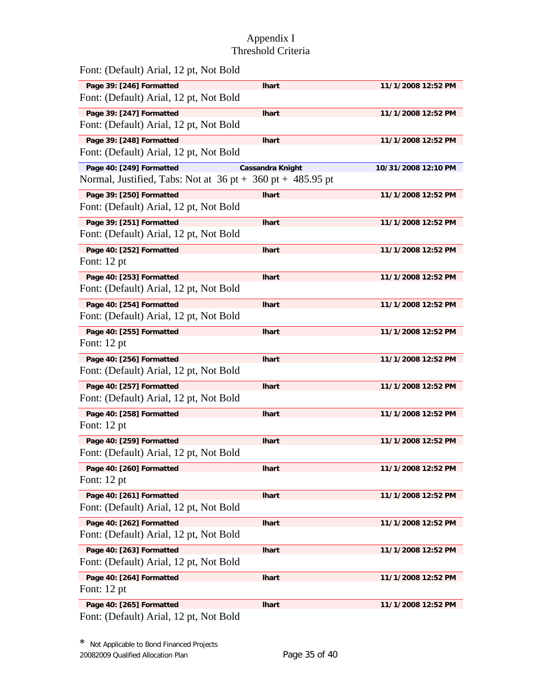| Font: (Default) Arial, 12 pt, Not Bold                                                       |                         |                     |
|----------------------------------------------------------------------------------------------|-------------------------|---------------------|
| Page 39: [246] Formatted                                                                     | <b>Ihart</b>            | 11/1/2008 12:52 PM  |
| Font: (Default) Arial, 12 pt, Not Bold                                                       |                         |                     |
| Page 39: [247] Formatted<br>Font: (Default) Arial, 12 pt, Not Bold                           | <b>Ihart</b>            | 11/1/2008 12:52 PM  |
| Page 39: [248] Formatted<br>Font: (Default) Arial, 12 pt, Not Bold                           | <b>Ihart</b>            | 11/1/2008 12:52 PM  |
| Page 40: [249] Formatted<br>Normal, Justified, Tabs: Not at $36$ pt + $360$ pt + $485.95$ pt | <b>Cassandra Knight</b> | 10/31/2008 12:10 PM |
| Page 39: [250] Formatted<br>Font: (Default) Arial, 12 pt, Not Bold                           | <b>Ihart</b>            | 11/1/2008 12:52 PM  |
| Page 39: [251] Formatted<br>Font: (Default) Arial, 12 pt, Not Bold                           | <b>Ihart</b>            | 11/1/2008 12:52 PM  |
| Page 40: [252] Formatted<br>Font: $12$ pt                                                    | <b>Ihart</b>            | 11/1/2008 12:52 PM  |
| Page 40: [253] Formatted<br>Font: (Default) Arial, 12 pt, Not Bold                           | <b>Ihart</b>            | 11/1/2008 12:52 PM  |
| Page 40: [254] Formatted<br>Font: (Default) Arial, 12 pt, Not Bold                           | <b>Ihart</b>            | 11/1/2008 12:52 PM  |
| Page 40: [255] Formatted<br>Font: 12 pt                                                      | lhart                   | 11/1/2008 12:52 PM  |
| Page 40: [256] Formatted<br>Font: (Default) Arial, 12 pt, Not Bold                           | <b>Ihart</b>            | 11/1/2008 12:52 PM  |
| Page 40: [257] Formatted<br>Font: (Default) Arial, 12 pt, Not Bold                           | <b>Ihart</b>            | 11/1/2008 12:52 PM  |
| Page 40: [258] Formatted<br>Font: 12 pt                                                      | <b>Ihart</b>            | 11/1/2008 12:52 PM  |
| Page 40: [259] Formatted<br>Font: (Default) Arial, 12 pt, Not Bold                           | <b>Ihart</b>            | 11/1/2008 12:52 PM  |
| Page 40: [260] Formatted<br>Font: $12$ pt                                                    | <b>Ihart</b>            | 11/1/2008 12:52 PM  |
| Page 40: [261] Formatted<br>Font: (Default) Arial, 12 pt, Not Bold                           | <b>Ihart</b>            | 11/1/2008 12:52 PM  |
| Page 40: [262] Formatted<br>Font: (Default) Arial, 12 pt, Not Bold                           | <b>Ihart</b>            | 11/1/2008 12:52 PM  |
| Page 40: [263] Formatted<br>Font: (Default) Arial, 12 pt, Not Bold                           | <b>Ihart</b>            | 11/1/2008 12:52 PM  |
| Page 40: [264] Formatted<br>Font: 12 pt                                                      | <b>Ihart</b>            | 11/1/2008 12:52 PM  |
| Page 40: [265] Formatted                                                                     | lhart                   | 11/1/2008 12:52 PM  |

Font: (Default) Arial, 12 pt, Not Bold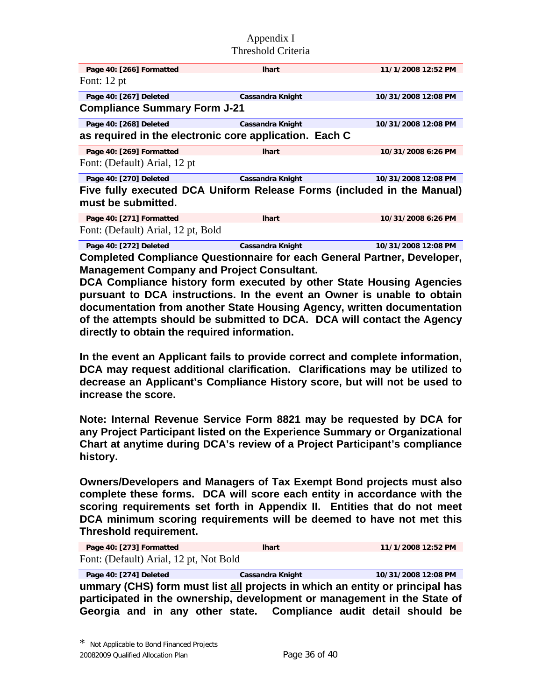| Page 40: [266] Formatted                                                                     | <b>Ihart</b>            | 11/1/2008 12:52 PM  |  |
|----------------------------------------------------------------------------------------------|-------------------------|---------------------|--|
| Font: $12$ pt                                                                                |                         |                     |  |
| Page 40: [267] Deleted                                                                       | Cassandra Knight        | 10/31/2008 12:08 PM |  |
| <b>Compliance Summary Form J-21</b>                                                          |                         |                     |  |
| Page 40: [268] Deleted                                                                       | Cassandra Knight        | 10/31/2008 12:08 PM |  |
| as required in the electronic core application. Each C                                       |                         |                     |  |
| Page 40: [269] Formatted                                                                     | <b>Ihart</b>            | 10/31/2008 6:26 PM  |  |
| Font: (Default) Arial, 12 pt                                                                 |                         |                     |  |
| Page 40: [270] Deleted                                                                       | <b>Cassandra Knight</b> | 10/31/2008 12:08 PM |  |
| Five fully executed DCA Uniform Release Forms (included in the Manual)<br>must be submitted. |                         |                     |  |
| Page 40: [271] Formatted                                                                     | <b>Ihart</b>            | 10/31/2008 6:26 PM  |  |
| Font: (Default) Arial, 12 pt, Bold                                                           |                         |                     |  |

**Page 40: [272] Deleted Cassandra Knight 10/31/2008 12:08 PM Completed Compliance Questionnaire for each General Partner, Developer, Management Company and Project Consultant.**

**DCA Compliance history form executed by other State Housing Agencies pursuant to DCA instructions. In the event an Owner is unable to obtain documentation from another State Housing Agency, written documentation of the attempts should be submitted to DCA. DCA will contact the Agency directly to obtain the required information.** 

**In the event an Applicant fails to provide correct and complete information, DCA may request additional clarification. Clarifications may be utilized to decrease an Applicant's Compliance History score, but will not be used to increase the score.** 

**Note: Internal Revenue Service Form 8821 may be requested by DCA for any Project Participant listed on the Experience Summary or Organizational Chart at anytime during DCA's review of a Project Participant's compliance history.** 

**Owners/Developers and Managers of Tax Exempt Bond projects must also complete these forms. DCA will score each entity in accordance with the scoring requirements set forth in Appendix II. Entities that do not meet DCA minimum scoring requirements will be deemed to have not met this Threshold requirement.**

**Page 40: [273] Formatted lhart 11/1/2008 12:52 PM**  Font: (Default) Arial, 12 pt, Not Bold

**Page 40: [274] Deleted Cassandra Knight 10/31/2008 12:08 PM ummary (CHS) form must list all projects in which an entity or principal has participated in the ownership, development or management in the State of Georgia and in any other state. Compliance audit detail should be**